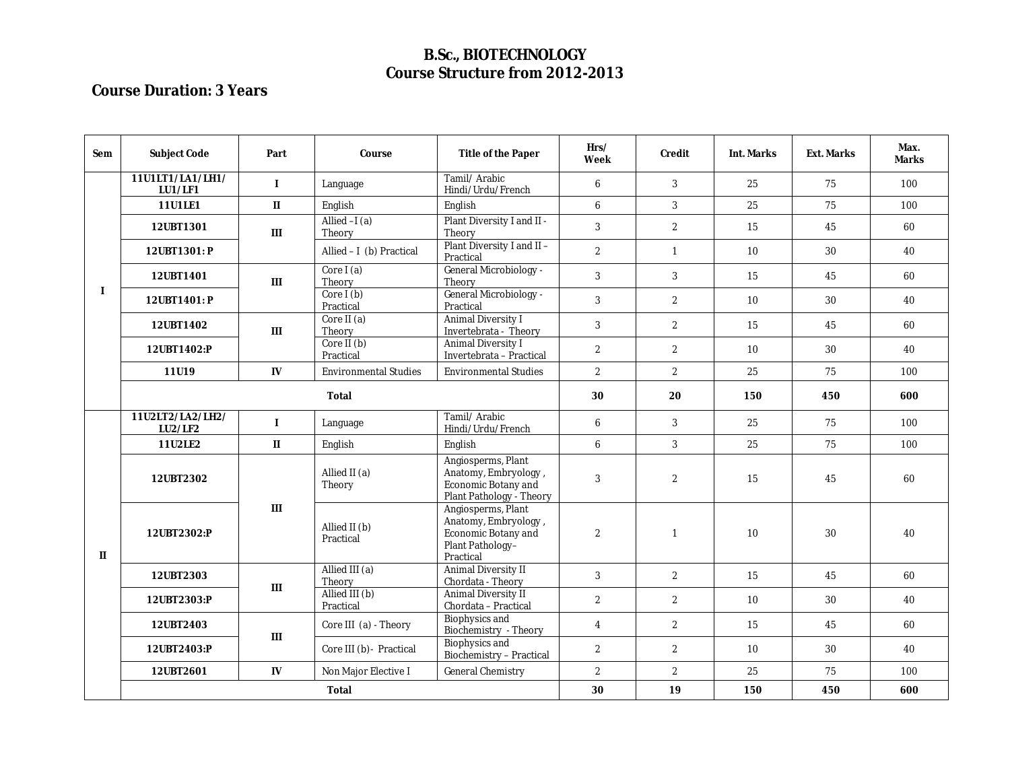# **B.Sc., BIOTECHNOLOGY Course Structure from 2012-2013**

# **Course Duration: 3 Years**

| Sem          | <b>Subject Code</b>         | Part         | Course                          | <b>Title of the Paper</b>                                                                                   | Hrs/<br>Week            | Credit                  | <b>Int. Marks</b> | <b>Ext. Marks</b> | Max.<br><b>Marks</b> |
|--------------|-----------------------------|--------------|---------------------------------|-------------------------------------------------------------------------------------------------------------|-------------------------|-------------------------|-------------------|-------------------|----------------------|
|              | 11U1LT1/LA1/LH1/<br>LU1/LF1 | $\mathbf I$  | Language                        | Tamil/Arabic<br>Hindi/Urdu/French                                                                           | $6\phantom{1}6$         | 3                       | 25                | 75                | 100                  |
|              | 11U1LE1                     | $\;$ II      | English                         | English                                                                                                     | $6\phantom{1}6$         | $\overline{\mathbf{3}}$ | 25                | 75                | 100                  |
|              | 12UBT1301                   | III          | Allied $-I(a)$<br><b>Theory</b> | Plant Diversity I and II -<br><b>Theory</b>                                                                 | 3                       | $\mathbf{2}$            | 15                | 45                | 60                   |
|              | 12UBT1301:P                 |              | Allied - I (b) Practical        | Plant Diversity I and II-<br>Practical                                                                      | $\boldsymbol{2}$        | $\mathbf{1}$            | 10                | 30                | 40                   |
|              | 12UBT1401                   | Ш            | Core I (a)<br><b>Theory</b>     | <b>General Microbiology -</b><br><b>Theory</b>                                                              | 3                       | 3                       | 15                | 45                | 60                   |
| $\bf{I}$     | 12UBT1401:P                 |              | Core I $(b)$<br>Practical       | <b>General Microbiology -</b><br>Practical                                                                  | 3                       | $\boldsymbol{2}$        | 10                | 30                | 40                   |
|              | 12UBT1402                   | III          | Core II $(a)$<br><b>Theory</b>  | <b>Animal Diversity I</b><br>Invertebrata - Theory                                                          | 3                       | $\boldsymbol{2}$        | 15                | 45                | 60                   |
|              | 12UBT1402:P                 |              | Core II $(b)$<br>Practical      | <b>Animal Diversity I</b><br>Invertebrata - Practical                                                       | $\mathbf{2}$            | $\mathbf{2}$            | 10                | 30                | 40                   |
|              | 11U19                       | IV           | <b>Environmental Studies</b>    | <b>Environmental Studies</b>                                                                                | $\boldsymbol{2}$        | $\mathbf{2}$            | 25                | 75                | 100                  |
|              | Total                       |              | 30                              | 20                                                                                                          | 150                     | 450                     | 600               |                   |                      |
|              | 11U2LT2/LA2/LH2/<br>LU2/LF2 | $\bf{I}$     | Language                        | Tamil/Arabic<br>Hindi/Urdu/French                                                                           | $\bf 6$                 | 3                       | 25                | 75                | 100                  |
|              | 11U2LE2                     | $\mathbf{I}$ | English                         | English                                                                                                     | $6\phantom{1}$          | $\overline{3}$          | 25                | 75                | 100                  |
| $\mathbf{I}$ | 12UBT2302                   |              | Allied II (a)<br><b>Theory</b>  | Angiosperms, Plant<br>Anatomy, Embryology,<br><b>Economic Botany and</b><br><b>Plant Pathology - Theory</b> | 3                       | $\boldsymbol{2}$        | 15                | 45                | 60                   |
|              | 12UBT2302:P                 | III          | Allied II (b)<br>Practical      | Angiosperms, Plant<br>Anatomy, Embryology,<br><b>Economic Botany and</b><br>Plant Pathology-<br>Practical   | $\boldsymbol{2}$        | $\mathbf{1}$            | 10                | 30                | 40                   |
|              | 12UBT2303                   | III          | Allied III (a)<br><b>Theory</b> | <b>Animal Diversity II</b><br>Chordata - Theory                                                             | 3                       | $\boldsymbol{2}$        | 15                | 45                | 60                   |
|              | 12UBT2303:P                 |              | Allied III (b)<br>Practical     | <b>Animal Diversity II</b><br>Chordata - Practical                                                          | $\boldsymbol{2}$        | $\boldsymbol{2}$        | 10                | 30                | 40                   |
|              | 12UBT2403                   | III          | Core III (a) - Theory           | <b>Biophysics and</b><br><b>Biochemistry - Theory</b>                                                       | $\overline{\mathbf{4}}$ | $\boldsymbol{2}$        | 15                | 45                | 60                   |
|              | 12UBT2403:P                 |              | Core III (b) - Practical        | <b>Biophysics and</b><br><b>Biochemistry - Practical</b>                                                    | $\boldsymbol{2}$        | $\boldsymbol{2}$        | 10                | 30                | 40                   |
|              | 12UBT2601                   | ${\bf IV}$   | Non Major Elective I            | <b>General Chemistry</b>                                                                                    | $\boldsymbol{2}$        | $\mathbf{2}$            | 25                | 75                | 100                  |
|              | <b>Total</b>                |              |                                 | 30                                                                                                          | 19                      | 150                     | 450               | 600               |                      |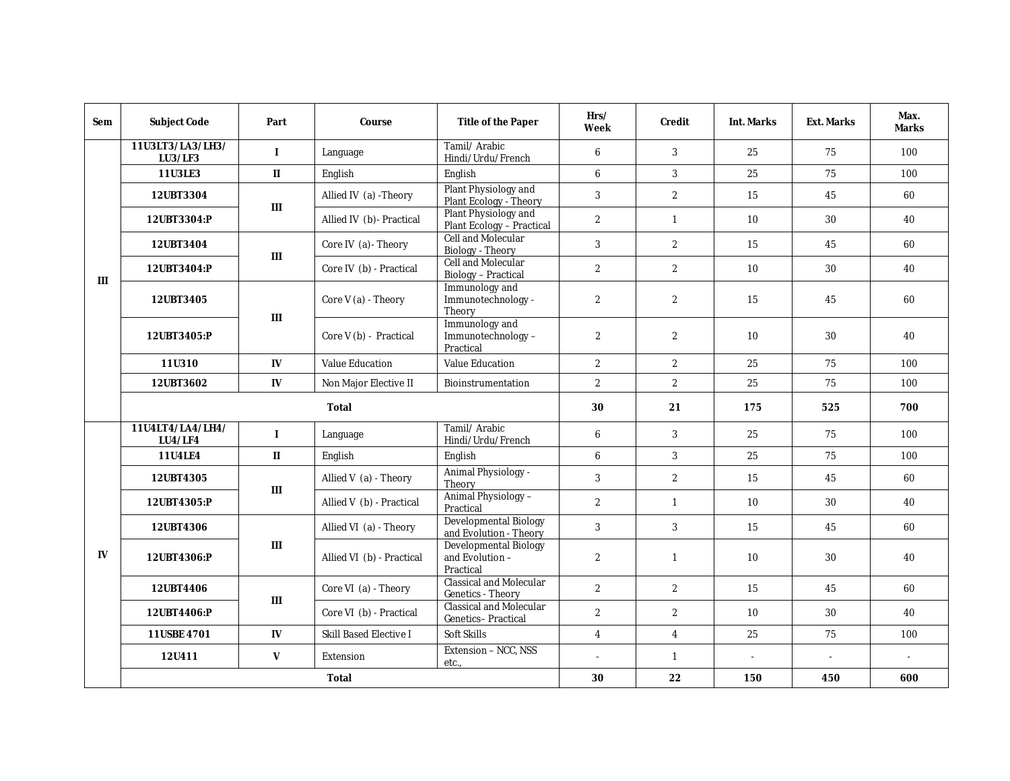| Sem | <b>Subject Code</b>         | Part         | Course                        | <b>Title of the Paper</b>                                       | Hrs/<br>Week            | Credit                  | <b>Int. Marks</b> | <b>Ext. Marks</b> | Max.<br><b>Marks</b> |
|-----|-----------------------------|--------------|-------------------------------|-----------------------------------------------------------------|-------------------------|-------------------------|-------------------|-------------------|----------------------|
|     | 11U3LT3/LA3/LH3/<br>LU3/LF3 | $\mathbf I$  | Language                      | Tamil/Arabic<br>Hindi/Urdu/French                               | $\boldsymbol{6}$        | 3                       | 25                | 75                | 100                  |
|     | 11U3LE3                     | $\mathbf{I}$ | English                       | English                                                         | $6\phantom{a}$          | 3                       | 25                | 75                | 100                  |
|     | 12UBT3304                   | III          | Allied IV (a) -Theory         | <b>Plant Physiology and</b><br><b>Plant Ecology - Theory</b>    | 3                       | $\boldsymbol{2}$        | 15                | 45                | 60                   |
|     | 12UBT3304:P                 |              | Allied IV (b) - Practical     | <b>Plant Physiology and</b><br><b>Plant Ecology - Practical</b> | $\boldsymbol{2}$        | $\mathbf{1}$            | 10                | 30                | 40                   |
|     | 12UBT3404                   | III          | Core IV (a) - Theory          | <b>Cell and Molecular</b><br><b>Biology</b> - Theory            | 3                       | $\mathbf{2}$            | 15                | 45                | 60                   |
| III | 12UBT3404:P                 |              | Core IV (b) - Practical       | <b>Cell and Molecular</b><br><b>Biology - Practical</b>         | $\boldsymbol{2}$        | $\boldsymbol{2}$        | 10                | 30                | 40                   |
|     | 12UBT3405                   | III          | Core V (a) - Theory           | <b>Immunology</b> and<br>Immunotechnology -<br><b>Theory</b>    | $\boldsymbol{2}$        | $\boldsymbol{2}$        | 15                | 45                | 60                   |
|     | 12UBT3405:P                 |              | Core V (b) - Practical        | <b>Immunology</b> and<br>Immunotechnology -<br>Practical        | $\boldsymbol{2}$        | $\boldsymbol{2}$        | 10                | 30                | 40                   |
|     | 11U310                      | IV           | <b>Value Education</b>        | <b>Value Education</b>                                          | $\boldsymbol{2}$        | $\boldsymbol{2}$        | 25                | 75                | 100                  |
|     | 12UBT3602                   | IV           | Non Major Elective II         | <b>Bioinstrumentation</b>                                       | $\boldsymbol{2}$        | $\boldsymbol{2}$        | 25                | 75                | 100                  |
|     |                             | 30           | 21                            | 175                                                             | 525                     | 700                     |                   |                   |                      |
|     | 11U4LT4/LA4/LH4/<br>LU4/LF4 | $\bf{I}$     | Language                      | Tamil/Arabic<br>Hindi/Urdu/French                               | $\boldsymbol{6}$        | 3                       | 25                | 75                | 100                  |
|     | 11U4LE4                     | $\;$ II      | English                       | English                                                         | $\bf 6$                 | $\mathbf{3}$            | 25                | 75                | 100                  |
|     | 12UBT4305                   | III          | Allied V (a) - Theory         | <b>Animal Physiology -</b><br><b>Theory</b>                     | 3                       | $\boldsymbol{2}$        | 15                | 45                | 60                   |
|     | 12UBT4305:P                 |              | Allied V (b) - Practical      | Animal Physiology -<br>Practical                                | $\boldsymbol{2}$        | $\mathbf{1}$            | 10                | 30                | 40                   |
|     | 12UBT4306                   |              | Allied VI (a) - Theory        | <b>Developmental Biology</b><br>and Evolution - Theory          | 3                       | 3                       | 15                | 45                | 60                   |
| IV  | 12UBT4306:P                 | III          | Allied VI (b) - Practical     | <b>Developmental Biology</b><br>and Evolution -<br>Practical    | $\boldsymbol{2}$        | 1                       | 10                | 30                | 40                   |
|     | 12UBT4406                   | III          | Core VI (a) - Theory          | <b>Classical and Molecular</b><br><b>Genetics - Theory</b>      | $\boldsymbol{2}$        | $\boldsymbol{2}$        | 15                | 45                | 60                   |
|     | 12UBT4406:P                 |              | Core VI (b) - Practical       | <b>Classical and Molecular</b><br><b>Genetics-Practical</b>     | $\boldsymbol{2}$        | $\boldsymbol{2}$        | 10                | 30                | 40                   |
|     | 11USBE 4701                 | IV           | <b>Skill Based Elective I</b> | <b>Soft Skills</b>                                              | $\overline{\mathbf{4}}$ | $\overline{\mathbf{4}}$ | 25                | 75                | 100                  |
|     | 12U411                      | $\mathbf{V}$ | <b>Extension</b>              | <b>Extension - NCC, NSS</b><br>etc.,                            | $\sim$                  | $\mathbf{1}$            |                   | $\mathbf{r}$      |                      |
|     | <b>Total</b>                |              |                               |                                                                 | 30                      | 22                      | 150               | 450               | 600                  |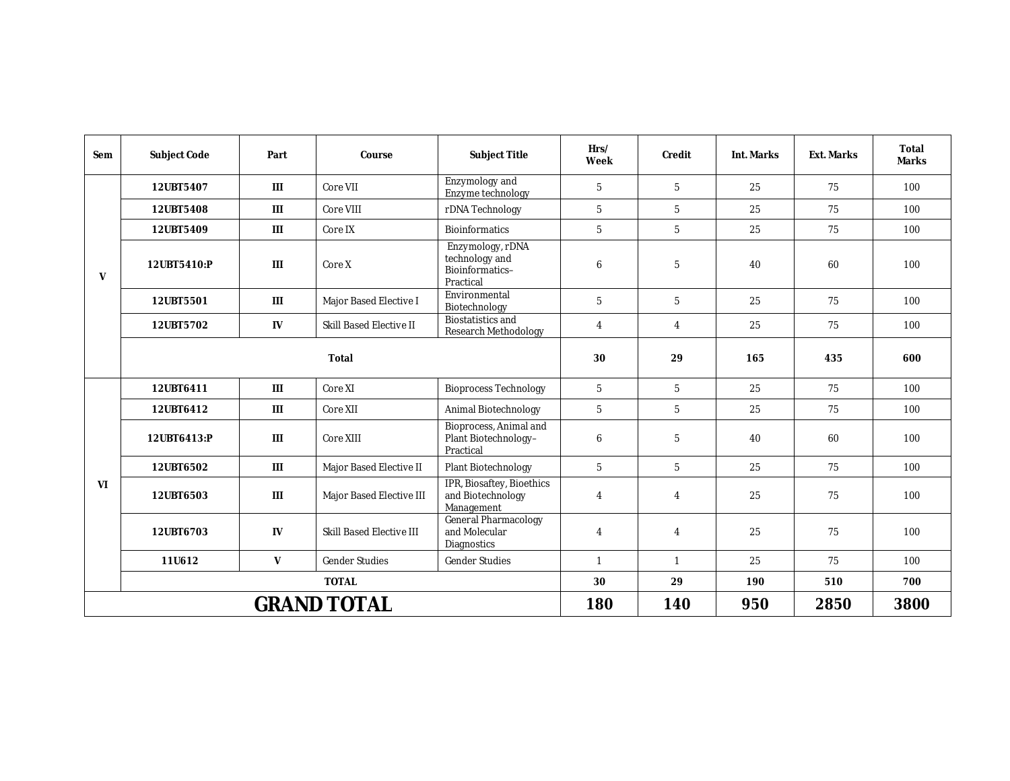| Sem                | <b>Subject Code</b> | Part         | Course                          | <b>Subject Title</b>                                                      | Hrs/<br>Week     | Credit                  | <b>Int. Marks</b> | <b>Ext. Marks</b> | <b>Total</b><br><b>Marks</b> |
|--------------------|---------------------|--------------|---------------------------------|---------------------------------------------------------------------------|------------------|-------------------------|-------------------|-------------------|------------------------------|
|                    | 12UBT5407           | III          | Core VII                        | <b>Enzymology</b> and<br><b>Enzyme technology</b>                         | $\mathbf{5}$     | $5\phantom{.0}$         | 25                | 75                | 100                          |
|                    | 12UBT5408           | III          | <b>Core VIII</b>                | rDNA Technology                                                           | $5\phantom{.0}$  | $5\overline{ }$         | 25                | 75                | 100                          |
|                    | 12UBT5409           | III          | Core IX                         | <b>Bioinformatics</b>                                                     | $5\phantom{.0}$  | $5\phantom{.0}$         | 25                | 75                | 100                          |
| V                  | 12UBT5410:P         | III          | Core X                          | Enzymology, rDNA<br>technology and<br><b>Bioinformatics-</b><br>Practical | $\boldsymbol{6}$ | $5\phantom{.0}$         | 40                | 60                | 100                          |
|                    | 12UBT5501           | III          | Major Based Elective I          | Environmental<br><b>Biotechnology</b>                                     | $5\phantom{.0}$  | $5\phantom{.0}$         | 25                | 75                | 100                          |
|                    | 12UBT5702           | IV           | <b>Skill Based Elective II</b>  | <b>Biostatistics and</b><br><b>Research Methodology</b>                   | $\overline{4}$   | $\overline{4}$          | 25                | 75                | 100                          |
|                    | <b>Total</b>        |              |                                 | 30                                                                        | 29               | 165                     | 435               | 600               |                              |
|                    | 12UBT6411           | III          | Core XI                         | <b>Bioprocess Technology</b>                                              | $5\overline{)}$  | $5\phantom{.0}$         | 25                | 75                | 100                          |
|                    | 12UBT6412           | III          | Core XII                        | <b>Animal Biotechnology</b>                                               | $5\phantom{.0}$  | $5\phantom{.0}$         | 25                | 75                | 100                          |
|                    | 12UBT6413:P         | III          | Core XIII                       | <b>Bioprocess, Animal and</b><br>Plant Biotechnology-<br>Practical        | 6                | $\mathbf{5}$            | 40                | 60                | 100                          |
|                    | 12UBT6502           | III          | Major Based Elective II         | <b>Plant Biotechnology</b>                                                | $5\phantom{.0}$  | 5                       | 25                | 75                | 100                          |
| <b>VI</b>          | 12UBT6503           | III          | Major Based Elective III        | <b>IPR, Biosaftey, Bioethics</b><br>and Biotechnology<br>Management       | $\boldsymbol{4}$ | $\overline{\mathbf{4}}$ | 25                | 75                | 100                          |
|                    | 12UBT6703           | IV           | <b>Skill Based Elective III</b> | <b>General Pharmacology</b><br>and Molecular<br><b>Diagnostics</b>        | $\boldsymbol{4}$ | $\overline{\mathbf{4}}$ | 25                | 75                | 100                          |
|                    | 11U612              | $\mathbf{V}$ | <b>Gender Studies</b>           | <b>Gender Studies</b>                                                     | $\mathbf{1}$     | $\mathbf{1}$            | 25                | 75                | 100                          |
|                    | <b>TOTAL</b>        |              |                                 |                                                                           |                  | 29                      | 190               | 510               | 700                          |
| <b>GRAND TOTAL</b> |                     |              |                                 |                                                                           | 180              | 140                     | 950               | 2850              | 3800                         |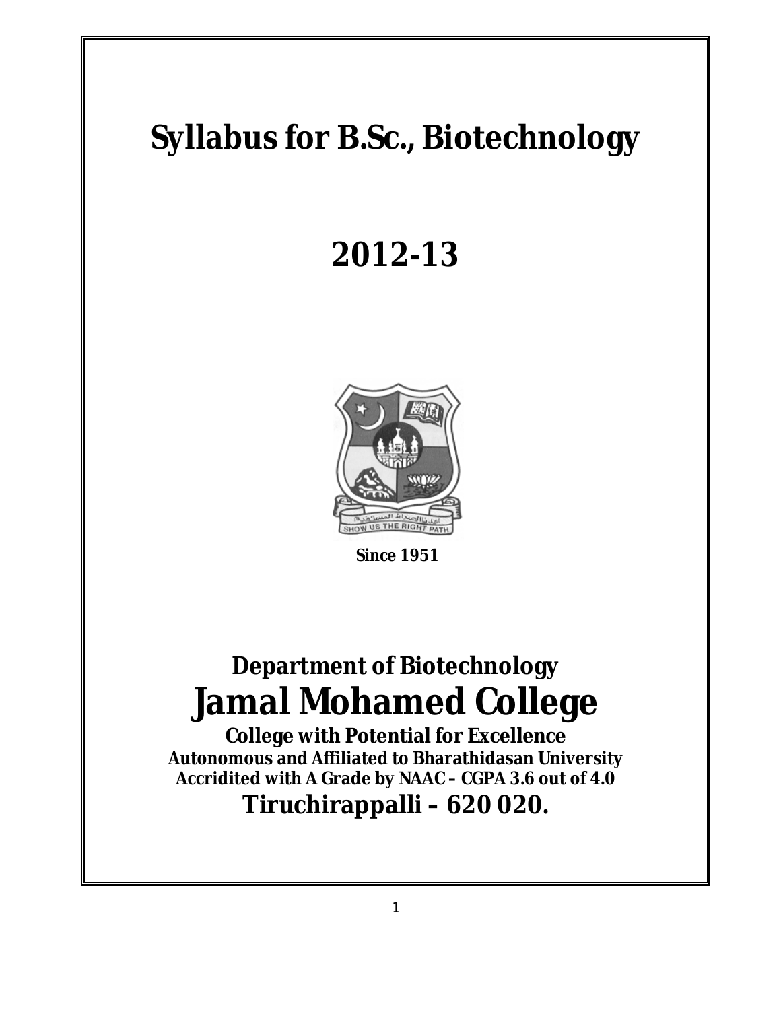# **Syllabus for B.Sc., Biotechnology**

**2012-13** 



**Since 1951** 

# **Department of Biotechnology Jamal Mohamed College**

**College with Potential for Excellence Autonomous and Affiliated to Bharathidasan University Accridited with A Grade by NAAC – CGPA 3.6 out of 4.0 Tiruchirappalli – 620 020.**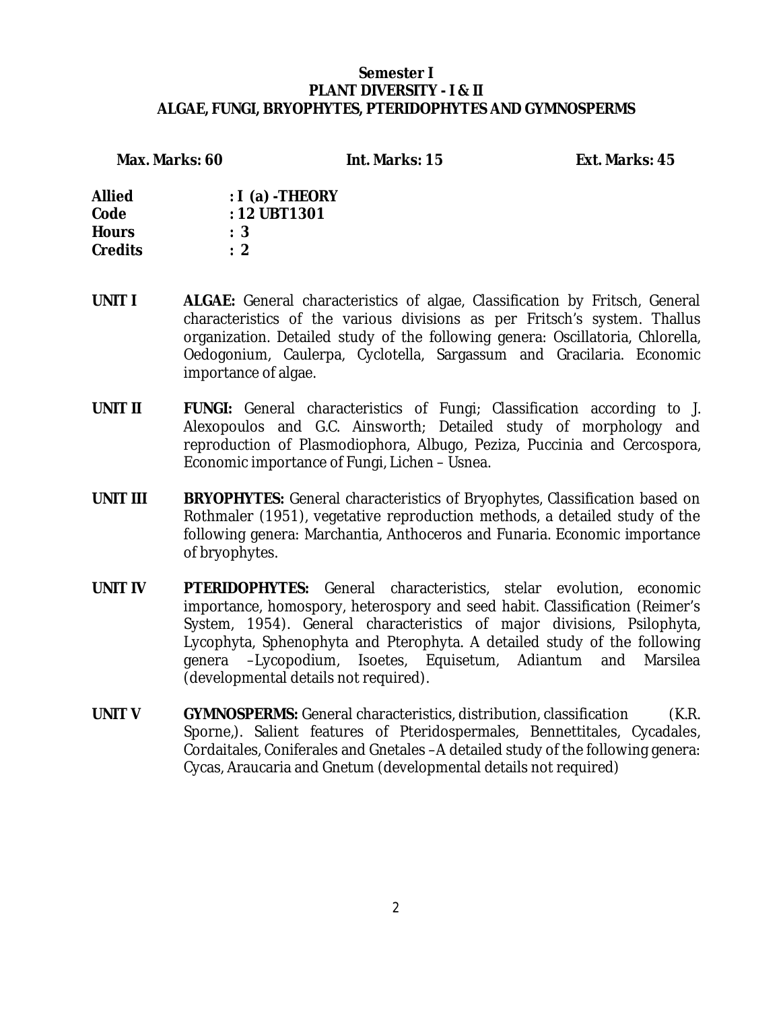# **Semester I PLANT DIVERSITY - I & II ALGAE, FUNGI, BRYOPHYTES, PTERIDOPHYTES AND GYMNOSPERMS**

| Max. Marks: 60 |                         | Int. Marks: 15 | Ext. Marks: 45 |
|----------------|-------------------------|----------------|----------------|
| <b>Allied</b>  | $: I(a)$ -THEORY        |                |                |
| Code           | : $12 \text{ UBT} 1301$ |                |                |
| <b>Hours</b>   | $\therefore$ 3          |                |                |
| <b>Credits</b> | : 2                     |                |                |

- **UNIT I ALGAE:** General characteristics of algae, Classification by Fritsch, General characteristics of the various divisions as per Fritsch's system. Thallus organization. Detailed study of the following genera: Oscillatoria, Chlorella, Oedogonium, Caulerpa, Cyclotella, Sargassum and Gracilaria. Economic importance of algae.
- **UNIT II FUNGI:** General characteristics of Fungi; Classification according to J. Alexopoulos and G.C. Ainsworth; Detailed study of morphology and reproduction of Plasmodiophora, Albugo, Peziza, Puccinia and Cercospora, Economic importance of Fungi, Lichen – Usnea.
- **UNIT III BRYOPHYTES:** General characteristics of Bryophytes, Classification based on Rothmaler (1951), vegetative reproduction methods, a detailed study of the following genera: Marchantia, Anthoceros and Funaria. Economic importance of bryophytes.
- **UNIT IV PTERIDOPHYTES:** General characteristics, stelar evolution, economic importance, homospory, heterospory and seed habit. Classification (Reimer's System, 1954). General characteristics of major divisions, Psilophyta, Lycophyta, Sphenophyta and Pterophyta. A detailed study of the following genera –Lycopodium, Isoetes, Equisetum, Adiantum and Marsilea (developmental details not required).
- **UNIT V GYMNOSPERMS:** General characteristics, distribution, classification (K.R. Sporne,). Salient features of Pteridospermales, Bennettitales, Cycadales, Cordaitales, Coniferales and Gnetales –A detailed study of the following genera: Cycas, Araucaria and Gnetum (developmental details not required)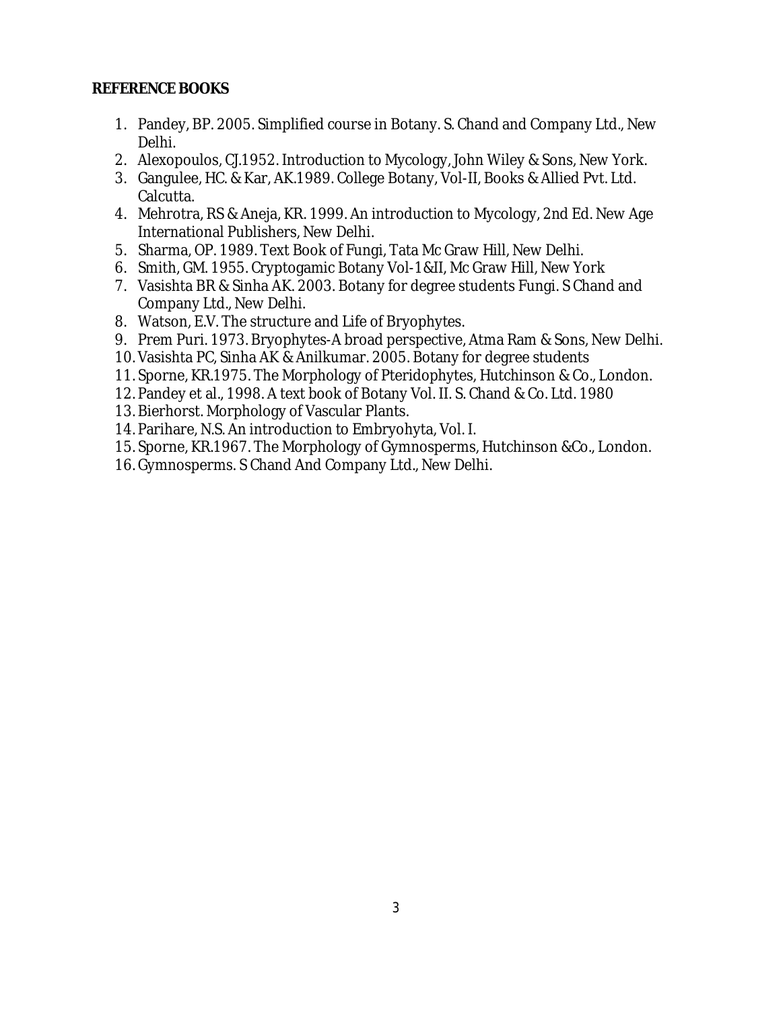# **REFERENCE BOOKS**

- 1. Pandey, BP. 2005. Simplified course in Botany. S. Chand and Company Ltd., New Delhi.
- 2. Alexopoulos, CJ.1952. Introduction to Mycology, John Wiley & Sons, New York.
- 3. Gangulee, HC. & Kar, AK.1989. College Botany, Vol-II, Books & Allied Pvt. Ltd. Calcutta.
- 4. Mehrotra, RS & Aneja, KR. 1999. An introduction to Mycology, 2nd Ed. New Age International Publishers, New Delhi.
- 5. Sharma, OP. 1989. Text Book of Fungi, Tata Mc Graw Hill, New Delhi.
- 6. Smith, GM. 1955. Cryptogamic Botany Vol-1&II, Mc Graw Hill, New York
- 7. Vasishta BR & Sinha AK. 2003. Botany for degree students Fungi. S Chand and Company Ltd., New Delhi.
- 8. Watson, E.V. The structure and Life of Bryophytes.
- 9. Prem Puri. 1973. Bryophytes-A broad perspective, Atma Ram & Sons, New Delhi.
- 10. Vasishta PC, Sinha AK & Anilkumar. 2005. Botany for degree students
- 11.Sporne, KR.1975. The Morphology of Pteridophytes, Hutchinson & Co., London.
- 12. Pandey et al., 1998. A text book of Botany Vol. II. S. Chand & Co. Ltd. 1980
- 13. Bierhorst. Morphology of Vascular Plants.
- 14. Parihare, N.S. An introduction to Embryohyta, Vol. I.
- 15.Sporne, KR.1967. The Morphology of Gymnosperms, Hutchinson &Co., London.
- 16. Gymnosperms. S Chand And Company Ltd., New Delhi.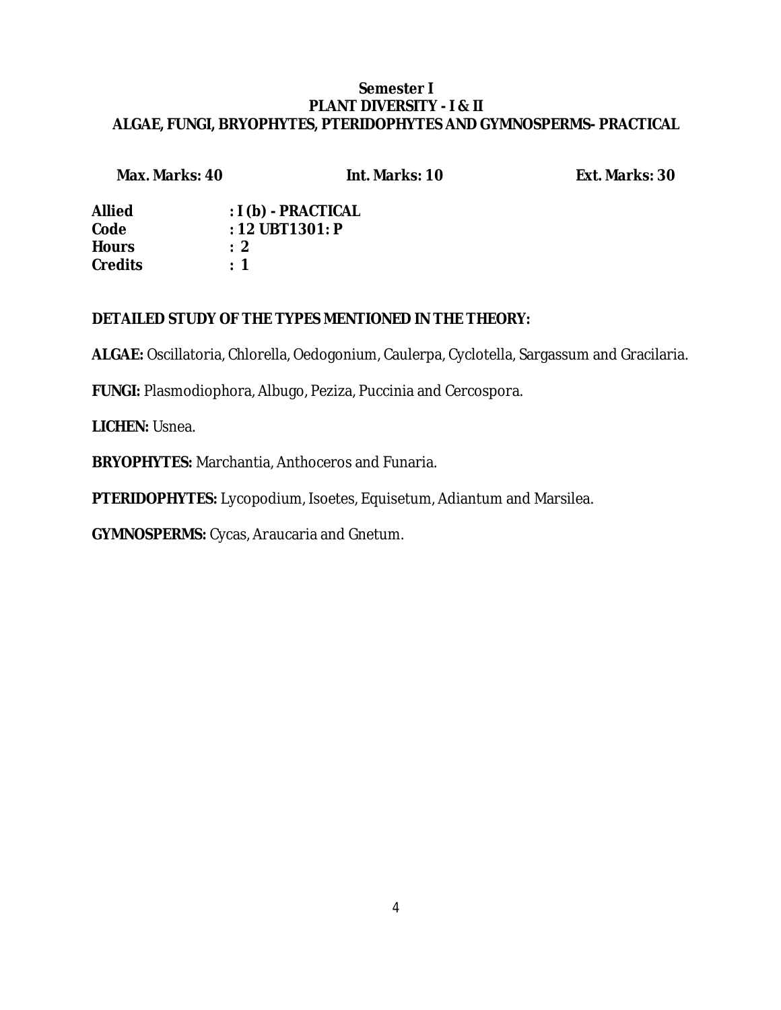# **Semester I PLANT DIVERSITY - I & II ALGAE, FUNGI, BRYOPHYTES, PTERIDOPHYTES AND GYMNOSPERMS- PRACTICAL**

**Max. Marks: 40 Int. Marks: 10 Ext. Marks: 30** 

| <b>Allied</b>  | $: I(b)$ - PRACTICAL        |
|----------------|-----------------------------|
| Code           | : $12 \text{ UBT} 1301$ : P |
| <b>Hours</b>   | : 2                         |
| <b>Credits</b> | $\div$ 1                    |

**DETAILED STUDY OF THE TYPES MENTIONED IN THE THEORY:** 

**ALGAE:** Oscillatoria, Chlorella, Oedogonium, Caulerpa, Cyclotella, Sargassum and Gracilaria.

**FUNGI:** Plasmodiophora, Albugo, Peziza, Puccinia and Cercospora.

**LICHEN:** Usnea.

**BRYOPHYTES:** Marchantia, Anthoceros and Funaria.

**PTERIDOPHYTES:** Lycopodium, Isoetes, Equisetum, Adiantum and Marsilea.

**GYMNOSPERMS:** Cycas, Araucaria and Gnetum.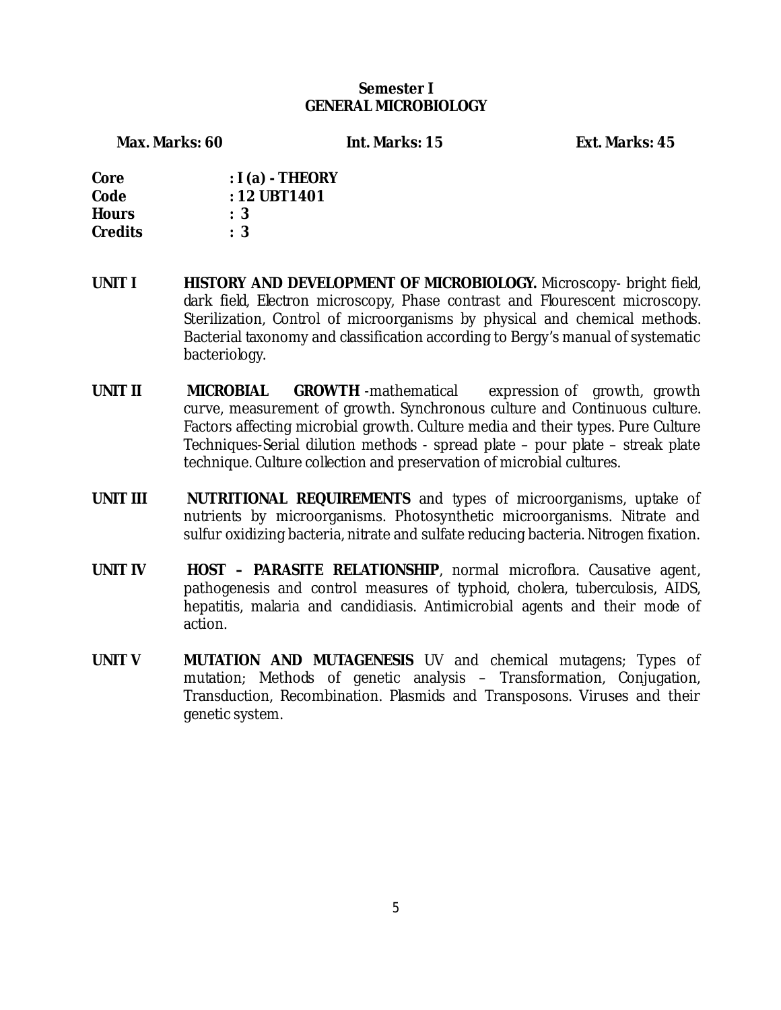# **Semester I GENERAL MICROBIOLOGY**

**Max. Marks: 60 Int. Marks: 15 Ext. Marks: 45** 

| Core           | $: I(a)$ - THEORY       |
|----------------|-------------------------|
| Code           | : $12 \text{ UBT} 1401$ |
| <b>Hours</b>   | : 3                     |
| <b>Credits</b> | : 3                     |

- **UNIT I HISTORY AND DEVELOPMENT OF MICROBIOLOGY.** Microscopy- bright field, dark field, Electron microscopy, Phase contrast and Flourescent microscopy. Sterilization, Control of microorganisms by physical and chemical methods. Bacterial taxonomy and classification according to Bergy's manual of systematic bacteriology.
- **UNIT II MICROBIAL GROWTH** -mathematical expression of growth, growth curve, measurement of growth. Synchronous culture and Continuous culture. Factors affecting microbial growth. Culture media and their types. Pure Culture Techniques-Serial dilution methods - spread plate – pour plate – streak plate technique. Culture collection and preservation of microbial cultures.
- **UNIT III NUTRITIONAL REQUIREMENTS** and types of microorganisms, uptake of nutrients by microorganisms. Photosynthetic microorganisms. Nitrate and sulfur oxidizing bacteria, nitrate and sulfate reducing bacteria. Nitrogen fixation.
- **UNIT IV HOST – PARASITE RELATIONSHIP**, normal microflora. Causative agent, pathogenesis and control measures of typhoid, cholera, tuberculosis, AIDS, hepatitis, malaria and candidiasis. Antimicrobial agents and their mode of action.
- **UNIT V MUTATION AND MUTAGENESIS** UV and chemical mutagens; Types of mutation; Methods of genetic analysis – Transformation, Conjugation, Transduction, Recombination. Plasmids and Transposons. Viruses and their genetic system.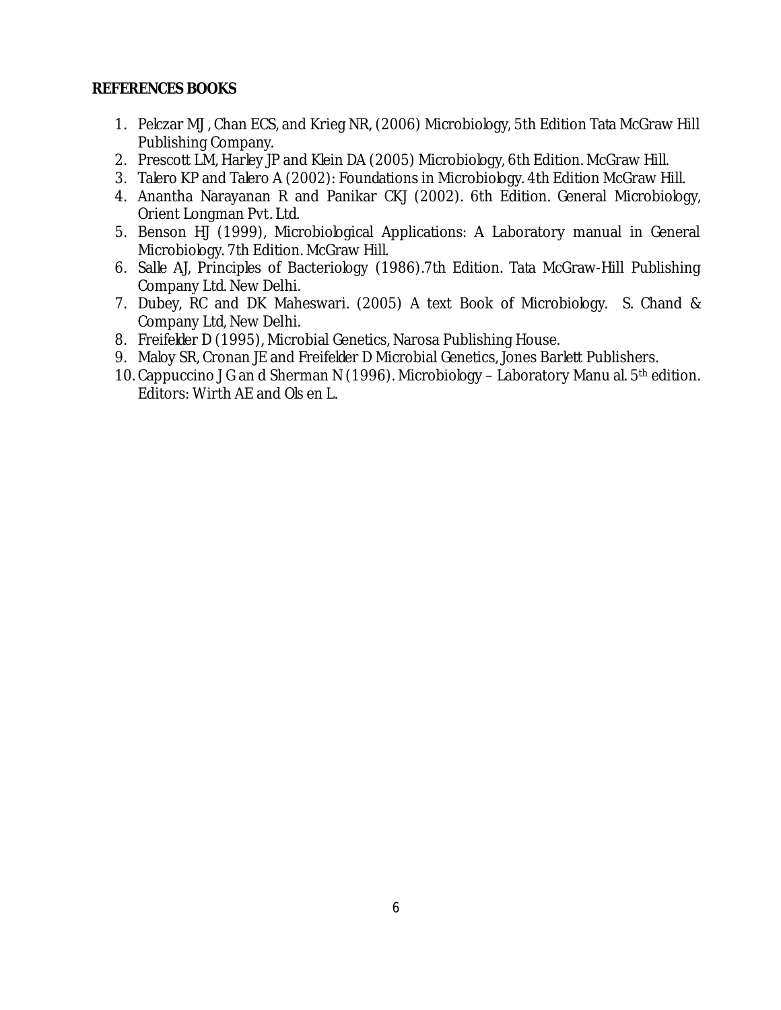# **REFERENCES BOOKS**

- 1. Pelczar MJ , Chan ECS, and Krieg NR, (2006) Microbiology, 5th Edition Tata McGraw Hill Publishing Company.
- 2. Prescott LM, Harley JP and Klein DA (2005) Microbiology, 6th Edition. McGraw Hill.
- 3. Talero KP and Talero A (2002): Foundations in Microbiology. 4th Edition McGraw Hill.
- 4. Anantha Narayanan R and Panikar CKJ (2002). 6th Edition. General Microbiology, Orient Longman Pvt. Ltd.
- 5. Benson HJ (1999), Microbiological Applications: A Laboratory manual in General Microbiology. 7th Edition. McGraw Hill.
- 6. Salle AJ, Principles of Bacteriology (1986).7th Edition. Tata McGraw-Hill Publishing Company Ltd. New Delhi.
- 7. Dubey, RC and DK Maheswari. (2005) A text Book of Microbiology. S. Chand & Company Ltd, New Delhi.
- 8. Freifelder D (1995), Microbial Genetics, Narosa Publishing House.
- 9. Maloy SR, Cronan JE and Freifelder D Microbial Genetics, Jones Barlett Publishers.
- 10. Cappuccino J G an d Sherman N (1996). Microbiology Laboratory Manu al. 5th edition. Editors: Wirth AE and Ols en L.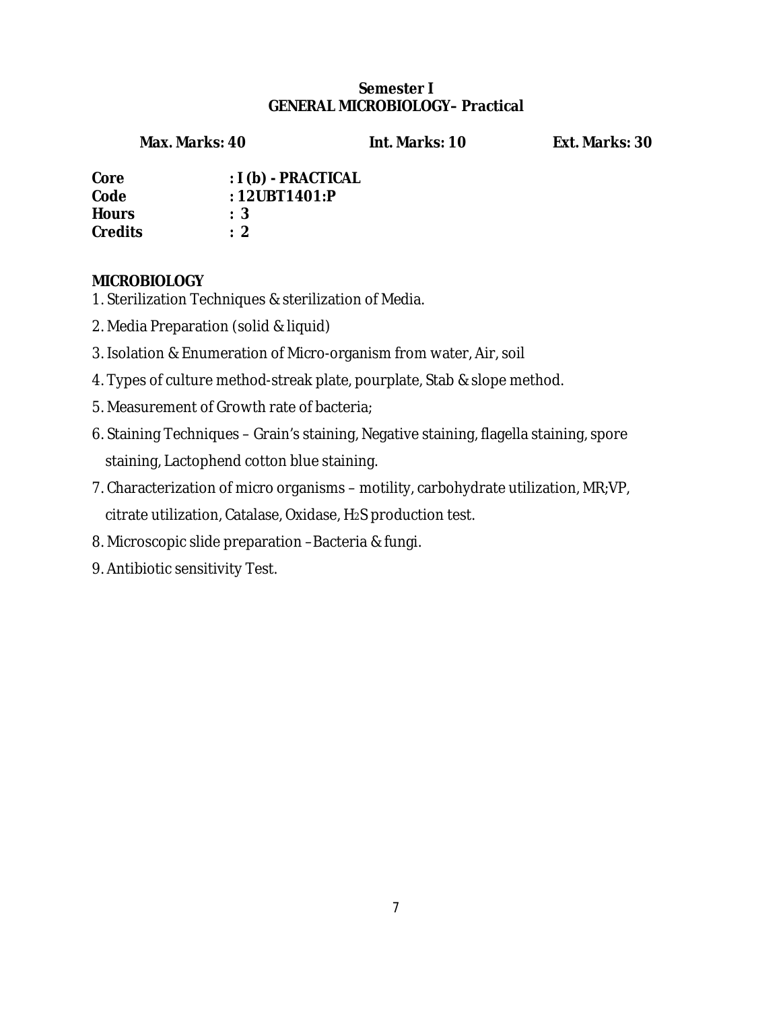# **Semester I GENERAL MICROBIOLOGY– Practical**

**Max. Marks: 40 Int. Marks: 10 Ext. Marks: 30** 

| Core           | $: I(b)$ - PRACTICAL |
|----------------|----------------------|
| Code           | : $12UBT1401:P$      |
| <b>Hours</b>   | : 3                  |
| <b>Credits</b> | $\cdot$ 2            |

# **MICROBIOLOGY**

- 1. Sterilization Techniques & sterilization of Media.
- 2. Media Preparation (solid & liquid)
- 3. Isolation & Enumeration of Micro-organism from water, Air, soil
- 4. Types of culture method-streak plate, pourplate, Stab & slope method.
- 5. Measurement of Growth rate of bacteria;
- 6. Staining Techniques Grain's staining, Negative staining, flagella staining, spore staining, Lactophend cotton blue staining.
- 7. Characterization of micro organisms motility, carbohydrate utilization, MR;VP, citrate utilization, Catalase, Oxidase, H2S production test.
- 8. Microscopic slide preparation –Bacteria & fungi.
- 9. Antibiotic sensitivity Test.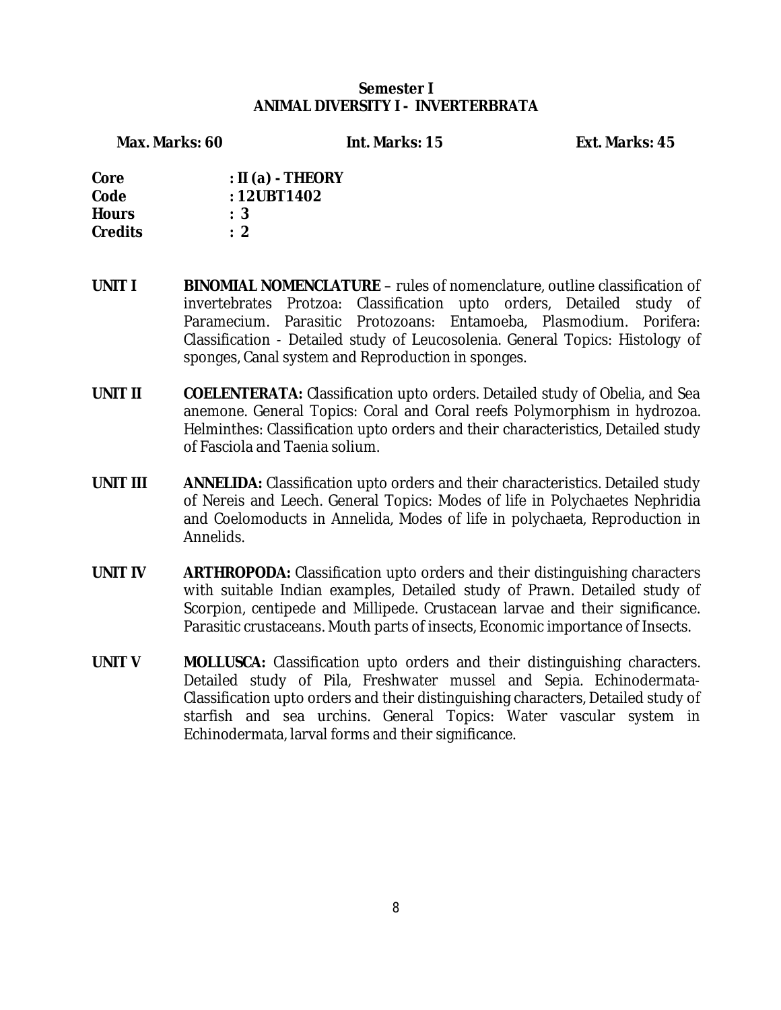# **Semester I ANIMAL DIVERSITY I - INVERTERBRATA**

**Max. Marks: 60 Int. Marks: 15 Ext. Marks: 45** 

| Core           | : $II(a)$ - THEORY     |
|----------------|------------------------|
| Code           | : $12 \text{UBT} 1402$ |
| <b>Hours</b>   | : 3                    |
| <b>Credits</b> | $\cdot$ 2              |

- **UNIT I BINOMIAL NOMENCLATURE** rules of nomenclature, outline classification of invertebrates Protzoa: Classification upto orders, Detailed study of Paramecium. Parasitic Protozoans: Entamoeba, Plasmodium. Porifera: Classification - Detailed study of Leucosolenia. General Topics: Histology of sponges, Canal system and Reproduction in sponges.
- **UNIT II COELENTERATA:** Classification upto orders. Detailed study of Obelia, and Sea anemone. General Topics: Coral and Coral reefs Polymorphism in hydrozoa. Helminthes: Classification upto orders and their characteristics, Detailed study of Fasciola and Taenia solium.
- **UNIT III ANNELIDA:** Classification upto orders and their characteristics. Detailed study of Nereis and Leech. General Topics: Modes of life in Polychaetes Nephridia and Coelomoducts in Annelida, Modes of life in polychaeta, Reproduction in Annelids.
- **UNIT IV ARTHROPODA:** Classification upto orders and their distinguishing characters with suitable Indian examples, Detailed study of Prawn. Detailed study of Scorpion, centipede and Millipede. Crustacean larvae and their significance. Parasitic crustaceans. Mouth parts of insects, Economic importance of Insects.
- **UNIT V MOLLUSCA:** Classification upto orders and their distinguishing characters. Detailed study of Pila, Freshwater mussel and Sepia. Echinodermata-Classification upto orders and their distinguishing characters, Detailed study of starfish and sea urchins. General Topics: Water vascular system in Echinodermata, larval forms and their significance.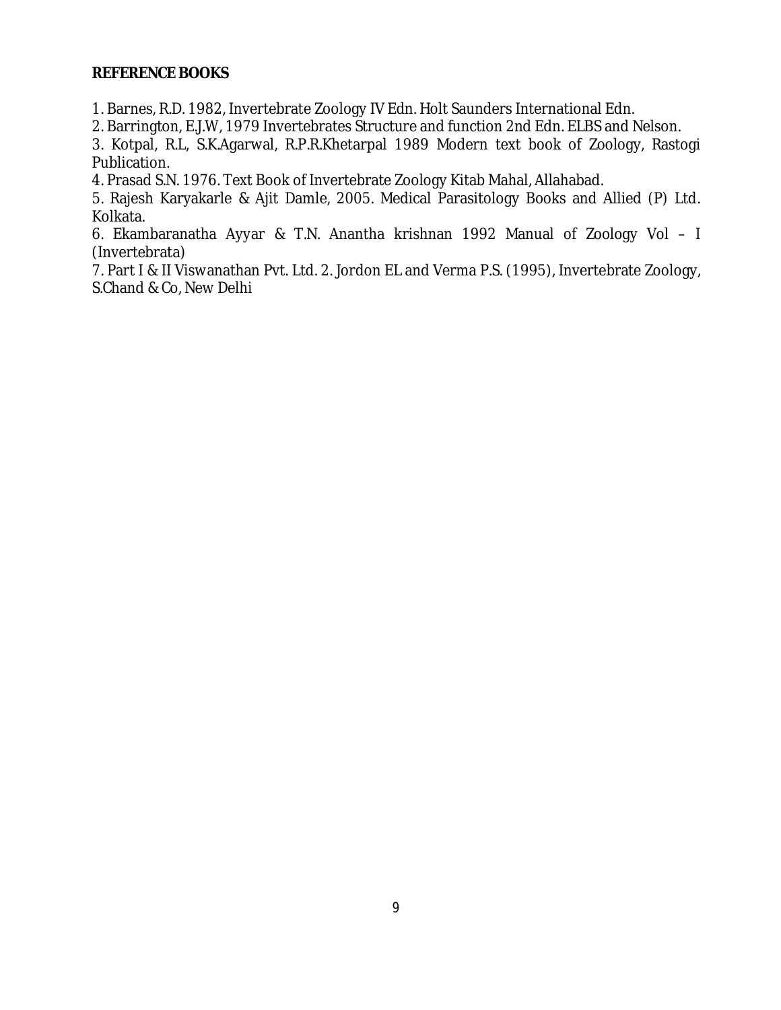#### **REFERENCE BOOKS**

1. Barnes, R.D. 1982, Invertebrate Zoology IV Edn. Holt Saunders International Edn.

2. Barrington, E.J.W, 1979 Invertebrates Structure and function 2nd Edn. ELBS and Nelson.

3. Kotpal, R.L, S.K.Agarwal, R.P.R.Khetarpal 1989 Modern text book of Zoology, Rastogi Publication.

4. Prasad S.N. 1976. Text Book of Invertebrate Zoology Kitab Mahal, Allahabad.

5. Rajesh Karyakarle & Ajit Damle, 2005. Medical Parasitology Books and Allied (P) Ltd. Kolkata.

6. Ekambaranatha Ayyar & T.N. Anantha krishnan 1992 Manual of Zoology Vol – I (Invertebrata)

7. Part I & II Viswanathan Pvt. Ltd. 2. Jordon EL and Verma P.S. (1995), Invertebrate Zoology, S.Chand & Co, New Delhi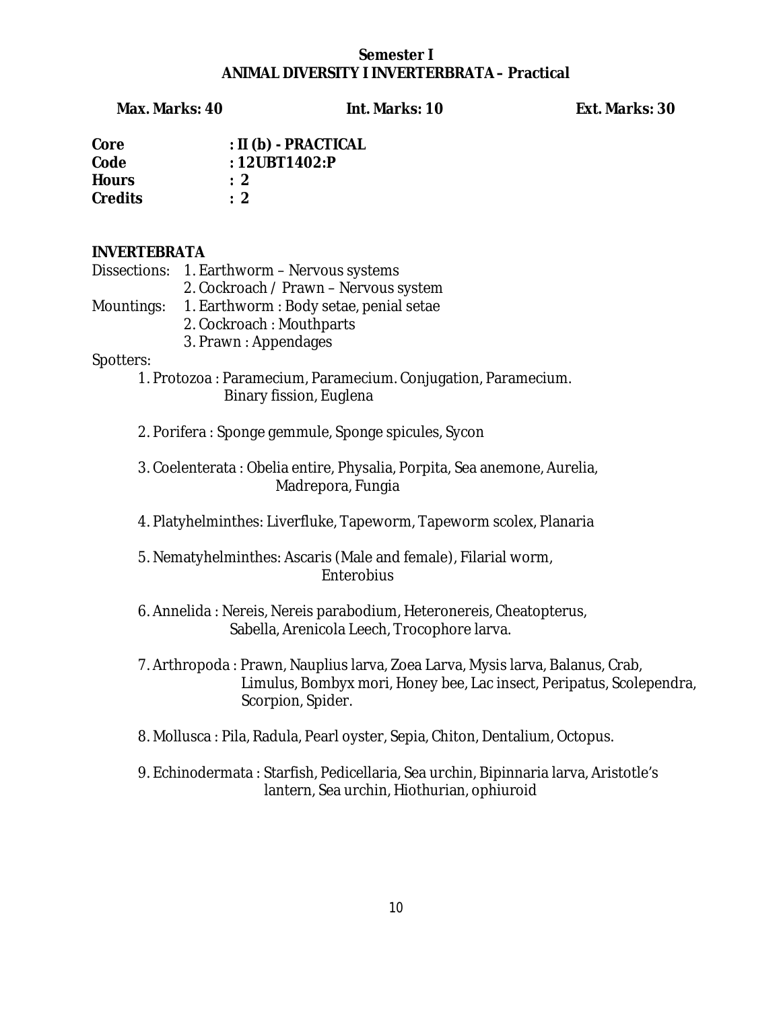# **Semester I ANIMAL DIVERSITY I INVERTERBRATA– Practical**

**Max. Marks: 40 Int. Marks: 10 Ext. Marks: 30** 

| Core           | $:$ II (b) - PRACTICAL |
|----------------|------------------------|
| Code           | : $12UBT1402P$         |
| <b>Hours</b>   | $\therefore$ 2         |
| <b>Credits</b> | $\therefore$ 2         |

# **INVERTEBRATA**

|                   | Dissections: 1. Earthworm - Nervous systems |  |  |
|-------------------|---------------------------------------------|--|--|
|                   | 2. Cockroach / Prawn - Nervous system       |  |  |
| <b>Mountings:</b> | 1. Earthworm : Body setae, penial setae     |  |  |
|                   | 2. Cockroach : Mouthparts                   |  |  |
|                   | 3. Prawn: Appendages                        |  |  |

# Spotters:

- 1. Protozoa : Paramecium, Paramecium. Conjugation, Paramecium. Binary fission, Euglena
- 2. Porifera : Sponge gemmule, Sponge spicules, Sycon
- 3. Coelenterata : Obelia entire, Physalia, Porpita, Sea anemone, Aurelia, Madrepora, Fungia
- 4. Platyhelminthes: Liverfluke, Tapeworm, Tapeworm scolex, Planaria
- 5. Nematyhelminthes: Ascaris (Male and female), Filarial worm, Enterobius
- 6. Annelida : Nereis, Nereis parabodium, Heteronereis, Cheatopterus, Sabella, Arenicola Leech, Trocophore larva.
- 7. Arthropoda : Prawn, Nauplius larva, Zoea Larva, Mysis larva, Balanus, Crab, Limulus, Bombyx mori, Honey bee, Lac insect, Peripatus, Scolependra, Scorpion, Spider.
- 8. Mollusca : Pila, Radula, Pearl oyster, Sepia, Chiton, Dentalium, Octopus.
- 9. Echinodermata : Starfish, Pedicellaria, Sea urchin, Bipinnaria larva, Aristotle's lantern, Sea urchin, Hiothurian, ophiuroid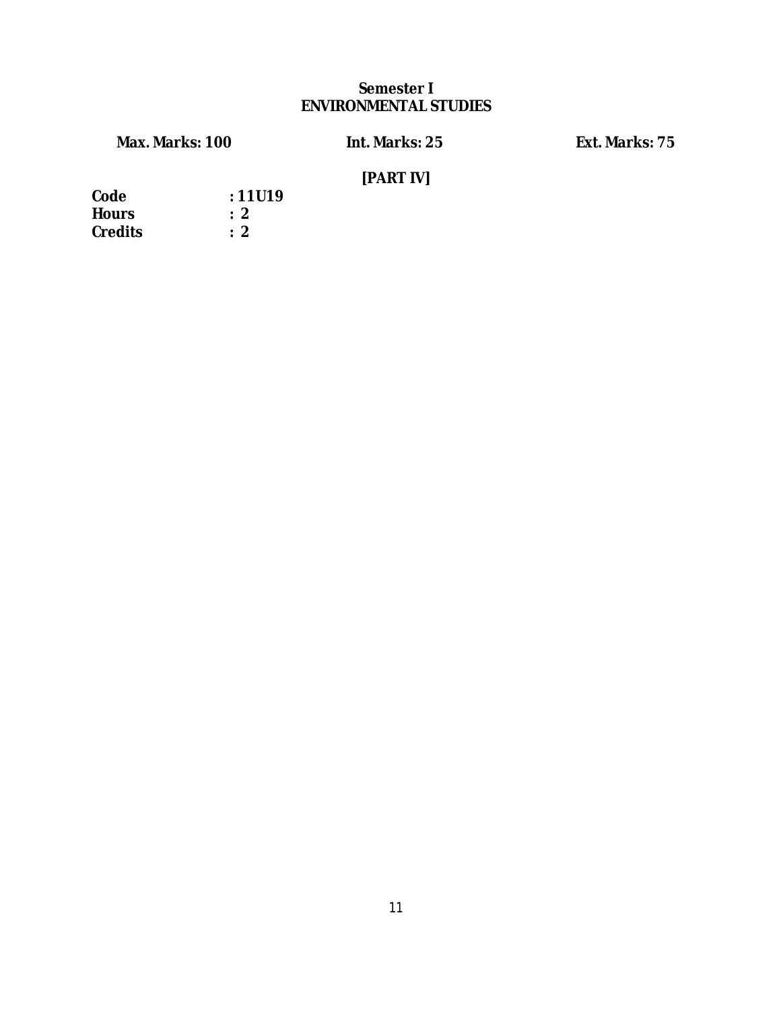# **Semester I ENVIRONMENTAL STUDIES**

**Max. Marks: 100 Int. Marks: 25 Ext. Marks: 75** 

# **[PART IV]**

| Code           | :11U19         |
|----------------|----------------|
| <b>Hours</b>   | :2             |
| <b>Credits</b> | $\therefore$ 2 |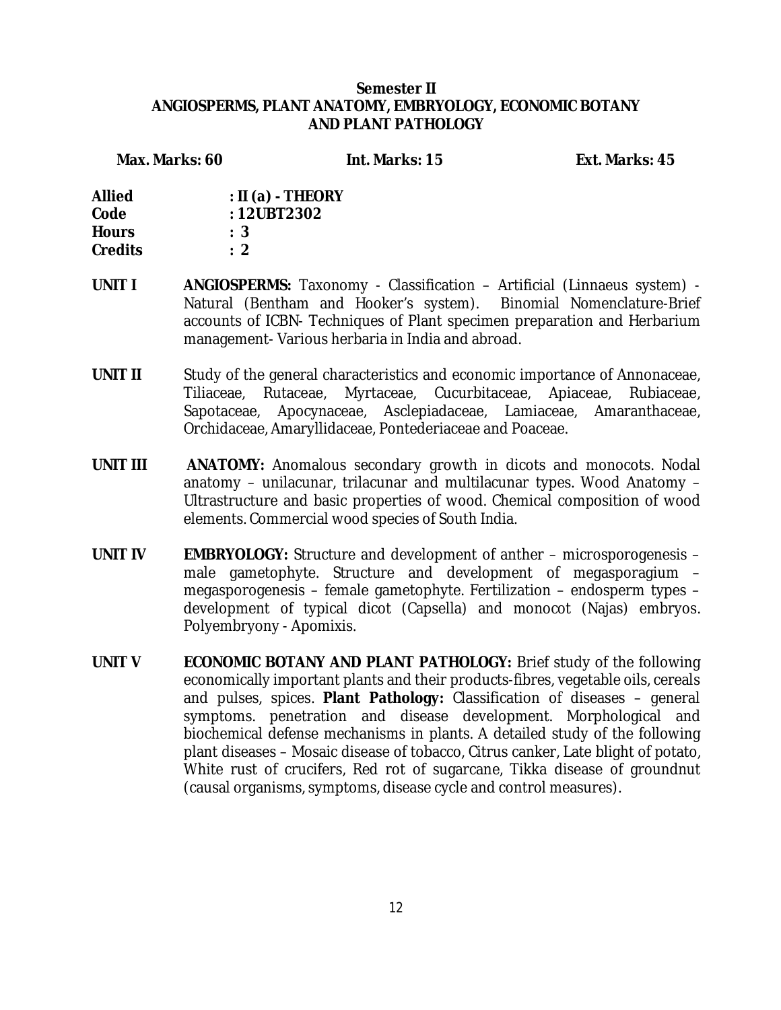# **Semester II ANGIOSPERMS, PLANT ANATOMY, EMBRYOLOGY, ECONOMIC BOTANY AND PLANT PATHOLOGY**

| Max. Marks: 60 |                    | Int. Marks: 15 | Ext. Marks: 45 |
|----------------|--------------------|----------------|----------------|
| Allied         | $: II(a)$ - THEORY |                |                |
| Code           | :12UBT2302         |                |                |
| Hours          | : 3                |                |                |
| Credits        | : 2                |                |                |

- **UNIT I ANGIOSPERMS:** Taxonomy Classification Artificial (Linnaeus system) Natural (Bentham and Hooker's system). Binomial Nomenclature-Brief accounts of ICBN- Techniques of Plant specimen preparation and Herbarium management- Various herbaria in India and abroad.
- UNIT II Study of the general characteristics and economic importance of Annonaceae, Tiliaceae, Rutaceae, Myrtaceae, Cucurbitaceae, Apiaceae, Rubiaceae, Sapotaceae, Apocynaceae, Asclepiadaceae, Lamiaceae, Amaranthaceae, Orchidaceae, Amaryllidaceae, Pontederiaceae and Poaceae.
- **UNIT III ANATOMY:** Anomalous secondary growth in dicots and monocots. Nodal anatomy – unilacunar, trilacunar and multilacunar types. Wood Anatomy – Ultrastructure and basic properties of wood. Chemical composition of wood elements. Commercial wood species of South India.
- **UNIT IV EMBRYOLOGY:** Structure and development of anther microsporogenesis male gametophyte. Structure and development of megasporagium – megasporogenesis – female gametophyte. Fertilization – endosperm types – development of typical dicot (Capsella) and monocot (Najas) embryos. Polyembryony - Apomixis.
- **UNIT V ECONOMIC BOTANY AND PLANT PATHOLOGY:** Brief study of the following economically important plants and their products-fibres, vegetable oils, cereals and pulses, spices. **Plant Pathology:** Classification of diseases – general symptoms. penetration and disease development. Morphological and biochemical defense mechanisms in plants. A detailed study of the following plant diseases – Mosaic disease of tobacco, Citrus canker, Late blight of potato, White rust of crucifers, Red rot of sugarcane, Tikka disease of groundnut (causal organisms, symptoms, disease cycle and control measures).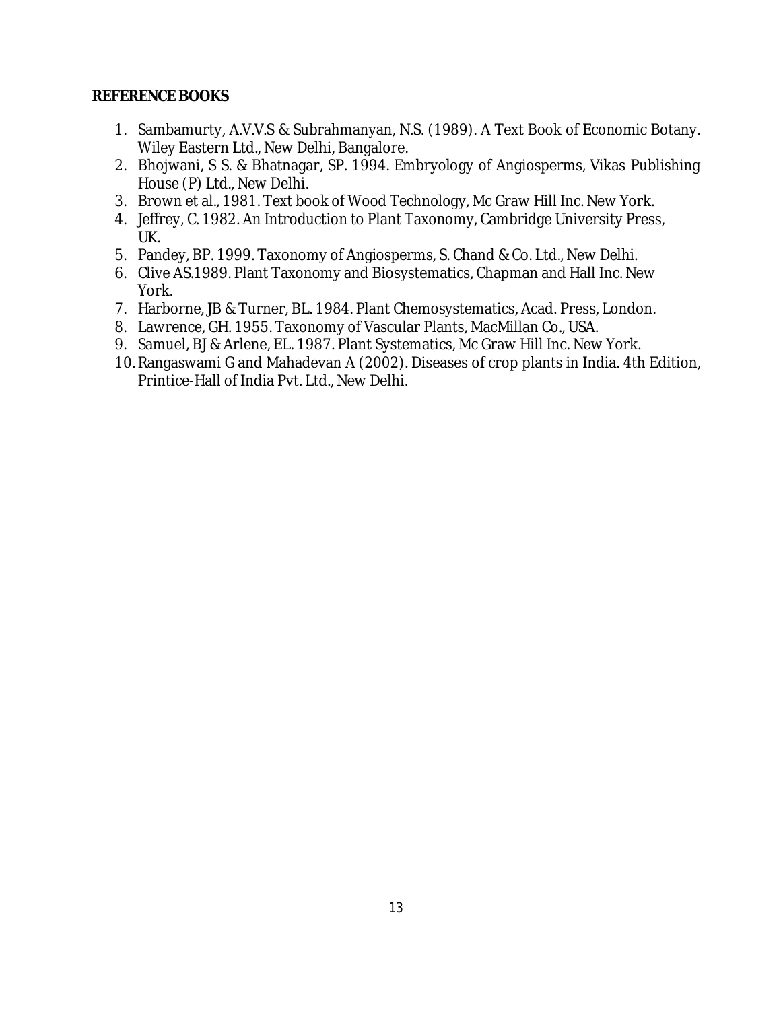#### **REFERENCE BOOKS**

- 1. Sambamurty, A.V.V.S & Subrahmanyan, N.S. (1989). A Text Book of Economic Botany. Wiley Eastern Ltd., New Delhi, Bangalore.
- 2. Bhojwani, S S. & Bhatnagar, SP. 1994. Embryology of Angiosperms, Vikas Publishing House (P) Ltd., New Delhi.
- 3. Brown et al., 1981. Text book of Wood Technology, Mc Graw Hill Inc. New York.
- 4. Jeffrey, C. 1982. An Introduction to Plant Taxonomy, Cambridge University Press, UK.
- 5. Pandey, BP. 1999. Taxonomy of Angiosperms, S. Chand & Co. Ltd., New Delhi.
- 6. Clive AS.1989. Plant Taxonomy and Biosystematics, Chapman and Hall Inc. New York.
- 7. Harborne, JB & Turner, BL. 1984. Plant Chemosystematics, Acad. Press, London.
- 8. Lawrence, GH. 1955. Taxonomy of Vascular Plants, MacMillan Co., USA.
- 9. Samuel, BJ & Arlene, EL. 1987. Plant Systematics, Mc Graw Hill Inc. New York.
- 10. Rangaswami G and Mahadevan A (2002). Diseases of crop plants in India. 4th Edition, Printice-Hall of India Pvt. Ltd., New Delhi.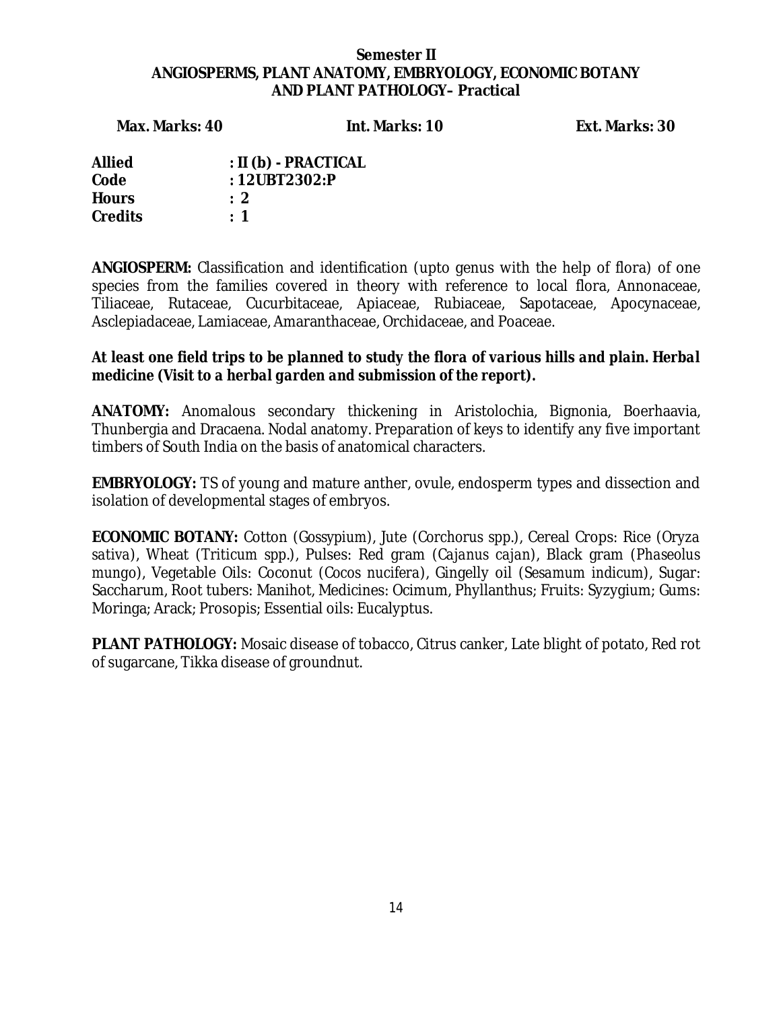# **Semester II ANGIOSPERMS, PLANT ANATOMY, EMBRYOLOGY, ECONOMIC BOTANY AND PLANT PATHOLOGY– Practical**

| Max. Marks: 40 |                 | Int. Marks: 10         | Ext. Marks: 30 |
|----------------|-----------------|------------------------|----------------|
| Allied         |                 | $:$ II (b) - PRACTICAL |                |
| Code           | : $12UBT2302:P$ |                        |                |
| Hours          | : 2             |                        |                |
| Credits        | $\div$ 1        |                        |                |

**ANGIOSPERM:** Classification and identification (upto genus with the help of flora) of one species from the families covered in theory with reference to local flora, Annonaceae, Tiliaceae, Rutaceae, Cucurbitaceae, Apiaceae, Rubiaceae, Sapotaceae, Apocynaceae, Asclepiadaceae, Lamiaceae, Amaranthaceae, Orchidaceae, and Poaceae.

*At least one field trips to be planned to study the flora of various hills and plain. Herbal medicine (Visit to a herbal garden and submission of the report).* 

**ANATOMY:** Anomalous secondary thickening in Aristolochia, Bignonia, Boerhaavia, Thunbergia and Dracaena. Nodal anatomy. Preparation of keys to identify any five important timbers of South India on the basis of anatomical characters.

**EMBRYOLOGY:** TS of young and mature anther, ovule, endosperm types and dissection and isolation of developmental stages of embryos.

**ECONOMIC BOTANY:** Cotton (*Gossypium*), Jute (*Corchorus spp*.), Cereal Crops: Rice (*Oryza sativa*), Wheat (*Triticum spp*.), Pulses: Red gram (*Cajanus cajan*), Black gram (*Phaseolus mungo*), Vegetable Oils: Coconut (*Cocos nucifera*), Gingelly oil (*Sesamum indicum*), Sugar: Saccharum, Root tubers: Manihot, Medicines: Ocimum, Phyllanthus; Fruits: Syzygium; Gums: Moringa; Arack; Prosopis; Essential oils: Eucalyptus.

**PLANT PATHOLOGY:** Mosaic disease of tobacco, Citrus canker, Late blight of potato, Red rot of sugarcane, Tikka disease of groundnut.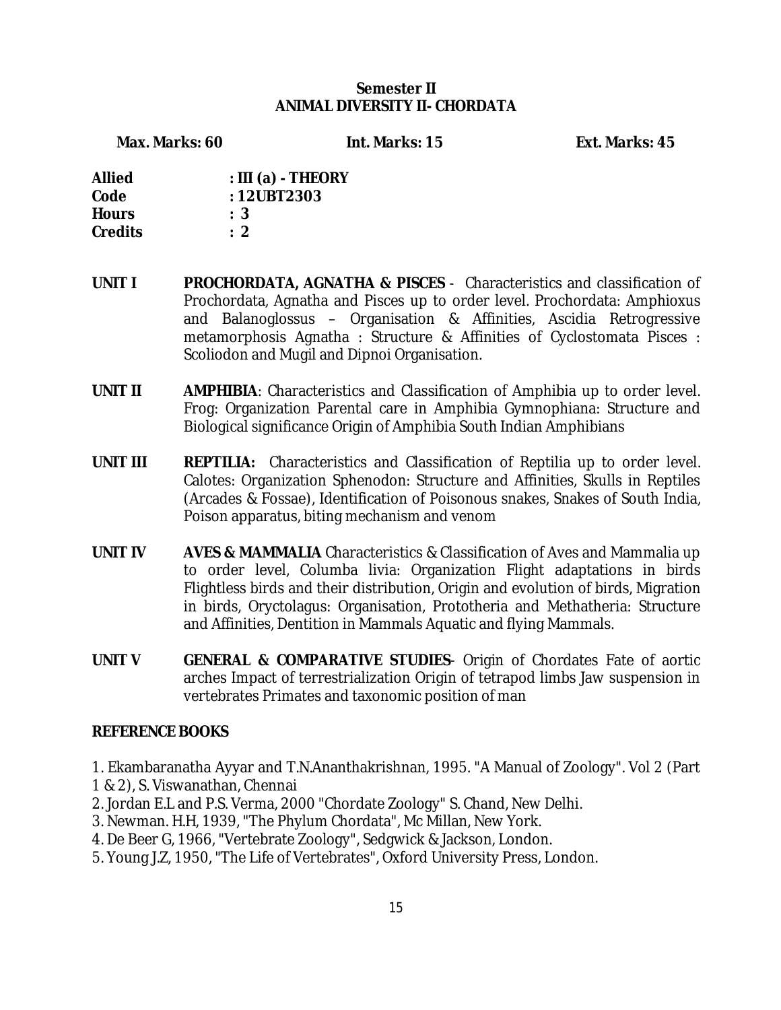# **Semester II ANIMAL DIVERSITY II- CHORDATA**

**Max. Marks: 60 Int. Marks: 15 Ext. Marks: 45** 

| <b>Allied</b>  | : III (a) - THEORY |
|----------------|--------------------|
| Code           | : 12UBT2303        |
| <b>Hours</b>   | : 3                |
| <b>Credits</b> | $\cdot$ 2          |

- **UNIT I PROCHORDATA, AGNATHA & PISCES** Characteristics and classification of Prochordata, Agnatha and Pisces up to order level. Prochordata: Amphioxus and Balanoglossus – Organisation & Affinities, Ascidia Retrogressive metamorphosis Agnatha : Structure & Affinities of Cyclostomata Pisces : Scoliodon and Mugil and Dipnoi Organisation.
- **UNIT II AMPHIBIA**: Characteristics and Classification of Amphibia up to order level. Frog: Organization Parental care in Amphibia Gymnophiana: Structure and Biological significance Origin of Amphibia South Indian Amphibians
- **UNIT III REPTILIA:** Characteristics and Classification of Reptilia up to order level. Calotes: Organization Sphenodon: Structure and Affinities, Skulls in Reptiles (Arcades & Fossae), Identification of Poisonous snakes, Snakes of South India, Poison apparatus, biting mechanism and venom
- **UNIT IV AVES & MAMMALIA** Characteristics & Classification of Aves and Mammalia up to order level, Columba livia: Organization Flight adaptations in birds Flightless birds and their distribution, Origin and evolution of birds, Migration in birds, Oryctolagus: Organisation, Prototheria and Methatheria: Structure and Affinities, Dentition in Mammals Aquatic and flying Mammals.
- **UNIT V GENERAL & COMPARATIVE STUDIES** Origin of Chordates Fate of aortic arches Impact of terrestrialization Origin of tetrapod limbs Jaw suspension in vertebrates Primates and taxonomic position of man

# **REFERENCE BOOKS**

- 1. Ekambaranatha Ayyar and T.N.Ananthakrishnan, 1995. "A Manual of Zoology". Vol 2 (Part
- 1 & 2), S. Viswanathan, Chennai
- 2. Jordan E.L and P.S. Verma, 2000 "Chordate Zoology" S. Chand, New Delhi.
- 3. Newman. H.H, 1939, "The Phylum Chordata", Mc Millan, New York.
- 4. De Beer G, 1966, "Vertebrate Zoology", Sedgwick & Jackson, London.
- 5. Young J.Z, 1950, "The Life of Vertebrates", Oxford University Press, London.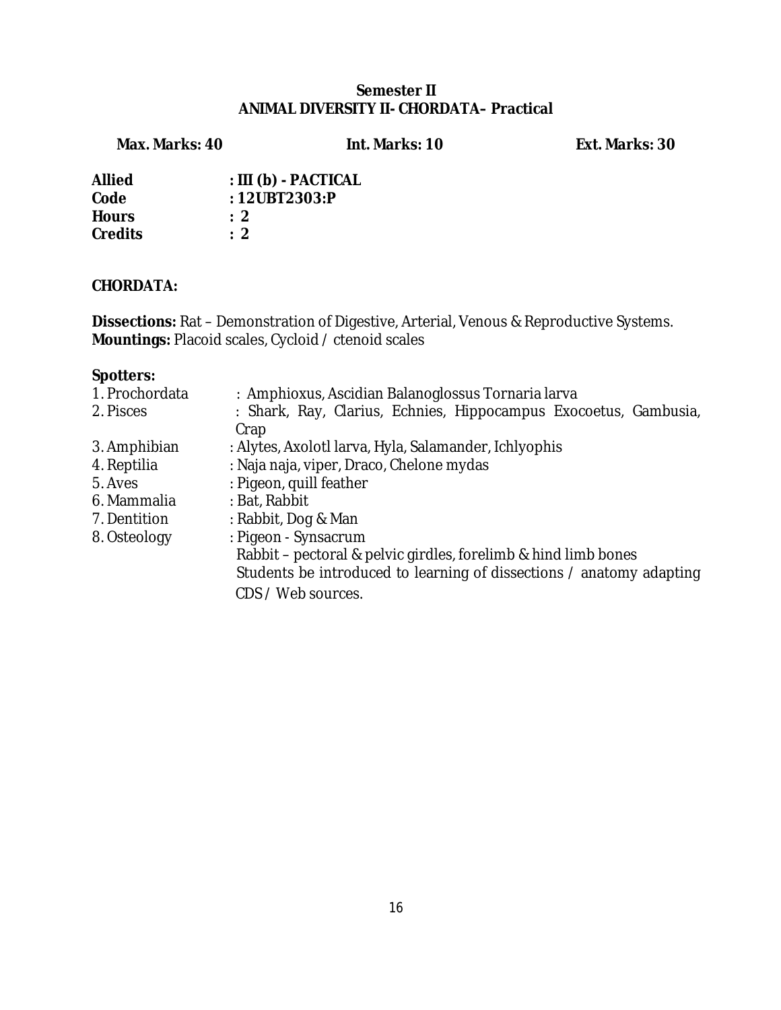# **Semester II ANIMAL DIVERSITY II- CHORDATA– Practical**

**Max. Marks: 40 Int. Marks: 10 Ext. Marks: 30** 

| <b>Allied</b>  | : III (b) - PACTICAL |
|----------------|----------------------|
| Code           | : $12UBT2303:P$      |
| <b>Hours</b>   | $\cdot$ 2            |
| <b>Credits</b> | $\cdot$ 2            |

# **CHORDATA:**

**Dissections:** Rat – Demonstration of Digestive, Arterial, Venous & Reproductive Systems. **Mountings:** Placoid scales, Cycloid / ctenoid scales

# **Spotters:**

| 1. Prochordata | : Amphioxus, Ascidian Balanoglossus Tornaria larva                   |
|----------------|----------------------------------------------------------------------|
| 2. Pisces      | : Shark, Ray, Clarius, Echnies, Hippocampus Exocoetus, Gambusia,     |
|                | Crap                                                                 |
| 3. Amphibian   | : Alytes, Axolotl larva, Hyla, Salamander, Ichlyophis                |
| 4. Reptilia    | : Naja naja, viper, Draco, Chelone mydas                             |
| 5. Aves        | : Pigeon, quill feather                                              |
| 6. Mammalia    | : Bat, Rabbit                                                        |
| 7. Dentition   | : Rabbit, Dog & Man                                                  |
| 8. Osteology   | : Pigeon - Synsacrum                                                 |
|                | Rabbit - pectoral & pelvic girdles, forelimb & hind limb bones       |
|                | Students be introduced to learning of dissections / anatomy adapting |
|                | CDS / Web sources.                                                   |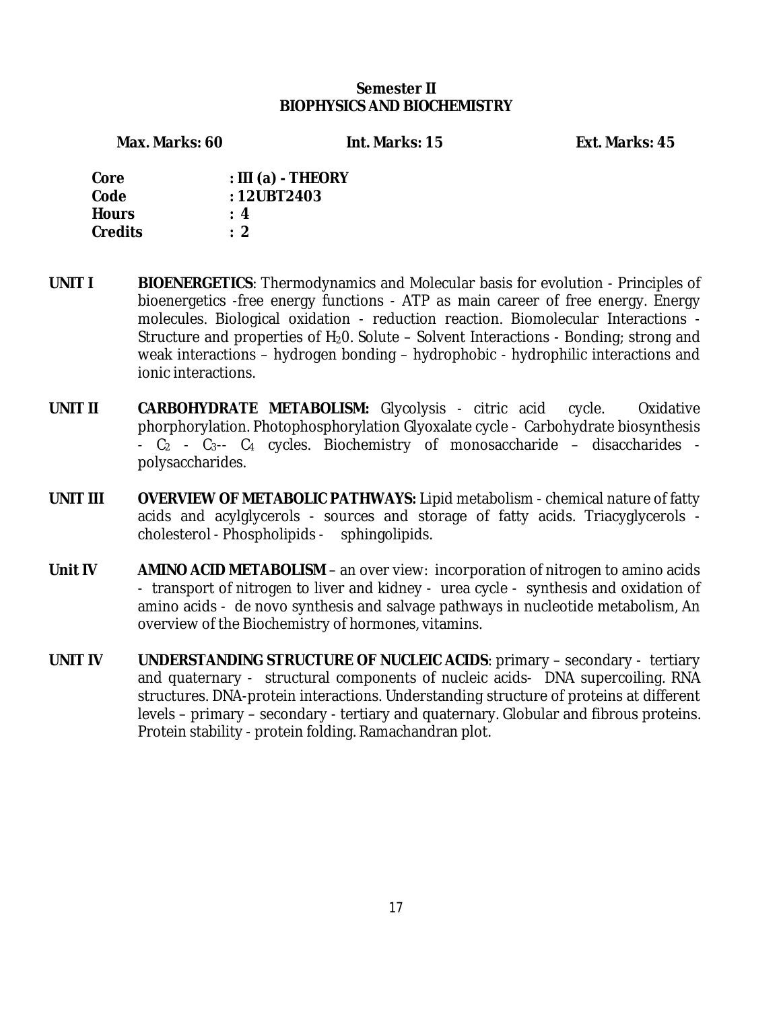# **Semester II BIOPHYSICS AND BIOCHEMISTRY**

**Max. Marks: 60 Int. Marks: 15 Ext. Marks: 45** 

| Core           | : III (a) - THEORY |
|----------------|--------------------|
| Code           | : 12UBT2403        |
| <b>Hours</b>   | :4                 |
| <b>Credits</b> | : 2                |

- **UNIT I BIOENERGETICS**: Thermodynamics and Molecular basis for evolution Principles of bioenergetics -free energy functions - ATP as main career of free energy. Energy molecules. Biological oxidation - reduction reaction. Biomolecular Interactions - Structure and properties of  $H_2O$ . Solute – Solvent Interactions - Bonding; strong and weak interactions – hydrogen bonding – hydrophobic - hydrophilic interactions and ionic interactions.
- **UNIT II CARBOHYDRATE METABOLISM:** Glycolysis citric acid cycle. Oxidative phorphorylation. Photophosphorylation Glyoxalate cycle - Carbohydrate biosynthesis  $-C_2 - C_3 - C_4$  cycles. Biochemistry of monosaccharide – disaccharides polysaccharides.
- **UNIT III OVERVIEW OF METABOLIC PATHWAYS:** Lipid metabolism chemical nature of fatty acids and acylglycerols - sources and storage of fatty acids. Triacyglycerols cholesterol - Phospholipids - sphingolipids.
- **Unit IV AMINO ACID METABOLISM** an over view: incorporation of nitrogen to amino acids - transport of nitrogen to liver and kidney - urea cycle - synthesis and oxidation of amino acids - de novo synthesis and salvage pathways in nucleotide metabolism, An overview of the Biochemistry of hormones, vitamins.
- **UNIT IV UNDERSTANDING STRUCTURE OF NUCLEIC ACIDS**: primary secondary tertiary and quaternary - structural components of nucleic acids- DNA supercoiling. RNA structures. DNA-protein interactions. Understanding structure of proteins at different levels – primary – secondary - tertiary and quaternary. Globular and fibrous proteins. Protein stability - protein folding. Ramachandran plot.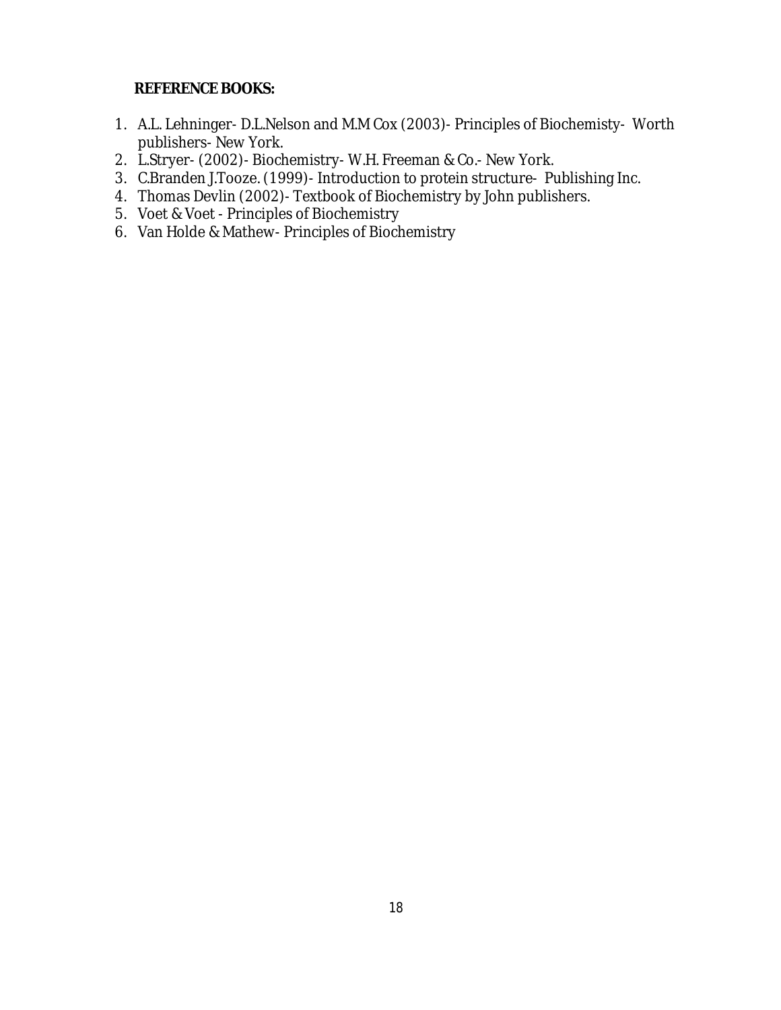#### **REFERENCE BOOKS:**

- 1. A.L. Lehninger- D.L.Nelson and M.M Cox (2003)- Principles of Biochemisty- Worth publishers- New York.
- 2. L.Stryer- (2002)- Biochemistry- W.H. Freeman & Co.- New York.
- 3. C.Branden J.Tooze. (1999)- Introduction to protein structure- Publishing Inc.
- 4. Thomas Devlin (2002)- Textbook of Biochemistry by John publishers.
- 5. Voet & Voet Principles of Biochemistry
- 6. Van Holde & Mathew- Principles of Biochemistry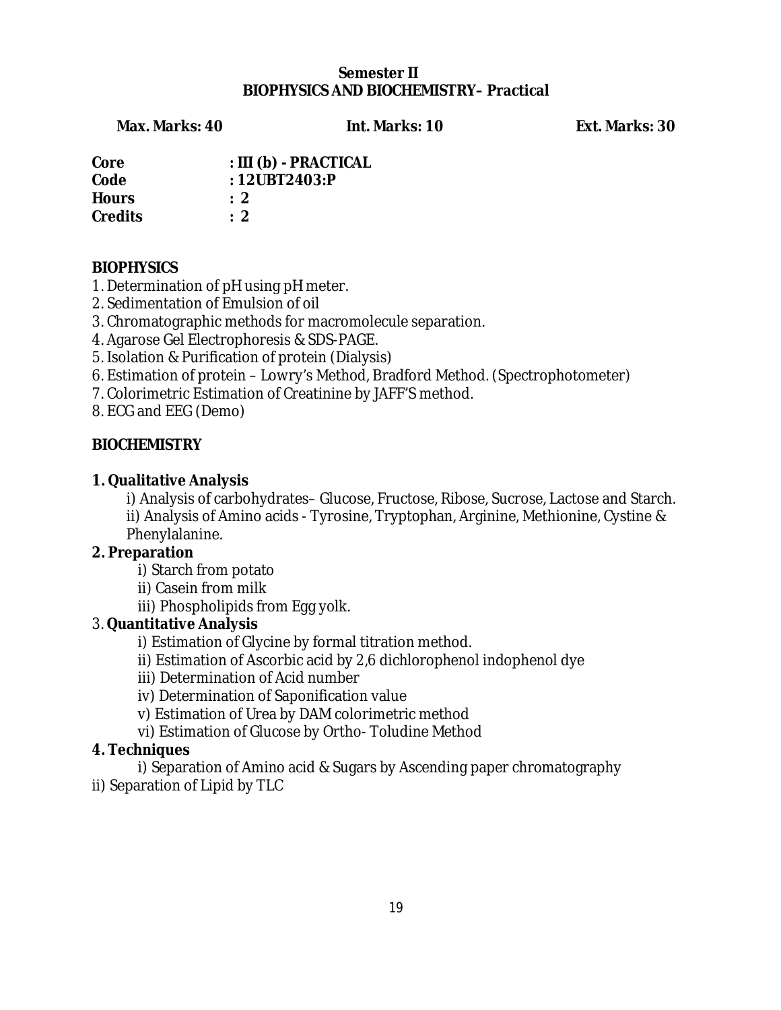# **Semester II BIOPHYSICS AND BIOCHEMISTRY– Practical**

**Max. Marks: 40 Int. Marks: 10 Ext. Marks: 30** 

| Core           | : III (b) - PRACTICAL |
|----------------|-----------------------|
| Code           | : $12UBT2403:P$       |
| Hours          | $\cdot$ 2.            |
| <b>Credits</b> | $\cdot$ 2.            |

# **BIOPHYSICS**

- 1. Determination of pH using pH meter.
- 2. Sedimentation of Emulsion of oil
- 3. Chromatographic methods for macromolecule separation.
- 4. Agarose Gel Electrophoresis & SDS-PAGE.
- 5. Isolation & Purification of protein (Dialysis)
- 6. Estimation of protein Lowry's Method, Bradford Method. (Spectrophotometer)
- 7. Colorimetric Estimation of Creatinine by JAFF'S method.
- 8. ECG and EEG (Demo)

# **BIOCHEMISTRY**

- **1. Qualitative Analysis** 
	- i) Analysis of carbohydrates– Glucose, Fructose, Ribose, Sucrose, Lactose and Starch.
	- ii) Analysis of Amino acids Tyrosine, Tryptophan, Arginine, Methionine, Cystine & Phenylalanine.
- **2. Preparation** 
	- i) Starch from potato
	- ii) Casein from milk
		- iii) Phospholipids from Egg yolk.
- 3. **Quantitative Analysis** 
	- i) Estimation of Glycine by formal titration method.
	- ii) Estimation of Ascorbic acid by 2,6 dichlorophenol indophenol dye
	- iii) Determination of Acid number
	- iv) Determination of Saponification value
	- v) Estimation of Urea by DAM colorimetric method
	- vi) Estimation of Glucose by Ortho- Toludine Method
- **4. Techniques**
- i) Separation of Amino acid & Sugars by Ascending paper chromatography ii) Separation of Lipid by TLC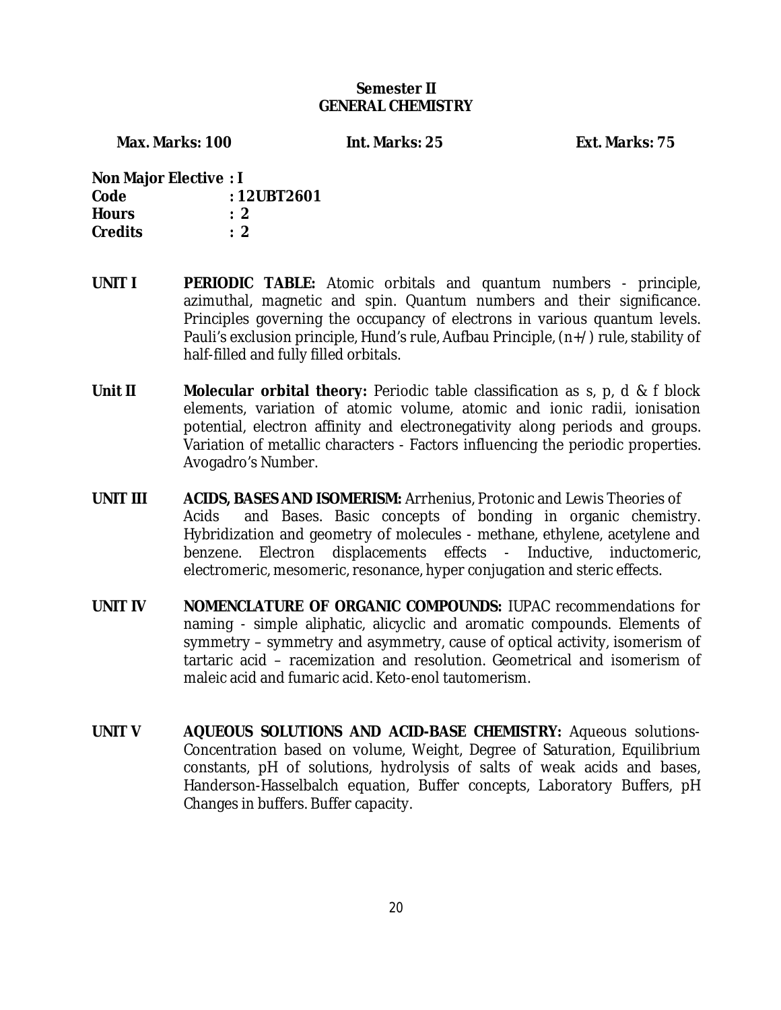# **Semester II GENERAL CHEMISTRY**

**Max. Marks: 100 Int. Marks: 25 Ext. Marks: 75** 

**Non Major Elective : I Code : 12UBT2601 Hours : 2 Credits : 2** 

- **UNIT I PERIODIC TABLE:** Atomic orbitals and quantum numbers principle, azimuthal, magnetic and spin. Quantum numbers and their significance. Principles governing the occupancy of electrons in various quantum levels. Pauli's exclusion principle, Hund's rule, Aufbau Principle, (n+/) rule, stability of half-filled and fully filled orbitals.
- **Unit II Molecular orbital theory:** Periodic table classification as s, p, d & f block elements, variation of atomic volume, atomic and ionic radii, ionisation potential, electron affinity and electronegativity along periods and groups. Variation of metallic characters - Factors influencing the periodic properties. Avogadro's Number.
- **UNIT III ACIDS, BASES AND ISOMERISM:** Arrhenius, Protonic and Lewis Theories of Acids and Bases. Basic concepts of bonding in organic chemistry. Hybridization and geometry of molecules - methane, ethylene, acetylene and benzene. Electron displacements effects - Inductive, inductomeric, electromeric, mesomeric, resonance, hyper conjugation and steric effects.
- **UNIT IV NOMENCLATURE OF ORGANIC COMPOUNDS:** IUPAC recommendations for naming - simple aliphatic, alicyclic and aromatic compounds. Elements of symmetry – symmetry and asymmetry, cause of optical activity, isomerism of tartaric acid – racemization and resolution. Geometrical and isomerism of maleic acid and fumaric acid. Keto-enol tautomerism.
- **UNIT V AQUEOUS SOLUTIONS AND ACID-BASE CHEMISTRY:** Aqueous solutions-Concentration based on volume, Weight, Degree of Saturation, Equilibrium constants, pH of solutions, hydrolysis of salts of weak acids and bases, Handerson-Hasselbalch equation, Buffer concepts, Laboratory Buffers, pH Changes in buffers. Buffer capacity.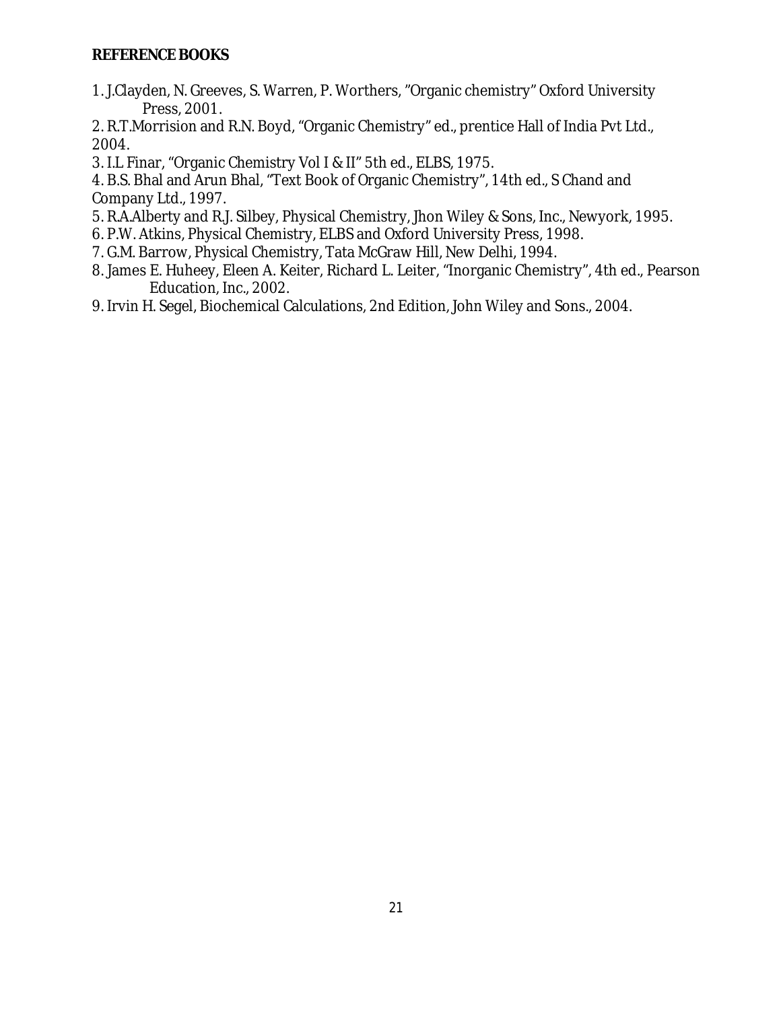#### **REFERENCE BOOKS**

- 1. J.Clayden, N. Greeves, S. Warren, P. Worthers, "Organic chemistry" Oxford University Press, 2001.
- 2. R.T.Morrision and R.N. Boyd, "Organic Chemistry" ed., prentice Hall of India Pvt Ltd., 2004.
- 3. I.L Finar, "Organic Chemistry Vol I & II" 5th ed., ELBS, 1975.
- 4. B.S. Bhal and Arun Bhal, "Text Book of Organic Chemistry", 14th ed., S Chand and Company Ltd., 1997.
- 5. R.A.Alberty and R.J. Silbey, Physical Chemistry, Jhon Wiley & Sons, Inc., Newyork, 1995.
- 6. P.W. Atkins, Physical Chemistry, ELBS and Oxford University Press, 1998.
- 7. G.M. Barrow, Physical Chemistry, Tata McGraw Hill, New Delhi, 1994.
- 8. James E. Huheey, Eleen A. Keiter, Richard L. Leiter, "Inorganic Chemistry", 4th ed., Pearson Education, Inc., 2002.
- 9. Irvin H. Segel, Biochemical Calculations, 2nd Edition, John Wiley and Sons., 2004.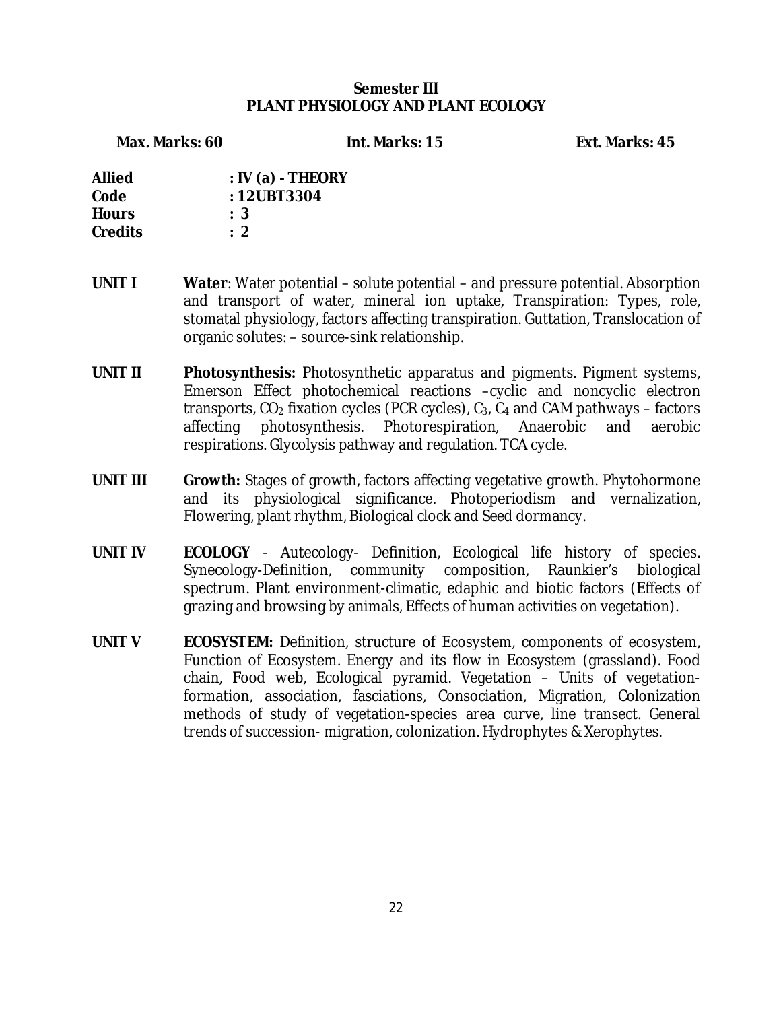# **Semester III PLANT PHYSIOLOGY AND PLANT ECOLOGY**

**Max. Marks: 60 Int. Marks: 15 Ext. Marks: 45** 

| <b>Allied</b>  | $:$ IV (a) - THEORY |
|----------------|---------------------|
| Code           | : 12UBT3304         |
| <b>Hours</b>   | : 3                 |
| <b>Credits</b> | $\cdot$ 2           |

- **UNIT I Water**: Water potential solute potential and pressure potential. Absorption and transport of water, mineral ion uptake, Transpiration: Types, role, stomatal physiology, factors affecting transpiration. Guttation, Translocation of organic solutes: – source-sink relationship.
- **UNIT II Photosynthesis:** Photosynthetic apparatus and pigments. Pigment systems, Emerson Effect photochemical reactions –cyclic and noncyclic electron transports,  $CO<sub>2</sub>$  fixation cycles (PCR cycles),  $C<sub>3</sub>$ ,  $C<sub>4</sub>$  and CAM pathways – factors affecting photosynthesis. Photorespiration, Anaerobic and aerobic respirations. Glycolysis pathway and regulation. TCA cycle.
- **UNIT III Growth:** Stages of growth, factors affecting vegetative growth. Phytohormone and its physiological significance. Photoperiodism and vernalization, Flowering, plant rhythm, Biological clock and Seed dormancy.
- **UNIT IV ECOLOGY** Autecology- Definition, Ecological life history of species. Synecology-Definition, community composition, Raunkier's biological spectrum. Plant environment-climatic, edaphic and biotic factors (Effects of grazing and browsing by animals, Effects of human activities on vegetation).
- **UNIT V ECOSYSTEM:** Definition, structure of Ecosystem, components of ecosystem, Function of Ecosystem. Energy and its flow in Ecosystem (grassland). Food chain, Food web, Ecological pyramid. Vegetation – Units of vegetationformation, association, fasciations, Consociation, Migration, Colonization methods of study of vegetation-species area curve, line transect. General trends of succession- migration, colonization. Hydrophytes & Xerophytes.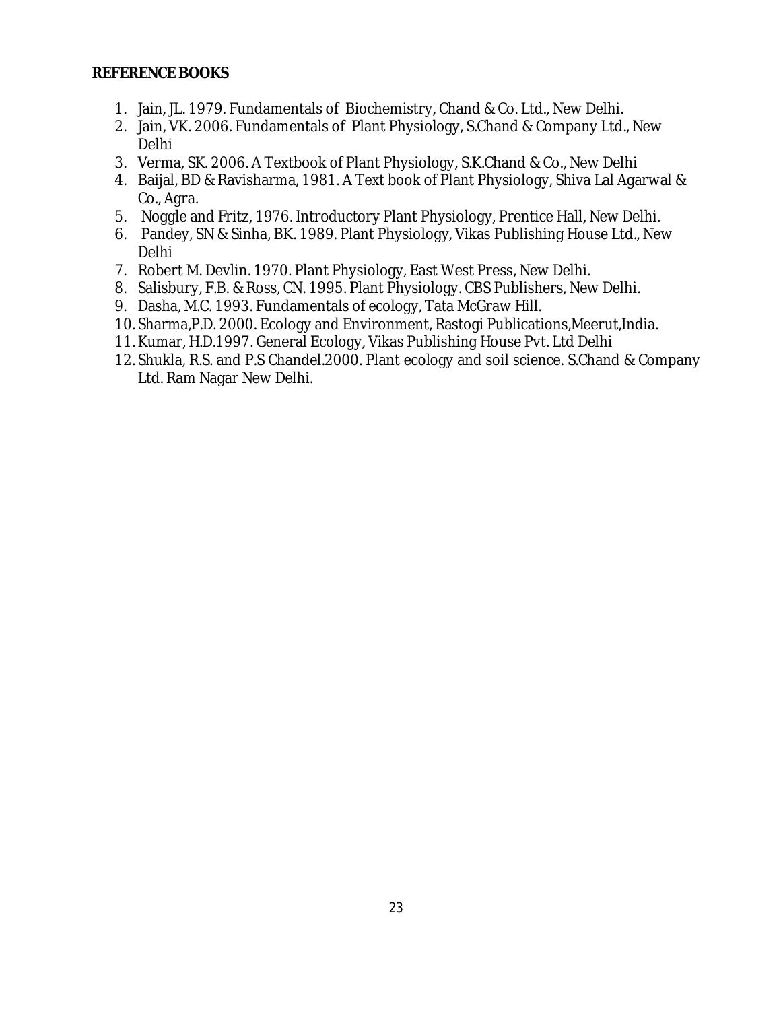#### **REFERENCE BOOKS**

- 1. Jain, JL. 1979. Fundamentals of Biochemistry, Chand & Co. Ltd., New Delhi.
- 2. Jain, VK. 2006. Fundamentals of Plant Physiology, S.Chand & Company Ltd., New Delhi
- 3. Verma, SK. 2006. A Textbook of Plant Physiology, S.K.Chand & Co., New Delhi
- 4. Baijal, BD & Ravisharma, 1981. A Text book of Plant Physiology, Shiva Lal Agarwal & Co., Agra.
- 5. Noggle and Fritz, 1976. Introductory Plant Physiology, Prentice Hall, New Delhi.
- 6. Pandey, SN & Sinha, BK. 1989. Plant Physiology, Vikas Publishing House Ltd., New Delhi
- 7. Robert M. Devlin. 1970. Plant Physiology, East West Press, New Delhi.
- 8. Salisbury, F.B. & Ross, CN. 1995. Plant Physiology. CBS Publishers, New Delhi.
- 9. Dasha, M.C. 1993. Fundamentals of ecology, Tata McGraw Hill.
- 10.Sharma,P.D. 2000. Ecology and Environment, Rastogi Publications,Meerut,India.
- 11. Kumar, H.D.1997. General Ecology, Vikas Publishing House Pvt. Ltd Delhi
- 12.Shukla, R.S. and P.S Chandel.2000. Plant ecology and soil science. S.Chand & Company Ltd. Ram Nagar New Delhi.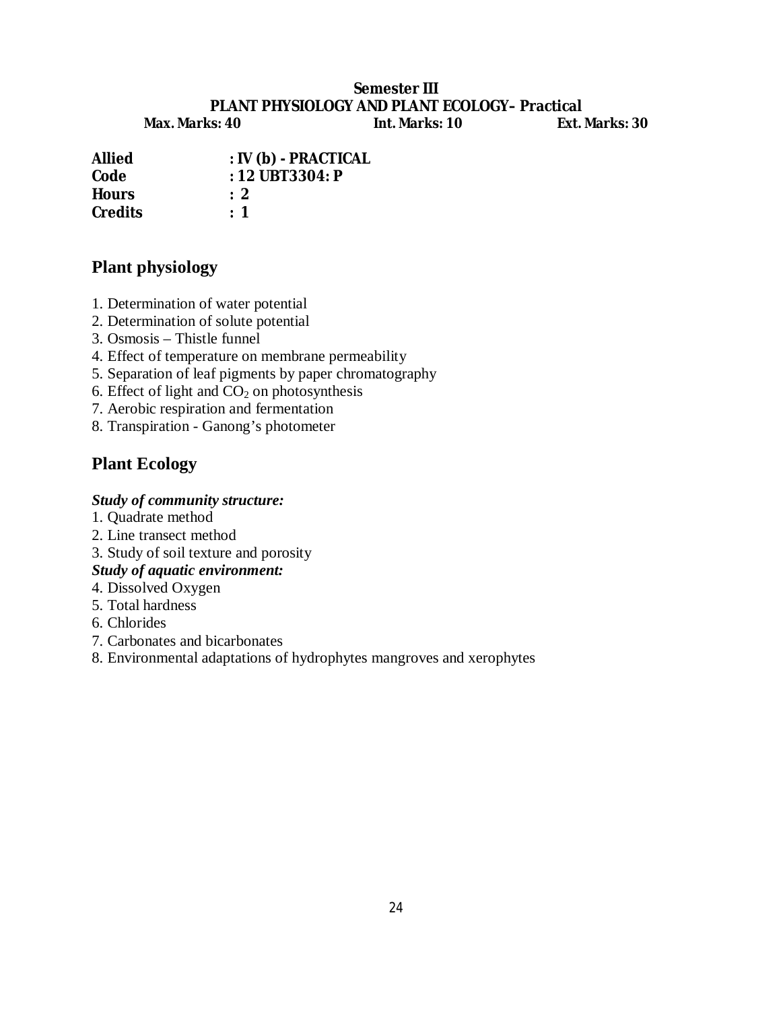# **Semester III PLANT PHYSIOLOGY AND PLANT ECOLOGY– Practical Max. Marks: 40 Int. Marks: 10 Ext. Marks: 30**

| <b>Allied</b>  | : IV (b) - PRACTICAL |
|----------------|----------------------|
| Code           | : 12 UBT3304: P      |
| <b>Hours</b>   | $\cdot$ 2            |
| <b>Credits</b> | $\therefore$ 1       |

# **Plant physiology**

- 1. Determination of water potential
- 2. Determination of solute potential
- 3. Osmosis Thistle funnel
- 4. Effect of temperature on membrane permeability
- 5. Separation of leaf pigments by paper chromatography
- 6. Effect of light and  $CO<sub>2</sub>$  on photosynthesis
- 7. Aerobic respiration and fermentation
- 8. Transpiration Ganong's photometer

# **Plant Ecology**

#### *Study of community structure:*

- 1. Quadrate method
- 2. Line transect method
- 3. Study of soil texture and porosity

# *Study of aquatic environment:*

- 4. Dissolved Oxygen
- 5. Total hardness
- 6. Chlorides
- 7. Carbonates and bicarbonates
- 8. Environmental adaptations of hydrophytes mangroves and xerophytes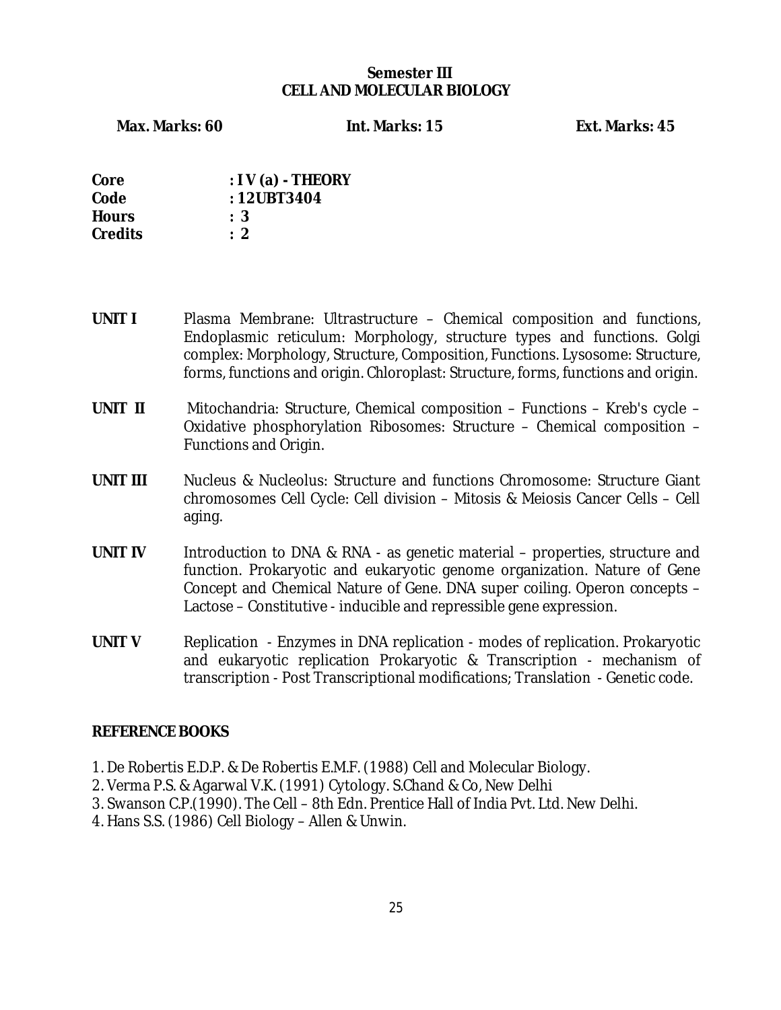# **Semester III CELL AND MOLECULAR BIOLOGY**

**Max. Marks: 60 Int. Marks: 15 Ext. Marks: 45** 

| Core           | $:$ I V (a) - THEORY |
|----------------|----------------------|
| Code           | : $12UBT3404$        |
| <b>Hours</b>   | : 3                  |
| <b>Credits</b> | $\cdot$ 2            |

- **UNIT I** Plasma Membrane: Ultrastructure Chemical composition and functions, Endoplasmic reticulum: Morphology, structure types and functions. Golgi complex: Morphology, Structure, Composition, Functions. Lysosome: Structure, forms, functions and origin. Chloroplast: Structure, forms, functions and origin.
- **UNIT II** Mitochandria: Structure, Chemical composition Functions Kreb's cycle Oxidative phosphorylation Ribosomes: Structure – Chemical composition – Functions and Origin.
- **UNIT III** Nucleus & Nucleolus: Structure and functions Chromosome: Structure Giant chromosomes Cell Cycle: Cell division – Mitosis & Meiosis Cancer Cells – Cell aging.
- UNIT IV Introduction to DNA & RNA as genetic material properties, structure and function. Prokaryotic and eukaryotic genome organization. Nature of Gene Concept and Chemical Nature of Gene. DNA super coiling. Operon concepts – Lactose – Constitutive - inducible and repressible gene expression.
- UNIT V Replication Enzymes in DNA replication modes of replication. Prokaryotic and eukaryotic replication Prokaryotic & Transcription - mechanism of transcription - Post Transcriptional modifications; Translation - Genetic code.

#### **REFERENCE BOOKS**

- 1. De Robertis E.D.P. & De Robertis E.M.F. (1988) Cell and Molecular Biology.
- 2. Verma P.S. & Agarwal V.K. (1991) Cytology. S.Chand & Co, New Delhi
- 3. Swanson C.P.(1990). The Cell 8th Edn. Prentice Hall of India Pvt. Ltd. New Delhi.
- 4. Hans S.S. (1986) Cell Biology Allen & Unwin.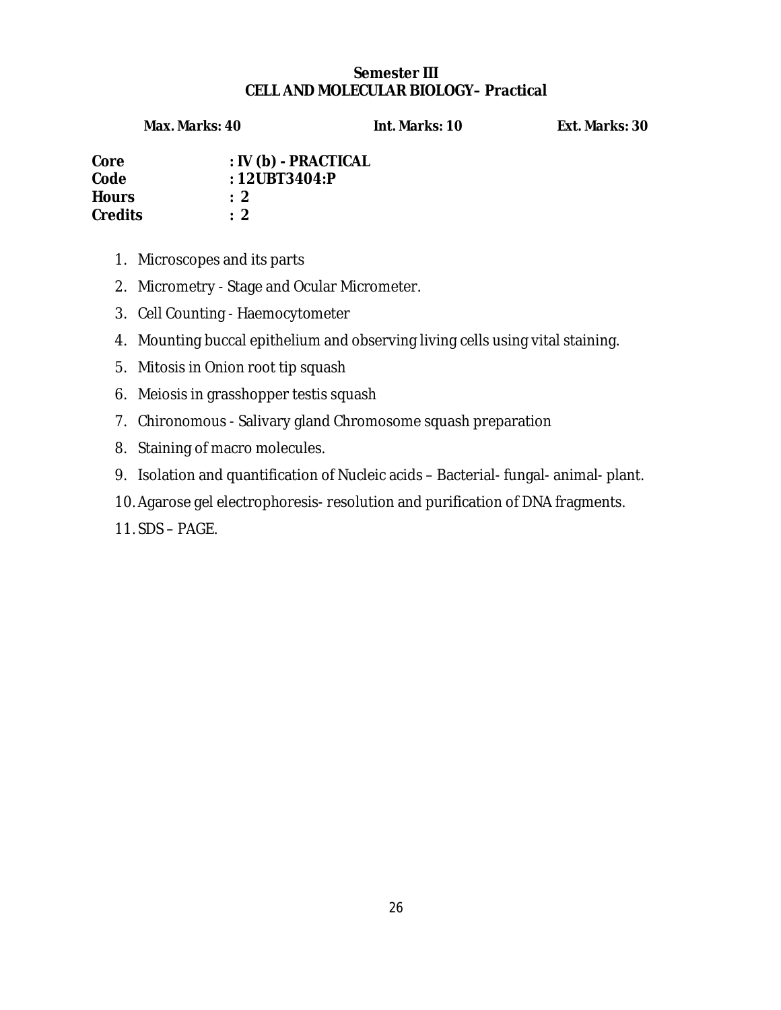# **Semester III CELL AND MOLECULAR BIOLOGY– Practical**

**Max. Marks: 40 Int. Marks: 10 Ext. Marks: 30**

| Core           | $:$ IV (b) - PRACTICAL |
|----------------|------------------------|
| Code           | : $12UBT3404:P$        |
| <b>Hours</b>   | $\therefore$ 2         |
| <b>Credits</b> | $\therefore$ 2         |

- 1. Microscopes and its parts
- 2. Micrometry Stage and Ocular Micrometer.
- 3. Cell Counting Haemocytometer
- 4. Mounting buccal epithelium and observing living cells using vital staining.
- 5. Mitosis in Onion root tip squash
- 6. Meiosis in grasshopper testis squash
- 7. Chironomous Salivary gland Chromosome squash preparation
- 8. Staining of macro molecules.
- 9. Isolation and quantification of Nucleic acids Bacterial- fungal- animal- plant.
- 10. Agarose gel electrophoresis- resolution and purification of DNA fragments.

11.SDS – PAGE.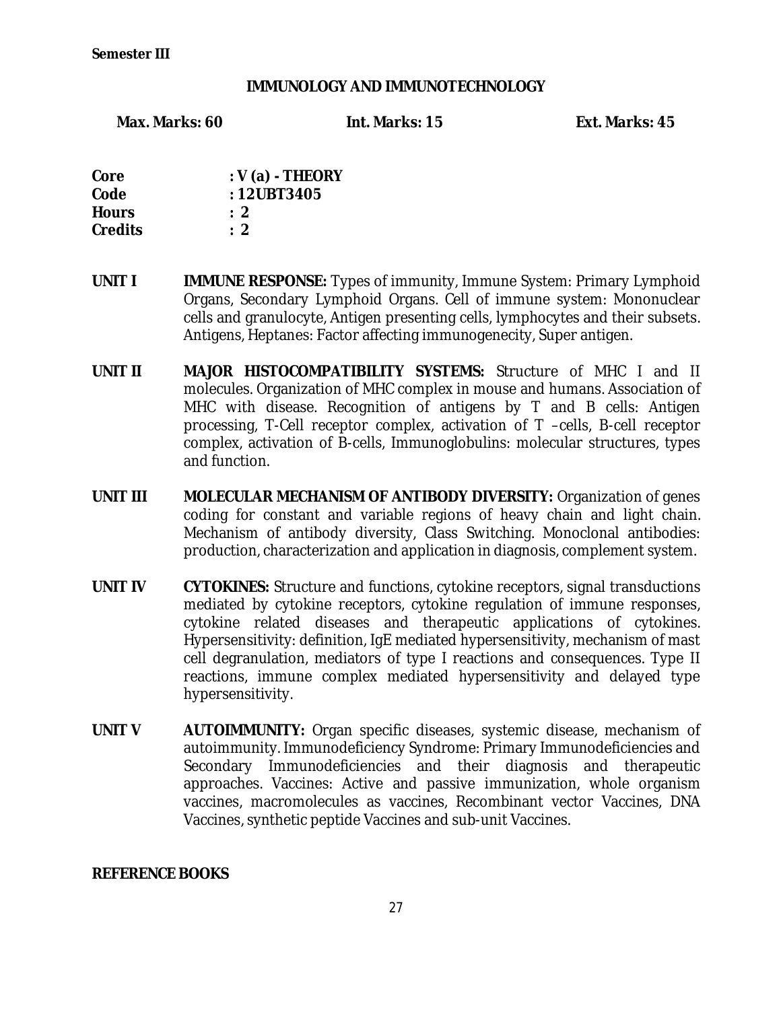#### **IMMUNOLOGY AND IMMUNOTECHNOLOGY**

**Max. Marks: 60 Int. Marks: 15 Ext. Marks: 45** 

| Core           | $: V(a)$ - THEORY |
|----------------|-------------------|
| Code           | : 12UBT3405       |
| <b>Hours</b>   | $\cdot$ 2         |
| <b>Credits</b> | $\cdot$ 2         |

- **UNIT I IMMUNE RESPONSE:** Types of immunity, Immune System: Primary Lymphoid Organs, Secondary Lymphoid Organs. Cell of immune system: Mononuclear cells and granulocyte, Antigen presenting cells, lymphocytes and their subsets. Antigens, Heptanes: Factor affecting immunogenecity, Super antigen.
- **UNIT II MAJOR HISTOCOMPATIBILITY SYSTEMS:** Structure of MHC I and II molecules. Organization of MHC complex in mouse and humans. Association of MHC with disease. Recognition of antigens by T and B cells: Antigen processing, T-Cell receptor complex, activation of T –cells, B-cell receptor complex, activation of B-cells, Immunoglobulins: molecular structures, types and function.
- **UNIT III MOLECULAR MECHANISM OF ANTIBODY DIVERSITY:** Organization of genes coding for constant and variable regions of heavy chain and light chain. Mechanism of antibody diversity, Class Switching. Monoclonal antibodies: production, characterization and application in diagnosis, complement system.
- **UNIT IV CYTOKINES:** Structure and functions, cytokine receptors, signal transductions mediated by cytokine receptors, cytokine regulation of immune responses, cytokine related diseases and therapeutic applications of cytokines. Hypersensitivity: definition, IgE mediated hypersensitivity, mechanism of mast cell degranulation, mediators of type I reactions and consequences. Type II reactions, immune complex mediated hypersensitivity and delayed type hypersensitivity.
- **UNIT V AUTOIMMUNITY:** Organ specific diseases, systemic disease, mechanism of autoimmunity. Immunodeficiency Syndrome: Primary Immunodeficiencies and Secondary Immunodeficiencies and their diagnosis and therapeutic approaches. Vaccines: Active and passive immunization, whole organism vaccines, macromolecules as vaccines, Recombinant vector Vaccines, DNA Vaccines, synthetic peptide Vaccines and sub-unit Vaccines.

# **REFERENCE BOOKS**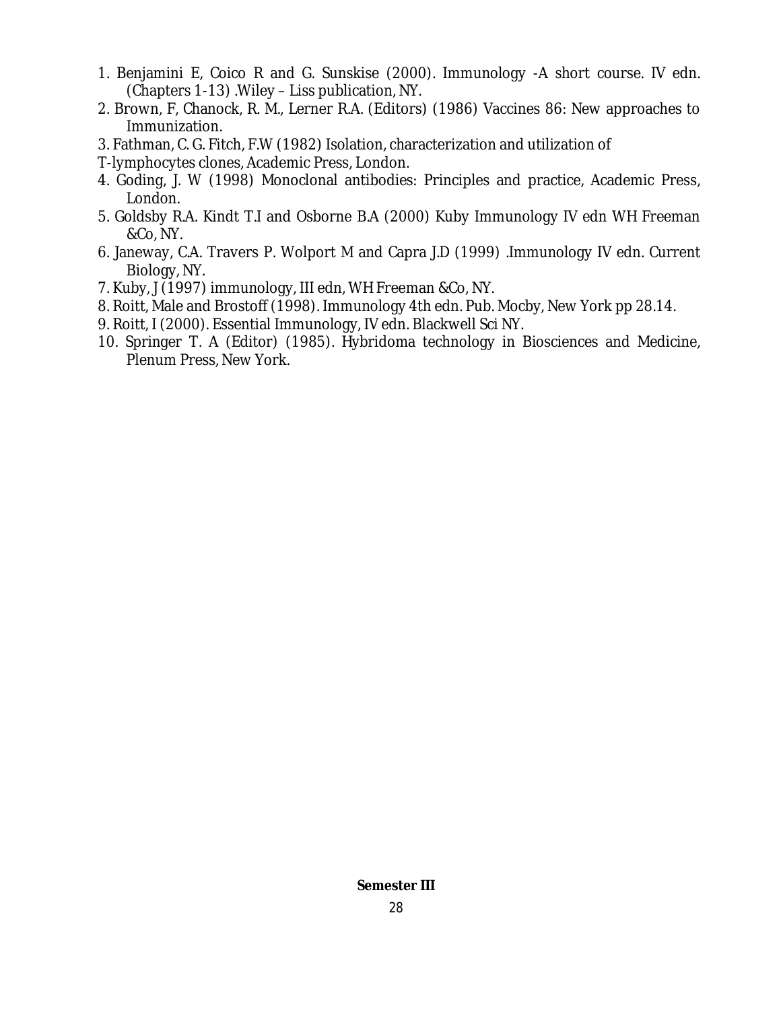- 1. Benjamini E, Coico R and G. Sunskise (2000). Immunology -A short course. IV edn. (Chapters 1-13) .Wiley – Liss publication, NY.
- 2. Brown, F, Chanock, R. M., Lerner R.A. (Editors) (1986) Vaccines 86: New approaches to Immunization.
- 3. Fathman, C. G. Fitch, F.W (1982) Isolation, characterization and utilization of
- T-lymphocytes clones, Academic Press, London.
- 4. Goding, J. W (1998) Monoclonal antibodies: Principles and practice, Academic Press, London.
- 5. Goldsby R.A. Kindt T.I and Osborne B.A (2000) Kuby Immunology IV edn WH Freeman &Co, NY.
- 6. Janeway, C.A. Travers P. Wolport M and Capra J.D (1999) .Immunology IV edn. Current Biology, NY.
- 7. Kuby, J (1997) immunology, III edn, WH Freeman &Co, NY.
- 8. Roitt, Male and Brostoff (1998). Immunology 4th edn. Pub. Mocby, New York pp 28.14.
- 9. Roitt, I (2000). Essential Immunology, IV edn. Blackwell Sci NY.
- 10. Springer T. A (Editor) (1985). Hybridoma technology in Biosciences and Medicine, Plenum Press, New York.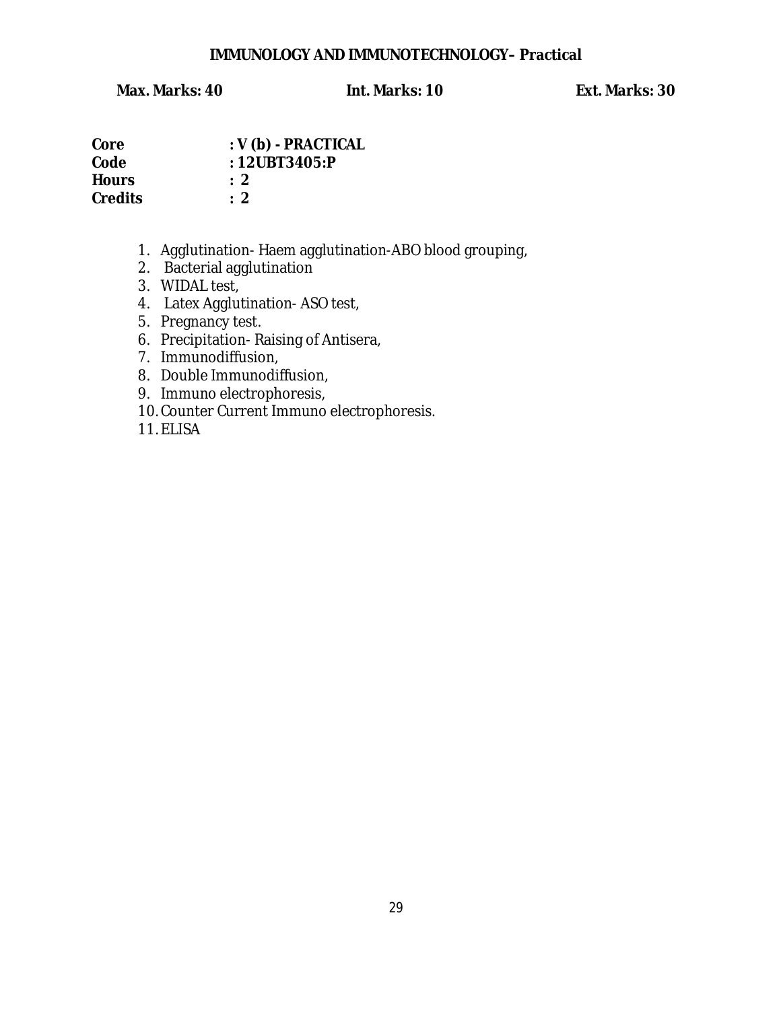# **IMMUNOLOGY AND IMMUNOTECHNOLOGY– Practical**

**Max. Marks: 40 Int. Marks: 10 Ext. Marks: 30** 

| Core           | $:V(b)$ - PRACTICAL |
|----------------|---------------------|
| Code           | : $12UBT3405P$      |
| <b>Hours</b>   | $\therefore$ 2      |
| <b>Credits</b> | $\therefore$ 2      |

- 1. Agglutination- Haem agglutination-ABO blood grouping,
- 2. Bacterial agglutination
- 3. WIDAL test,
- 4. Latex Agglutination- ASO test,
- 5. Pregnancy test.
- 6. Precipitation- Raising of Antisera,
- 7. Immunodiffusion,
- 8. Double Immunodiffusion,
- 9. Immuno electrophoresis,
- 10. Counter Current Immuno electrophoresis.
- 11. ELISA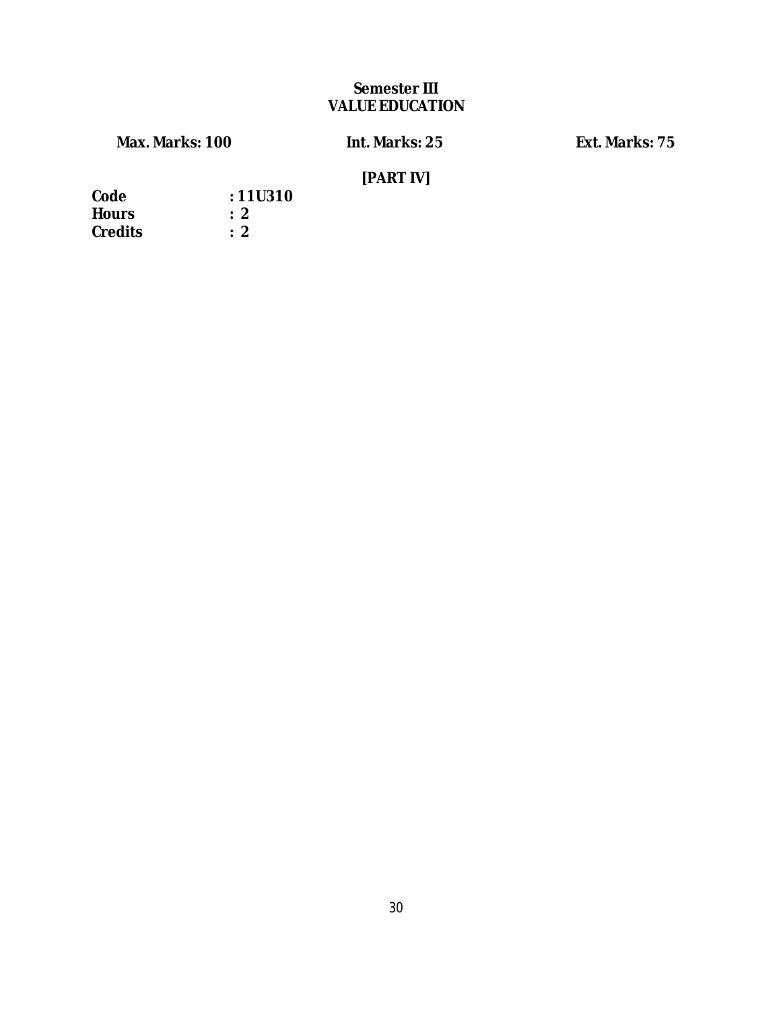# **Semester III VALUE EDUCATION**

**Max. Marks: 100 Int. Marks: 25 Ext. Marks: 75** 

# **[PART IV]**

| Code           | : 11U310       |
|----------------|----------------|
| <b>Hours</b>   | $\therefore$ 2 |
| <b>Credits</b> | : 2            |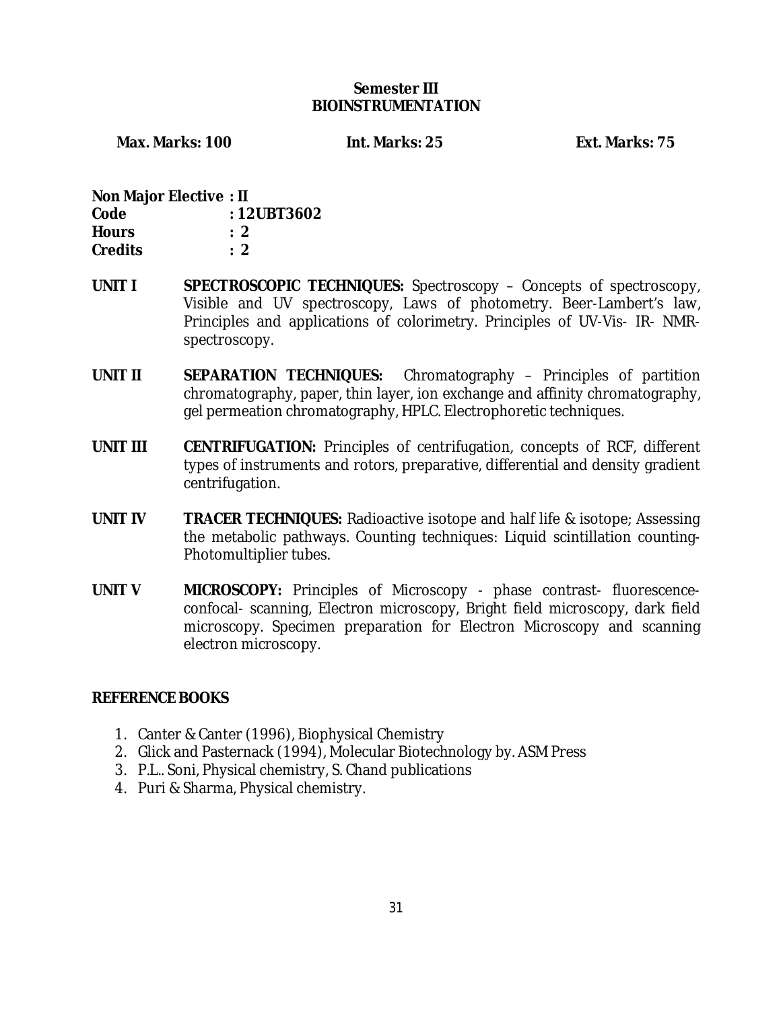# **Semester III BIOINSTRUMENTATION**

**Max. Marks: 100 Int. Marks: 25 Ext. Marks: 75** 

| <b>Non Major Elective : II</b> |                |
|--------------------------------|----------------|
| Code                           | : 12UBT3602    |
| <b>Hours</b>                   | $\therefore$ 2 |
| <b>Credits</b>                 | $\cdot$ 2      |

- **UNIT I SPECTROSCOPIC TECHNIQUES:** Spectroscopy Concepts of spectroscopy, Visible and UV spectroscopy, Laws of photometry. Beer-Lambert's law, Principles and applications of colorimetry. Principles of UV-Vis- IR- NMRspectroscopy.
- **UNIT II SEPARATION TECHNIQUES:** Chromatography Principles of partition chromatography, paper, thin layer, ion exchange and affinity chromatography, gel permeation chromatography, HPLC. Electrophoretic techniques.
- **UNIT III CENTRIFUGATION:** Principles of centrifugation, concepts of RCF, different types of instruments and rotors, preparative, differential and density gradient centrifugation.
- **UNIT IV TRACER TECHNIQUES:** Radioactive isotope and half life & isotope; Assessing the metabolic pathways. Counting techniques: Liquid scintillation counting-Photomultiplier tubes.
- **UNIT V MICROSCOPY:** Principles of Microscopy phase contrast- fluorescenceconfocal- scanning, Electron microscopy, Bright field microscopy, dark field microscopy. Specimen preparation for Electron Microscopy and scanning electron microscopy.

# **REFERENCE BOOKS**

- 1. Canter & Canter (1996), Biophysical Chemistry
- 2. Glick and Pasternack (1994), Molecular Biotechnology by. ASM Press
- 3. P.L.. Soni, Physical chemistry, S. Chand publications
- 4. Puri & Sharma, Physical chemistry.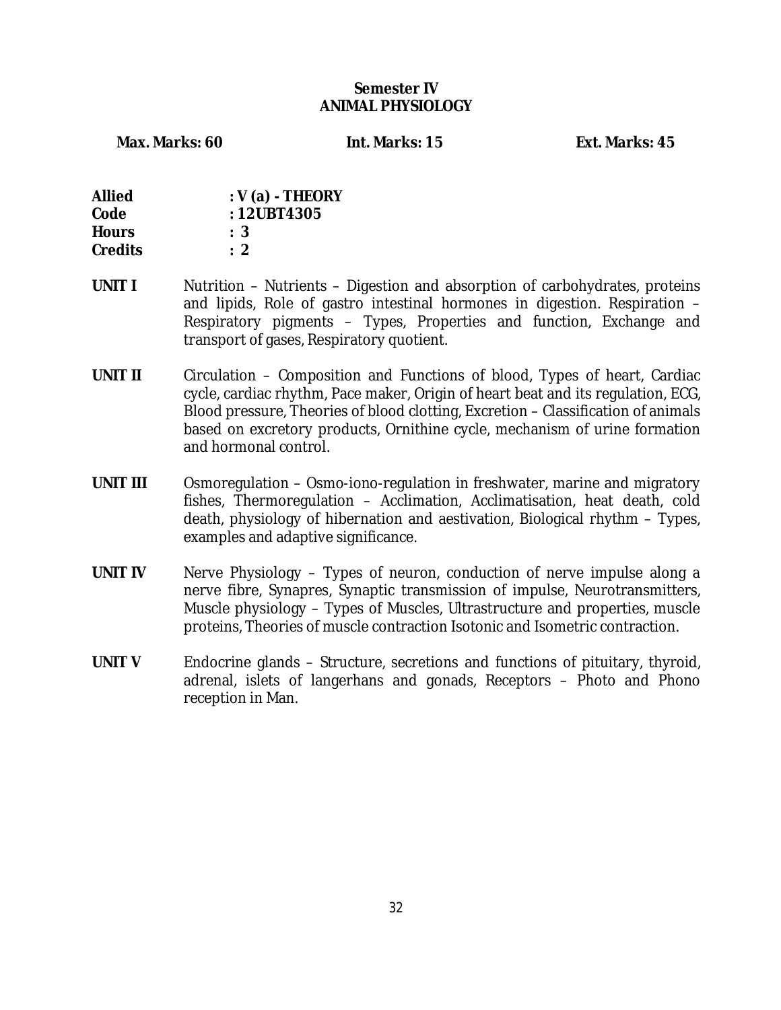# **Semester IV ANIMAL PHYSIOLOGY**

**Max. Marks: 60 Int. Marks: 15 Ext. Marks: 45** 

| <b>Allied</b>  | $: V(a)$ - THEORY |
|----------------|-------------------|
| Code           | : 12UBT4305       |
| <b>Hours</b>   | : 3               |
| <b>Credits</b> | $\cdot$ 2         |

- **UNIT I** Nutrition Nutrients Digestion and absorption of carbohydrates, proteins and lipids, Role of gastro intestinal hormones in digestion. Respiration – Respiratory pigments – Types, Properties and function, Exchange and transport of gases, Respiratory quotient.
- **UNIT II** Circulation Composition and Functions of blood, Types of heart, Cardiac cycle, cardiac rhythm, Pace maker, Origin of heart beat and its regulation, ECG, Blood pressure, Theories of blood clotting, Excretion – Classification of animals based on excretory products, Ornithine cycle, mechanism of urine formation and hormonal control.
- UNIT III Osmoregulation Osmo-iono-regulation in freshwater, marine and migratory fishes, Thermoregulation – Acclimation, Acclimatisation, heat death, cold death, physiology of hibernation and aestivation, Biological rhythm – Types, examples and adaptive significance.
- **UNIT IV** Nerve Physiology Types of neuron, conduction of nerve impulse along a nerve fibre, Synapres, Synaptic transmission of impulse, Neurotransmitters, Muscle physiology – Types of Muscles, Ultrastructure and properties, muscle proteins, Theories of muscle contraction Isotonic and Isometric contraction.
- **UNIT V** Endocrine glands Structure, secretions and functions of pituitary, thyroid, adrenal, islets of langerhans and gonads, Receptors – Photo and Phono reception in Man.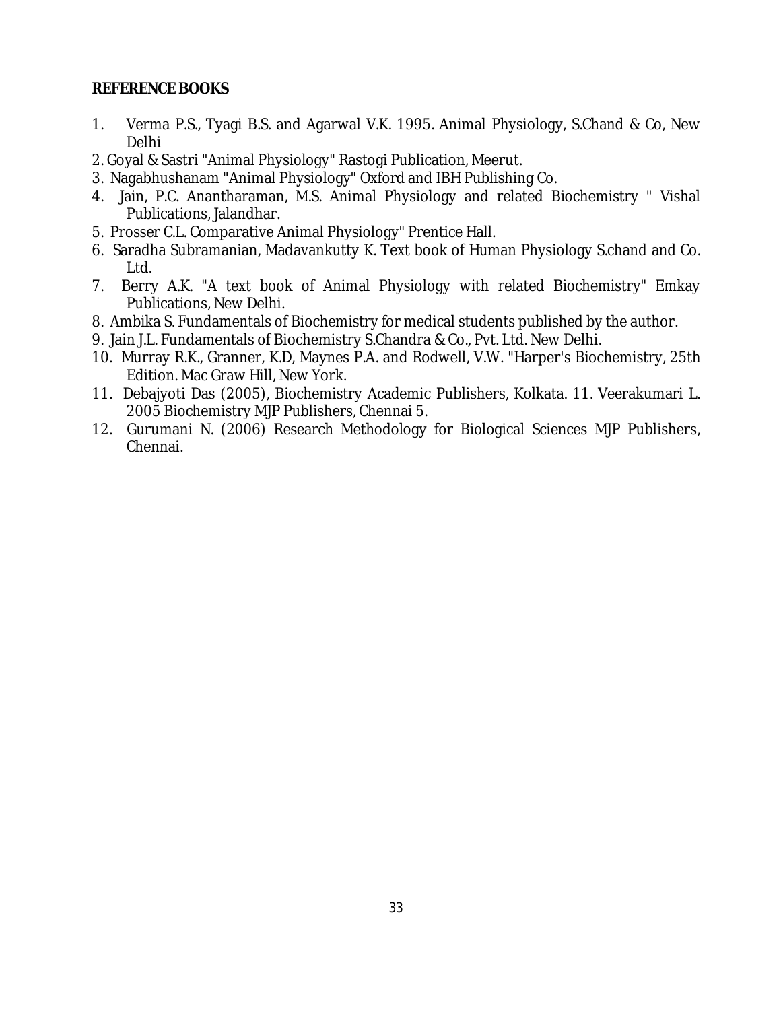#### **REFERENCE BOOKS**

- 1. Verma P.S., Tyagi B.S. and Agarwal V.K. 1995. Animal Physiology, S.Chand & Co, New Delhi
- 2. Goyal & Sastri "Animal Physiology" Rastogi Publication, Meerut.
- 3. Nagabhushanam "Animal Physiology" Oxford and IBH Publishing Co.
- 4. Jain, P.C. Anantharaman, M.S. Animal Physiology and related Biochemistry " Vishal Publications, Jalandhar.
- 5. Prosser C.L. Comparative Animal Physiology" Prentice Hall.
- 6. Saradha Subramanian, Madavankutty K. Text book of Human Physiology S.chand and Co. Ltd.
- 7. Berry A.K. "A text book of Animal Physiology with related Biochemistry" Emkay Publications, New Delhi.
- 8. Ambika S. Fundamentals of Biochemistry for medical students published by the author.
- 9. Jain J.L. Fundamentals of Biochemistry S.Chandra & Co., Pvt. Ltd. New Delhi.
- 10. Murray R.K., Granner, K.D, Maynes P.A. and Rodwell, V.W. "Harper's Biochemistry, 25th Edition. Mac Graw Hill, New York.
- 11. Debajyoti Das (2005), Biochemistry Academic Publishers, Kolkata. 11. Veerakumari L. 2005 Biochemistry MJP Publishers, Chennai 5.
- 12. Gurumani N. (2006) Research Methodology for Biological Sciences MJP Publishers, Chennai.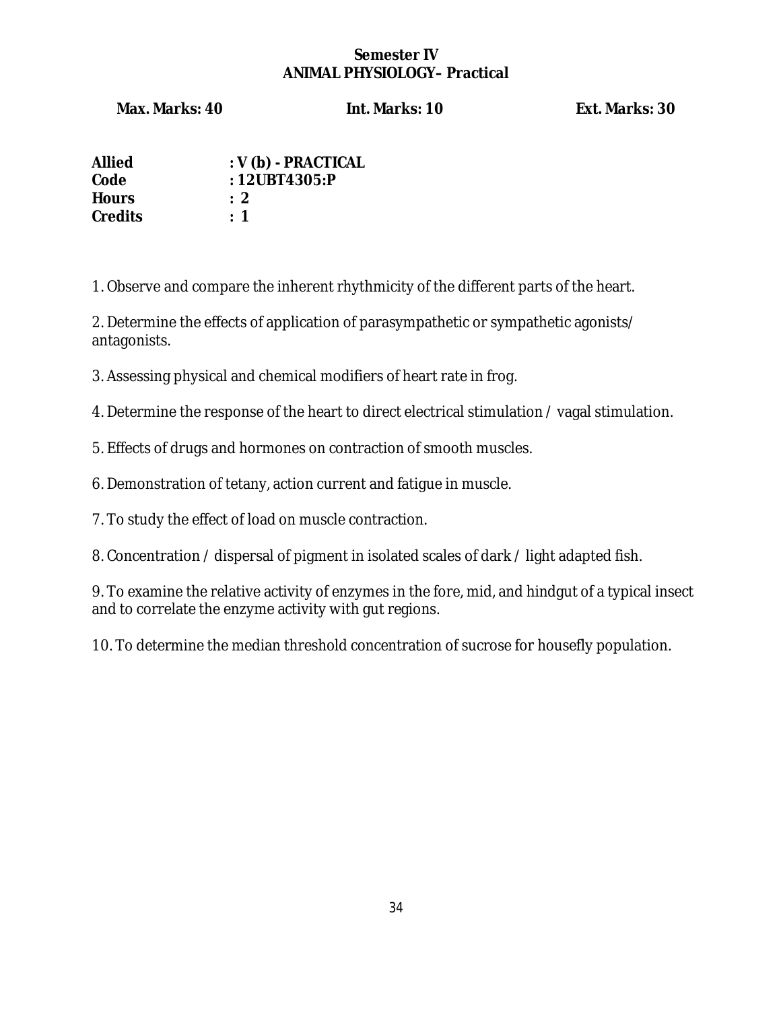# **Semester IV ANIMAL PHYSIOLOGY– Practical**

**Max. Marks: 40 Int. Marks: 10 Ext. Marks: 30** 

| Allied         | $:V(b)$ - PRACTICAL |
|----------------|---------------------|
| Code           | : $12UBT4305:P$     |
| <b>Hours</b>   | $\cdot$ 2           |
| <b>Credits</b> | <u>. 1</u>          |

1. Observe and compare the inherent rhythmicity of the different parts of the heart.

2. Determine the effects of application of parasympathetic or sympathetic agonists/ antagonists.

3. Assessing physical and chemical modifiers of heart rate in frog.

4. Determine the response of the heart to direct electrical stimulation / vagal stimulation.

5. Effects of drugs and hormones on contraction of smooth muscles.

6. Demonstration of tetany, action current and fatigue in muscle.

7. To study the effect of load on muscle contraction.

8. Concentration / dispersal of pigment in isolated scales of dark / light adapted fish.

9. To examine the relative activity of enzymes in the fore, mid, and hindgut of a typical insect and to correlate the enzyme activity with gut regions.

10. To determine the median threshold concentration of sucrose for housefly population.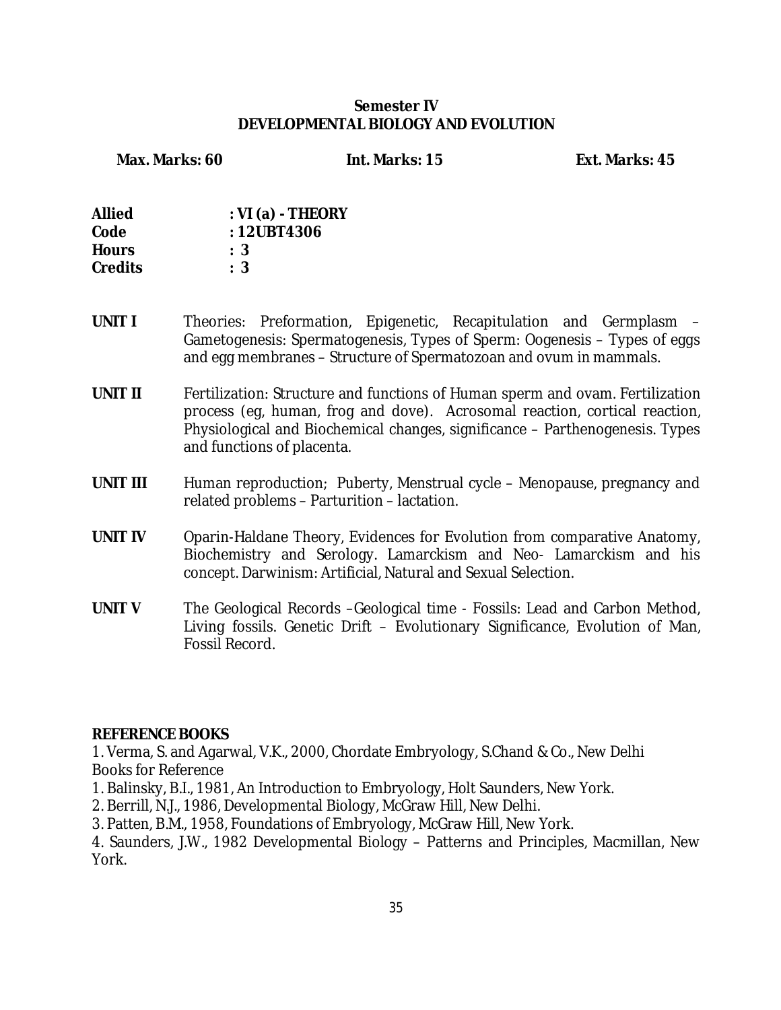# **Semester IV DEVELOPMENTAL BIOLOGY AND EVOLUTION**

**Max. Marks: 60 Int. Marks: 15 Ext. Marks: 45 Allied : VI (a) - THEORY Code : 12UBT4306 Hours : 3 Credits : 3 UNIT I** Theories: Preformation, Epigenetic, Recapitulation and Germplasm – Gametogenesis: Spermatogenesis, Types of Sperm: Oogenesis – Types of eggs and egg membranes – Structure of Spermatozoan and ovum in mammals. **UNIT II** Fertilization: Structure and functions of Human sperm and ovam. Fertilization process (eg, human, frog and dove). Acrosomal reaction, cortical reaction, Physiological and Biochemical changes, significance – Parthenogenesis. Types and functions of placenta. **UNIT III** Human reproduction; Puberty, Menstrual cycle – Menopause, pregnancy and related problems – Parturition – lactation. **UNIT IV** Oparin-Haldane Theory, Evidences for Evolution from comparative Anatomy, Biochemistry and Serology. Lamarckism and Neo- Lamarckism and his concept. Darwinism: Artificial, Natural and Sexual Selection. **UNIT V** The Geological Records –Geological time - Fossils: Lead and Carbon Method, Living fossils. Genetic Drift – Evolutionary Significance, Evolution of Man, Fossil Record.

#### **REFERENCE BOOKS**

1. Verma, S. and Agarwal, V.K., 2000, Chordate Embryology, S.Chand & Co., New Delhi Books for Reference

- 1. Balinsky, B.I., 1981, An Introduction to Embryology, Holt Saunders, New York.
- 2. Berrill, N.J., 1986, Developmental Biology, McGraw Hill, New Delhi.

3. Patten, B.M., 1958, Foundations of Embryology, McGraw Hill, New York.

4. Saunders, J.W., 1982 Developmental Biology – Patterns and Principles, Macmillan, New York.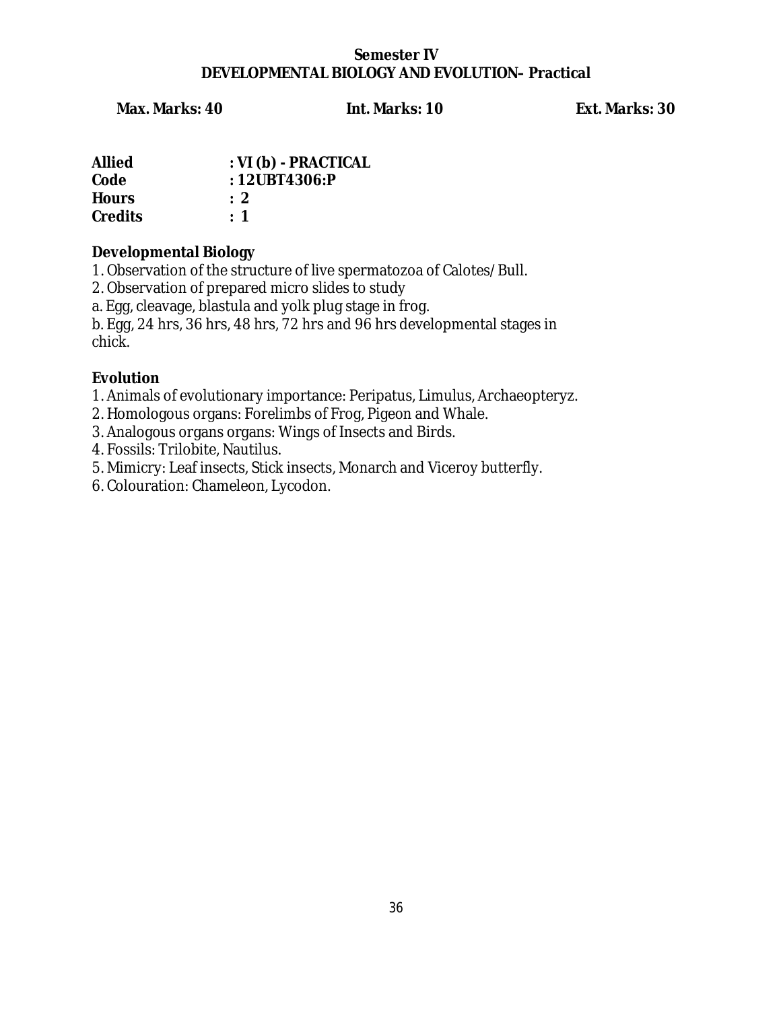# **Semester IV DEVELOPMENTAL BIOLOGY AND EVOLUTION– Practical**

**Max. Marks: 40 Int. Marks: 10 Ext. Marks: 30** 

| <b>Allied</b>  | : VI (b) - PRACTICAL |
|----------------|----------------------|
| Code           | : 12UBT4306:P        |
| <b>Hours</b>   | $\therefore$ 2       |
| <b>Credits</b> | $\cdot$ 1            |

**Developmental Biology** 

1. Observation of the structure of live spermatozoa of Calotes/Bull.

2. Observation of prepared micro slides to study

a. Egg, cleavage, blastula and yolk plug stage in frog.

b. Egg, 24 hrs, 36 hrs, 48 hrs, 72 hrs and 96 hrs developmental stages in chick.

# **Evolution**

- 1. Animals of evolutionary importance: Peripatus, Limulus, Archaeopteryz.
- 2. Homologous organs: Forelimbs of Frog, Pigeon and Whale.
- 3. Analogous organs organs: Wings of Insects and Birds.
- 4. Fossils: Trilobite, Nautilus.
- 5. Mimicry: Leaf insects, Stick insects, Monarch and Viceroy butterfly.
- 6. Colouration: Chameleon, Lycodon.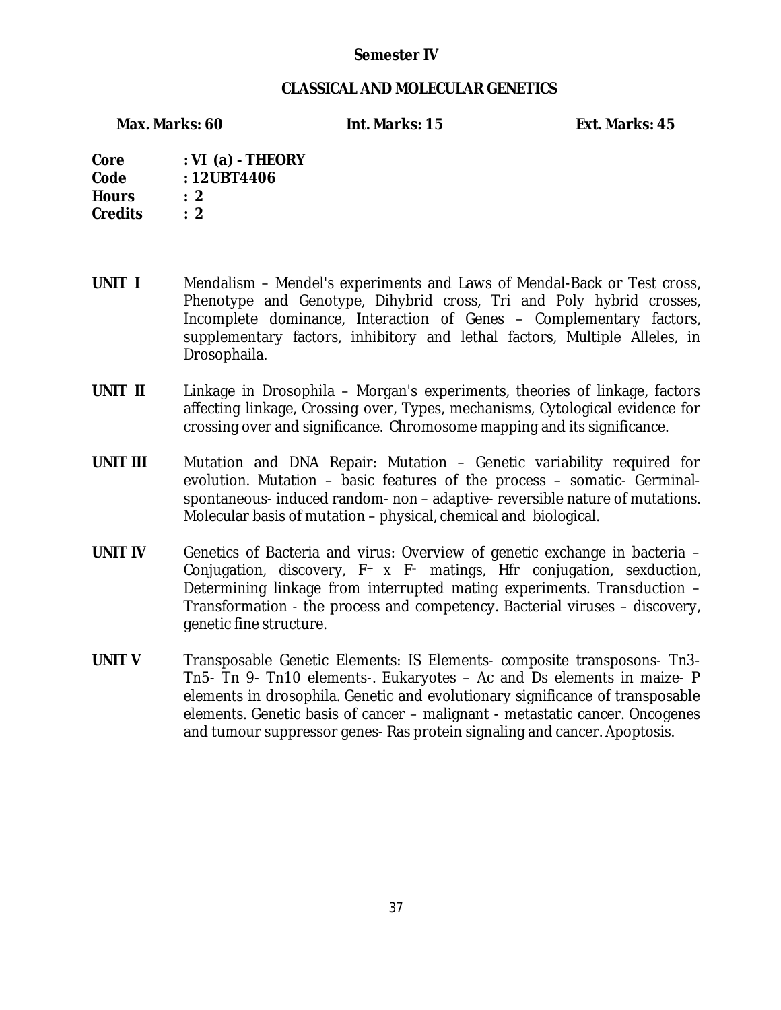# **Semester IV**

#### **CLASSICAL AND MOLECULAR GENETICS**

**Max. Marks: 60 Int. Marks: 15 Ext. Marks: 45** 

| Core           | $: VI$ (a) - THEORY |
|----------------|---------------------|
| Code           | : 12UBT4406         |
| <b>Hours</b>   | $\cdot$ 2           |
| <b>Credits</b> | $\cdot$ 2           |

- UNIT I Mendalism Mendel's experiments and Laws of Mendal-Back or Test cross, Phenotype and Genotype, Dihybrid cross, Tri and Poly hybrid crosses, Incomplete dominance, Interaction of Genes – Complementary factors, supplementary factors, inhibitory and lethal factors, Multiple Alleles, in Drosophaila.
- **UNIT II** Linkage in Drosophila Morgan's experiments, theories of linkage, factors affecting linkage, Crossing over, Types, mechanisms, Cytological evidence for crossing over and significance. Chromosome mapping and its significance.
- **UNIT III** Mutation and DNA Repair: Mutation Genetic variability required for evolution. Mutation – basic features of the process – somatic- Germinalspontaneous- induced random- non – adaptive- reversible nature of mutations. Molecular basis of mutation – physical, chemical and biological.
- **UNIT IV** Genetics of Bacteria and virus: Overview of genetic exchange in bacteria Conjugation, discovery,  $F^+$  x  $F^-$  matings, Hfr conjugation, sexduction, Determining linkage from interrupted mating experiments. Transduction – Transformation - the process and competency. Bacterial viruses – discovery, genetic fine structure.
- **UNIT V** Transposable Genetic Elements: IS Elements- composite transposons- Tn3- Tn5- Tn 9- Tn10 elements-. Eukaryotes – Ac and Ds elements in maize- P elements in drosophila. Genetic and evolutionary significance of transposable elements. Genetic basis of cancer – malignant - metastatic cancer. Oncogenes and tumour suppressor genes- Ras protein signaling and cancer. Apoptosis.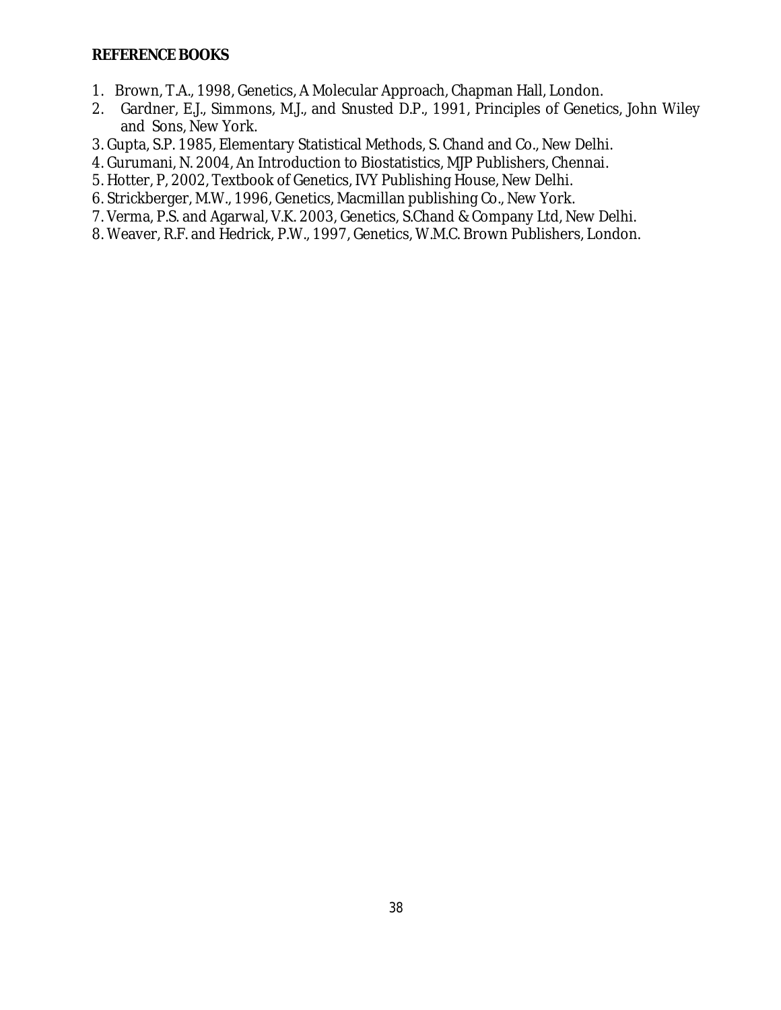#### **REFERENCE BOOKS**

- 1. Brown, T.A., 1998, Genetics, A Molecular Approach, Chapman Hall, London.
- 2. Gardner, E.J., Simmons, M.J., and Snusted D.P., 1991, Principles of Genetics, John Wiley and Sons, New York.
- 3. Gupta, S.P. 1985, Elementary Statistical Methods, S. Chand and Co., New Delhi.
- 4. Gurumani, N. 2004, An Introduction to Biostatistics, MJP Publishers, Chennai.
- 5. Hotter, P, 2002, Textbook of Genetics, IVY Publishing House, New Delhi.
- 6. Strickberger, M.W., 1996, Genetics, Macmillan publishing Co., New York.
- 7. Verma, P.S. and Agarwal, V.K. 2003, Genetics, S.Chand & Company Ltd, New Delhi.
- 8. Weaver, R.F. and Hedrick, P.W., 1997, Genetics, W.M.C. Brown Publishers, London.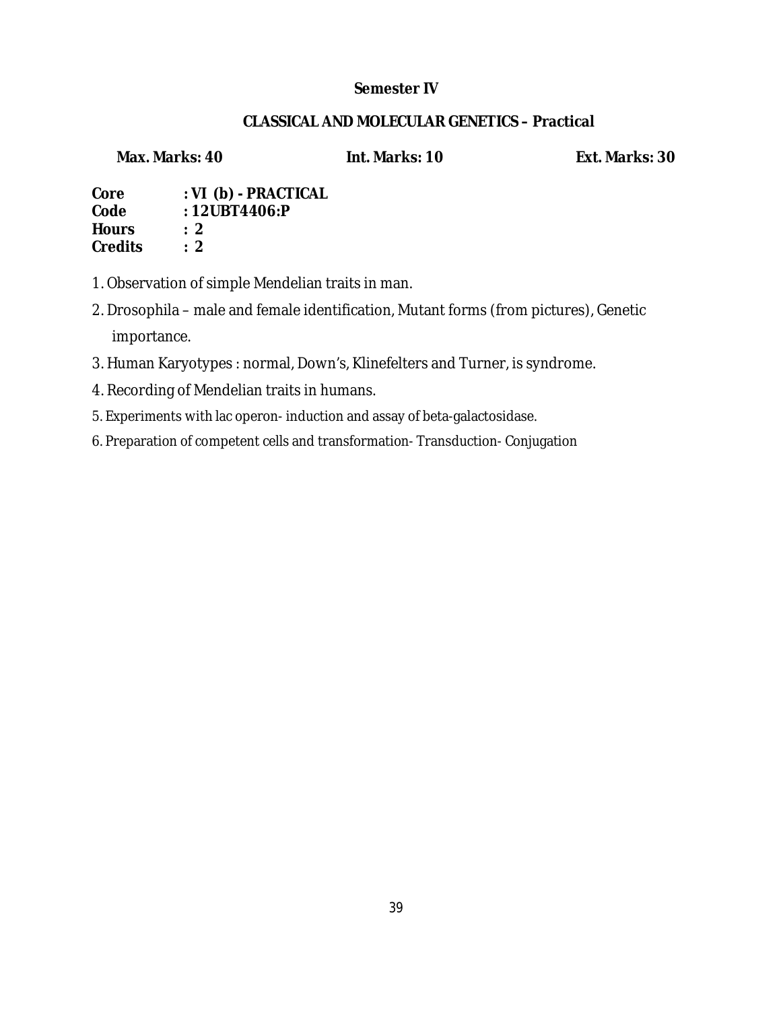# **Semester IV**

# **CLASSICAL AND MOLECULAR GENETICS – Practical**

**Max. Marks: 40 Int. Marks: 10 Ext. Marks: 30** 

**Core : VI (b) - PRACTICAL Code : 12UBT4406:P Hours : 2 Credits : 2** 

- 1. Observation of simple Mendelian traits in man.
- 2. Drosophila male and female identification, Mutant forms (from pictures), Genetic importance.
- 3. Human Karyotypes : normal, Down's, Klinefelters and Turner, is syndrome.
- 4. Recording of Mendelian traits in humans.
- 5. Experiments with lac operon- induction and assay of beta-galactosidase.
- 6. Preparation of competent cells and transformation- Transduction- Conjugation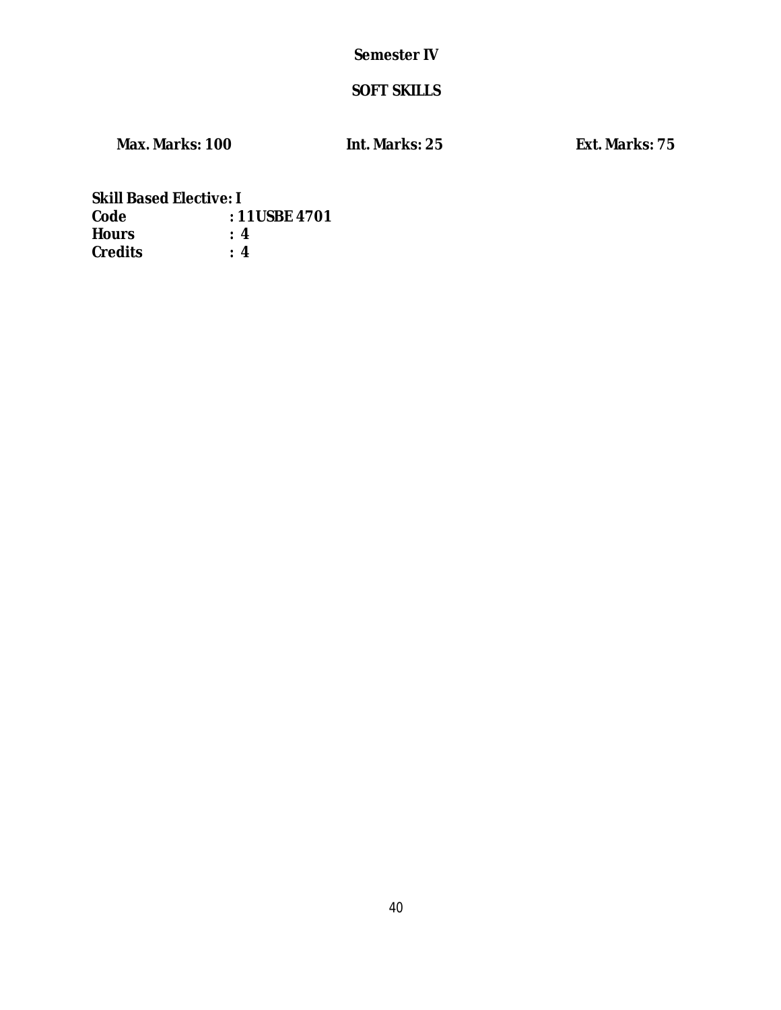# **Semester IV**

# **SOFT SKILLS**

**Max. Marks: 100 Int. Marks: 25 Ext. Marks: 75** 

**Skill Based Elective: I Code : 11USBE 4701 Hours** : 4<br>Credits : 4 **Credits : 4**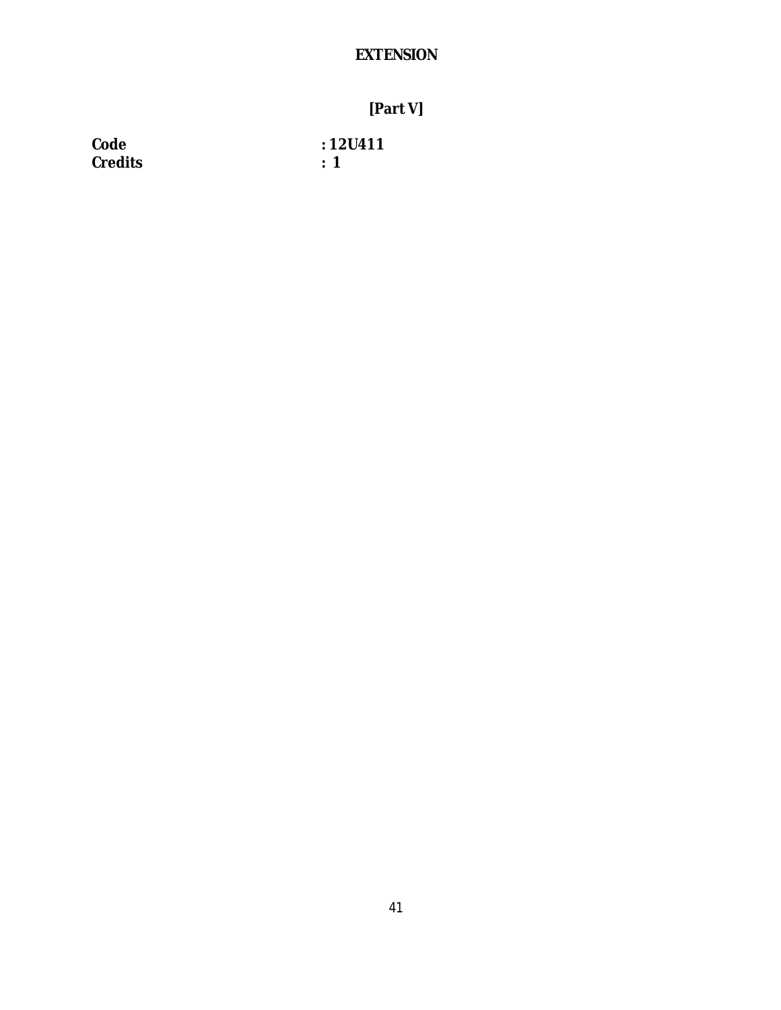# **EXTENSION**

**Code : 12U411 Credits : 1**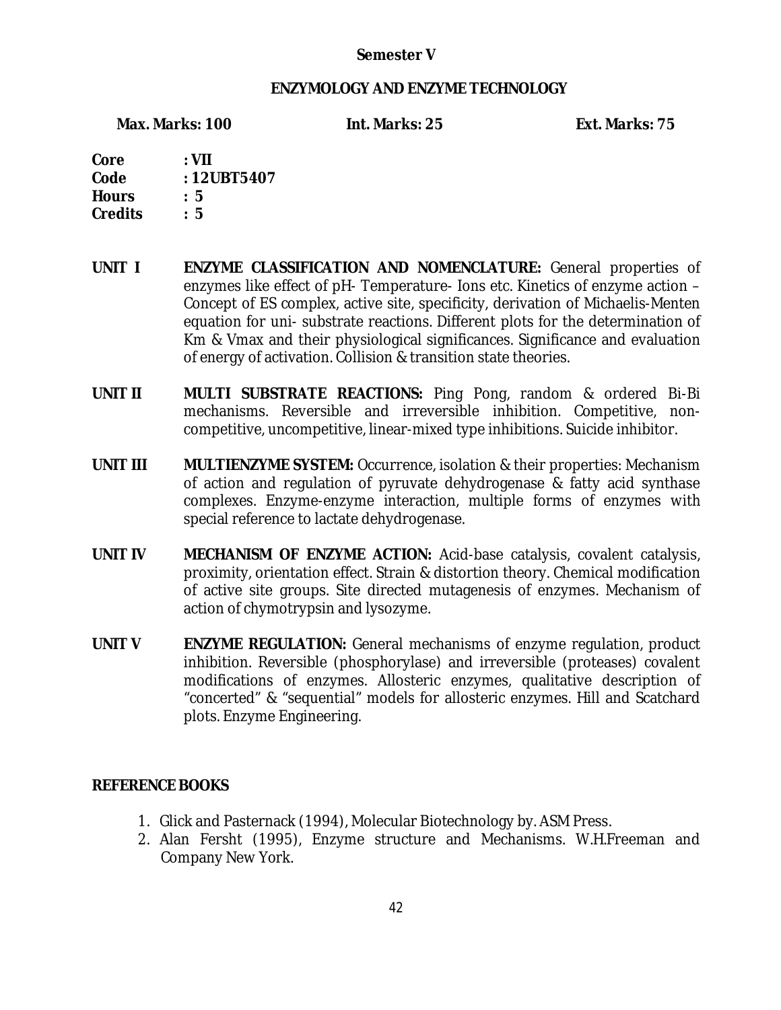# **Semester V**

#### **ENZYMOLOGY AND ENZYME TECHNOLOGY**

**Max. Marks: 100 Int. Marks: 25 Ext. Marks: 75** 

| Core           | : VII      |
|----------------|------------|
| Code           | :12UBT5407 |
| <b>Hours</b>   | : 5        |
| <b>Credits</b> | : 5        |

- **UNIT I ENZYME CLASSIFICATION AND NOMENCLATURE:** General properties of enzymes like effect of pH- Temperature- Ions etc. Kinetics of enzyme action – Concept of ES complex, active site, specificity, derivation of Michaelis-Menten equation for uni- substrate reactions. Different plots for the determination of Km & Vmax and their physiological significances. Significance and evaluation of energy of activation. Collision & transition state theories.
- **UNIT II MULTI SUBSTRATE REACTIONS:** Ping Pong, random & ordered Bi-Bi mechanisms. Reversible and irreversible inhibition. Competitive, noncompetitive, uncompetitive, linear-mixed type inhibitions. Suicide inhibitor.
- **UNIT III MULTIENZYME SYSTEM:** Occurrence, isolation & their properties: Mechanism of action and regulation of pyruvate dehydrogenase & fatty acid synthase complexes. Enzyme-enzyme interaction, multiple forms of enzymes with special reference to lactate dehydrogenase.
- **UNIT IV MECHANISM OF ENZYME ACTION:** Acid-base catalysis, covalent catalysis, proximity, orientation effect. Strain & distortion theory. Chemical modification of active site groups. Site directed mutagenesis of enzymes. Mechanism of action of chymotrypsin and lysozyme.
- **UNIT V ENZYME REGULATION:** General mechanisms of enzyme regulation, product inhibition. Reversible (phosphorylase) and irreversible (proteases) covalent modifications of enzymes. Allosteric enzymes, qualitative description of "concerted" & "sequential" models for allosteric enzymes. Hill and Scatchard plots. Enzyme Engineering.

# **REFERENCE BOOKS**

- 1. Glick and Pasternack (1994), Molecular Biotechnology by. ASM Press.
- 2. Alan Fersht (1995), Enzyme structure and Mechanisms. W.H.Freeman and Company New York.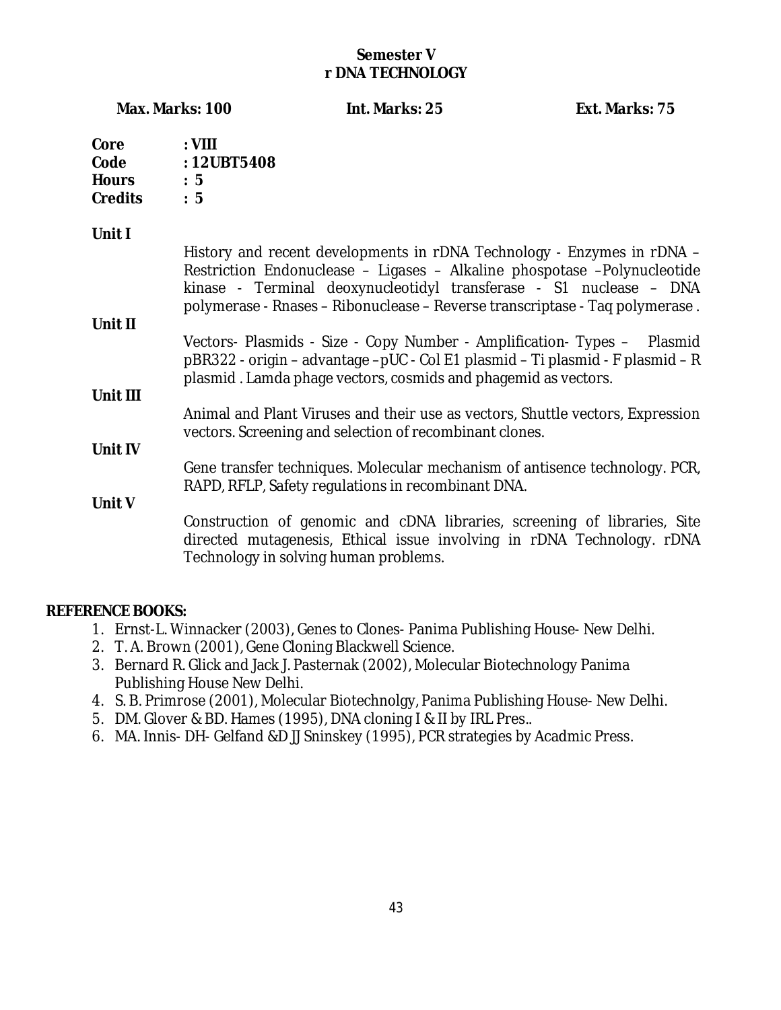# **Semester V r DNA TECHNOLOGY**

**Max. Marks: 100 Int. Marks: 25 Ext. Marks: 75 Core : VIII Code : 12UBT5408 Hours : 5 Credits : 5 Unit I**  History and recent developments in rDNA Technology - Enzymes in rDNA – Restriction Endonuclease – Ligases – Alkaline phospotase –Polynucleotide kinase - Terminal deoxynucleotidyl transferase - S1 nuclease – DNA polymerase - Rnases – Ribonuclease – Reverse transcriptase - Taq polymerase . **Unit II**  Vectors- Plasmids - Size - Copy Number - Amplification- Types – Plasmid pBR322 - origin – advantage –pUC - Col E1 plasmid – Ti plasmid - F plasmid – R plasmid . Lamda phage vectors, cosmids and phagemid as vectors. **Unit III**  Animal and Plant Viruses and their use as vectors, Shuttle vectors, Expression vectors. Screening and selection of recombinant clones. **Unit IV**  Gene transfer techniques. Molecular mechanism of antisence technology. PCR, RAPD, RFLP, Safety regulations in recombinant DNA. **Unit V**  Construction of genomic and cDNA libraries, screening of libraries, Site directed mutagenesis, Ethical issue involving in rDNA Technology. rDNA Technology in solving human problems.

# **REFERENCE BOOKS:**

- 1. Ernst-L. Winnacker (2003), Genes to Clones- Panima Publishing House- New Delhi.
- 2. T. A. Brown (2001), Gene Cloning Blackwell Science.
- 3. Bernard R. Glick and Jack J. Pasternak (2002), Molecular Biotechnology Panima Publishing House New Delhi.
- 4. S. B. Primrose (2001), Molecular Biotechnolgy, Panima Publishing House- New Delhi.
- 5. DM. Glover & BD. Hames (1995), DNA cloning I & II by IRL Pres..
- 6. MA. Innis- DH- Gelfand &D JJ Sninskey (1995), PCR strategies by Acadmic Press.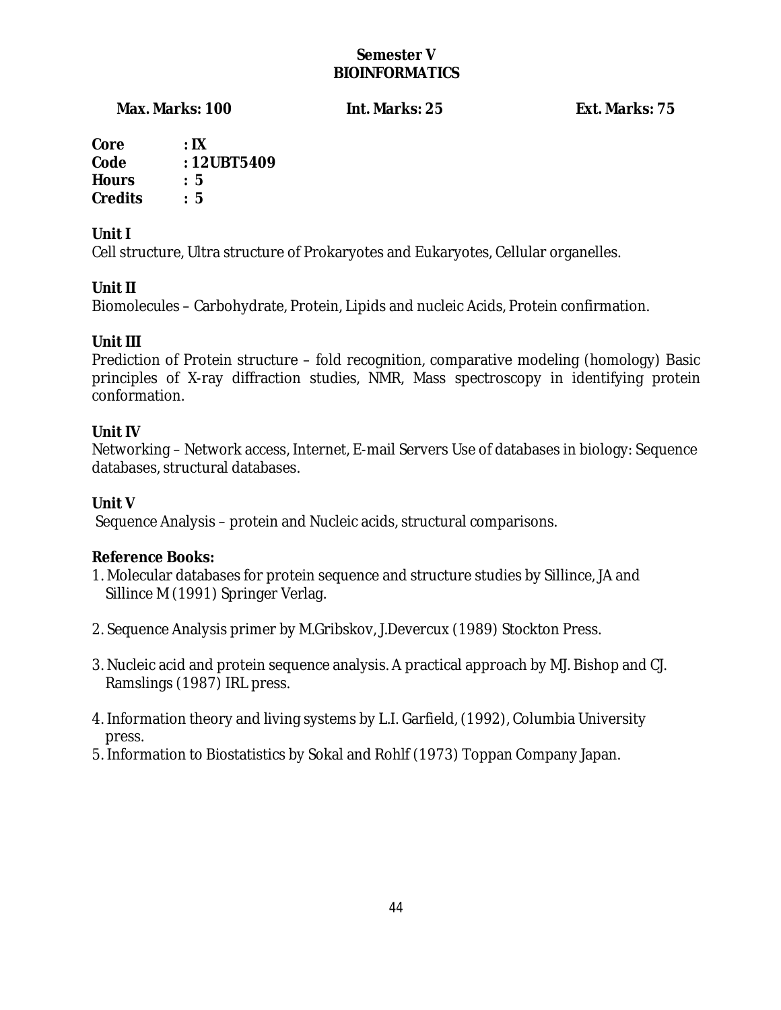# **Semester V BIOINFORMATICS**

**Max. Marks: 100 Int. Marks: 25 Ext. Marks: 75** 

**Core : IX Code : 12UBT5409 Hours : 5 Credits : 5** 

# **Unit I**

Cell structure, Ultra structure of Prokaryotes and Eukaryotes, Cellular organelles.

# **Unit II**

Biomolecules – Carbohydrate, Protein, Lipids and nucleic Acids, Protein confirmation.

# **Unit III**

Prediction of Protein structure – fold recognition, comparative modeling (homology) Basic principles of X-ray diffraction studies, NMR, Mass spectroscopy in identifying protein conformation.

# **Unit IV**

Networking – Network access, Internet, E-mail Servers Use of databases in biology: Sequence databases, structural databases.

**Unit V** 

Sequence Analysis – protein and Nucleic acids, structural comparisons.

# **Reference Books:**

- 1. Molecular databases for protein sequence and structure studies by Sillince, JA and Sillince M (1991) Springer Verlag.
- 2. Sequence Analysis primer by M.Gribskov, J.Devercux (1989) Stockton Press.
- 3. Nucleic acid and protein sequence analysis. A practical approach by MJ. Bishop and CJ. Ramslings (1987) IRL press.
- 4. Information theory and living systems by L.I. Garfield, (1992), Columbia University press.
- 5. Information to Biostatistics by Sokal and Rohlf (1973) Toppan Company Japan.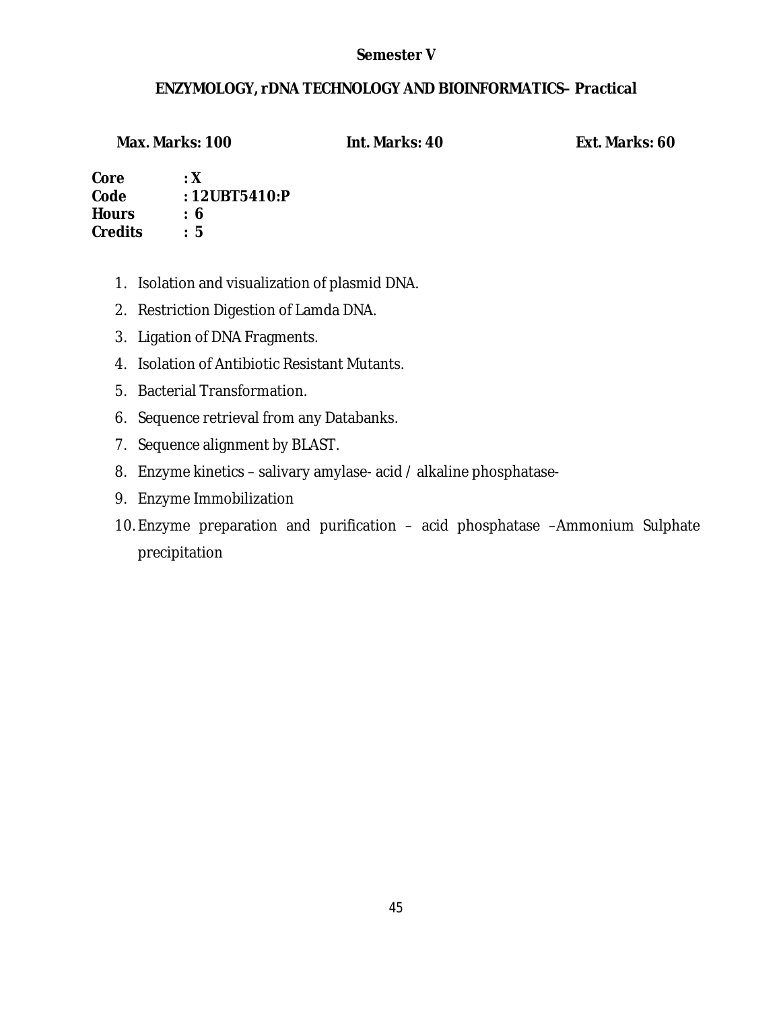# **Semester V**

# **ENZYMOLOGY, rDNA TECHNOLOGY AND BIOINFORMATICS– Practical**

**Max. Marks: 100 Int. Marks: 40 Ext. Marks: 60** 

**Core : X Code : 12UBT5410:P Hours : 6 Credits : 5** 

- 1. Isolation and visualization of plasmid DNA.
- 2. Restriction Digestion of Lamda DNA.
- 3. Ligation of DNA Fragments.
- 4. Isolation of Antibiotic Resistant Mutants.
- 5. Bacterial Transformation.
- 6. Sequence retrieval from any Databanks.
- 7. Sequence alignment by BLAST.
- 8. Enzyme kinetics salivary amylase- acid / alkaline phosphatase-
- 9. Enzyme Immobilization
- 10. Enzyme preparation and purification acid phosphatase –Ammonium Sulphate precipitation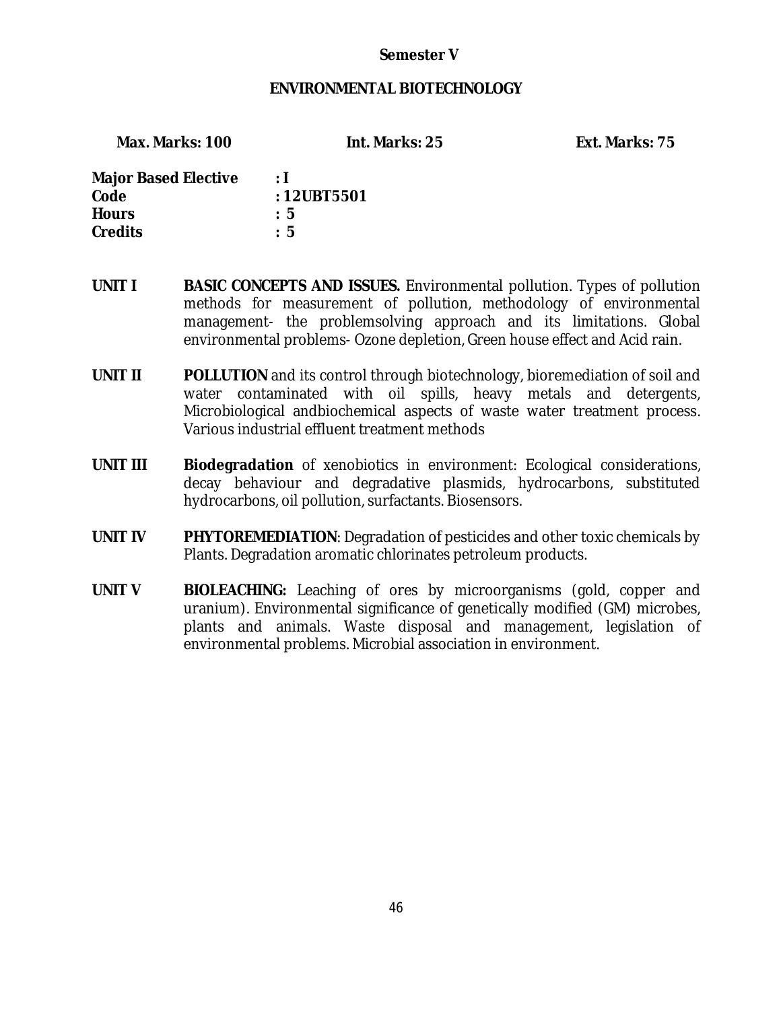# **Semester V**

#### **ENVIRONMENTAL BIOTECHNOLOGY**

**Max. Marks: 100 Int. Marks: 25 Ext. Marks: 75** 

| <b>Major Based Elective</b> | : I            |
|-----------------------------|----------------|
| Code                        | : 12UBT5501    |
| <b>Hours</b>                | $\therefore$ 5 |
| <b>Credits</b>              | : 5            |

- **UNIT I BASIC CONCEPTS AND ISSUES.** Environmental pollution. Types of pollution methods for measurement of pollution, methodology of environmental management- the problemsolving approach and its limitations. Global environmental problems- Ozone depletion, Green house effect and Acid rain.
- **UNIT II POLLUTION** and its control through biotechnology, bioremediation of soil and water contaminated with oil spills, heavy metals and detergents, Microbiological andbiochemical aspects of waste water treatment process. Various industrial effluent treatment methods
- **UNIT III Biodegradation** of xenobiotics in environment: Ecological considerations, decay behaviour and degradative plasmids, hydrocarbons, substituted hydrocarbons, oil pollution, surfactants. Biosensors.
- **UNIT IV PHYTOREMEDIATION**: Degradation of pesticides and other toxic chemicals by Plants. Degradation aromatic chlorinates petroleum products.
- **UNIT V BIOLEACHING:** Leaching of ores by microorganisms (gold, copper and uranium). Environmental significance of genetically modified (GM) microbes, plants and animals. Waste disposal and management, legislation of environmental problems. Microbial association in environment.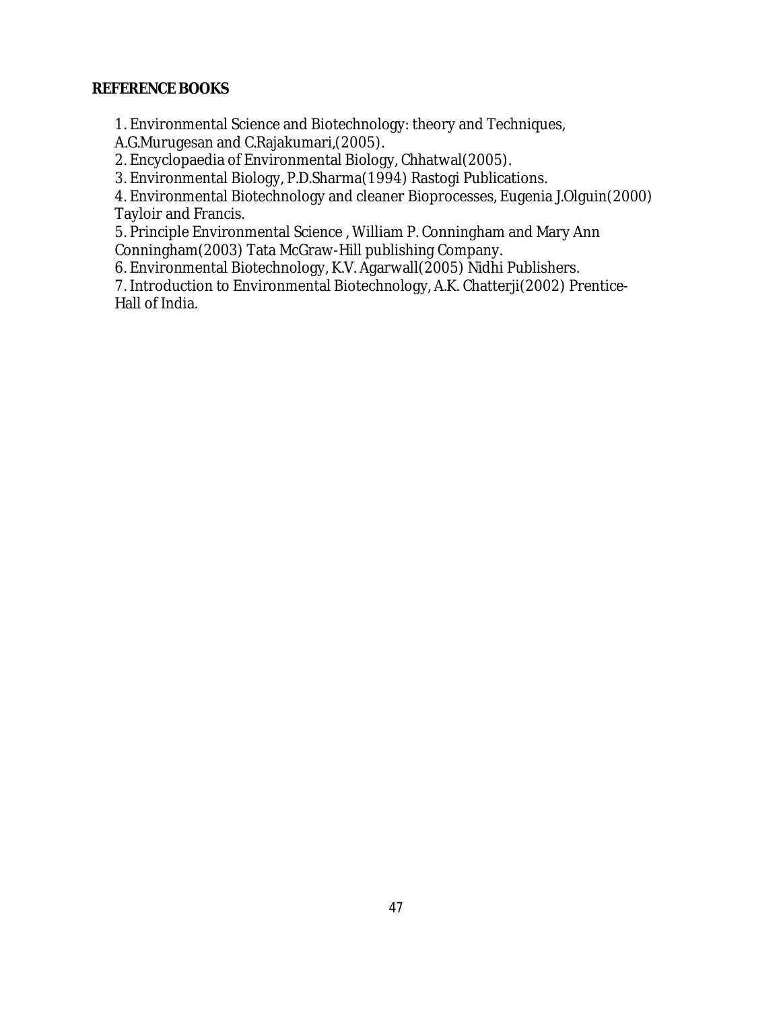# **REFERENCE BOOKS**

1. Environmental Science and Biotechnology: theory and Techniques,

A.G.Murugesan and C.Rajakumari,(2005).

2. Encyclopaedia of Environmental Biology, Chhatwal(2005).

3. Environmental Biology, P.D.Sharma(1994) Rastogi Publications.

4. Environmental Biotechnology and cleaner Bioprocesses, Eugenia J.Olguin(2000) Tayloir and Francis.

5. Principle Environmental Science , William P. Conningham and Mary Ann Conningham(2003) Tata McGraw-Hill publishing Company.

6. Environmental Biotechnology, K.V. Agarwall(2005) Nidhi Publishers.

7. Introduction to Environmental Biotechnology, A.K. Chatterji(2002) Prentice-Hall of India.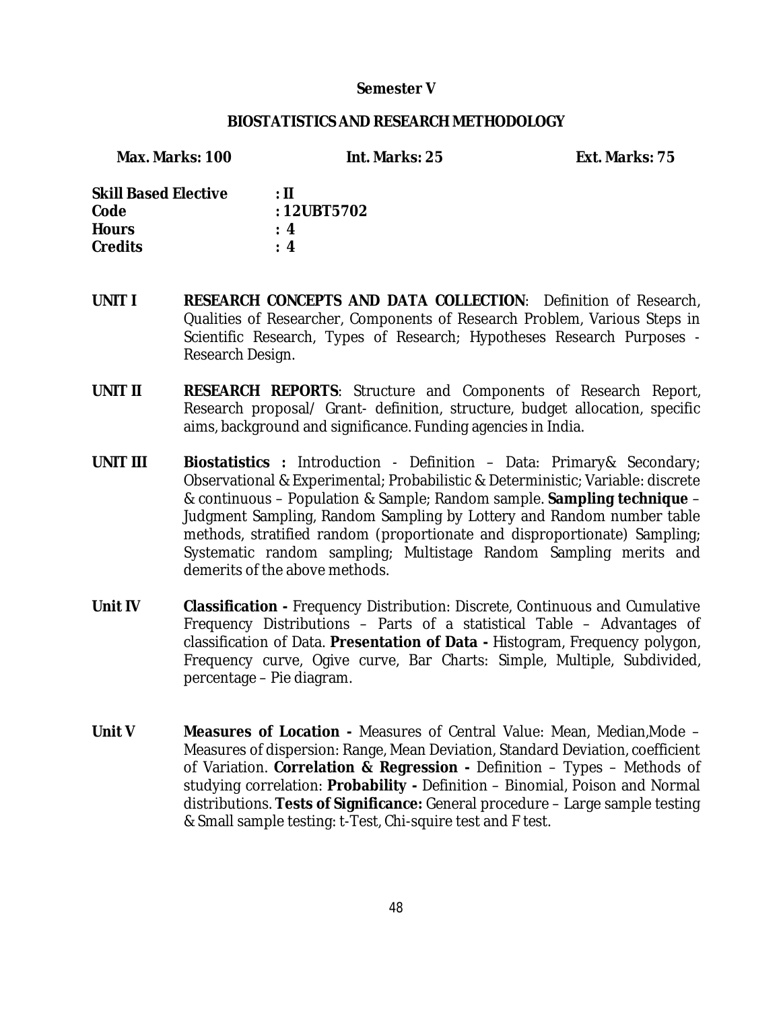#### **Semester V**

#### **BIOSTATISTICS AND RESEARCH METHODOLOGY**

| <b>Max. Marks: 100</b>      | Int. Marks: 25 | Ext. Marks: 75 |
|-----------------------------|----------------|----------------|
| <b>Skill Based Elective</b> | $:$ II         |                |
| Code                        | : $12UBT5702$  |                |
| Hours                       | $\therefore$ 4 |                |
| <b>Credits</b>              | : 4            |                |
|                             |                |                |
|                             |                |                |

- **UNIT I RESEARCH CONCEPTS AND DATA COLLECTION**: Definition of Research, Qualities of Researcher, Components of Research Problem, Various Steps in Scientific Research, Types of Research; Hypotheses Research Purposes - Research Design.
- **UNIT II RESEARCH REPORTS**: Structure and Components of Research Report, Research proposal/ Grant- definition, structure, budget allocation, specific aims, background and significance. Funding agencies in India.
- **UNIT III Biostatistics :** Introduction Definition Data: Primary& Secondary; Observational & Experimental; Probabilistic & Deterministic; Variable: discrete & continuous – Population & Sample; Random sample. **Sampling technique** – Judgment Sampling, Random Sampling by Lottery and Random number table methods, stratified random (proportionate and disproportionate) Sampling; Systematic random sampling; Multistage Random Sampling merits and demerits of the above methods.
- **Unit IV Classification** Frequency Distribution: Discrete, Continuous and Cumulative Frequency Distributions – Parts of a statistical Table – Advantages of classification of Data. **Presentation of Data -** Histogram, Frequency polygon, Frequency curve, Ogive curve, Bar Charts: Simple, Multiple, Subdivided, percentage – Pie diagram.
- **Unit V Measures of Location** Measures of Central Value: Mean, Median,Mode Measures of dispersion: Range, Mean Deviation, Standard Deviation, coefficient of Variation. **Correlation & Regression -** Definition – Types – Methods of studying correlation: **Probability -** Definition – Binomial, Poison and Normal distributions. **Tests of Significance:** General procedure – Large sample testing & Small sample testing: t-Test, Chi-squire test and F test.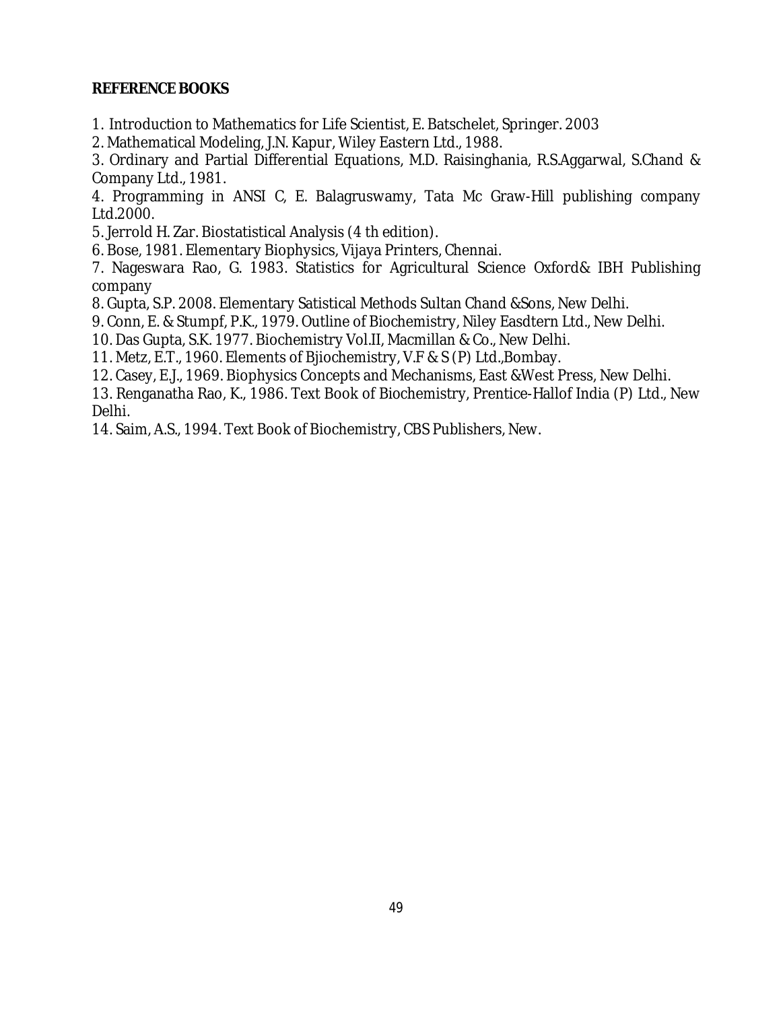### **REFERENCE BOOKS**

- 1. Introduction to Mathematics for Life Scientist, E. Batschelet, Springer. 2003
- 2. Mathematical Modeling, J.N. Kapur, Wiley Eastern Ltd., 1988.

3. Ordinary and Partial Differential Equations, M.D. Raisinghania, R.S.Aggarwal, S.Chand & Company Ltd., 1981.

4. Programming in ANSI C, E. Balagruswamy, Tata Mc Graw-Hill publishing company Ltd.2000.

5. Jerrold H. Zar. Biostatistical Analysis (4 th edition).

6. Bose, 1981. Elementary Biophysics, Vijaya Printers, Chennai.

7. Nageswara Rao, G. 1983. Statistics for Agricultural Science Oxford& IBH Publishing company

8. Gupta, S.P. 2008. Elementary Satistical Methods Sultan Chand &Sons, New Delhi.

9. Conn, E. & Stumpf, P.K., 1979. Outline of Biochemistry, Niley Easdtern Ltd., New Delhi.

10. Das Gupta, S.K. 1977. Biochemistry Vol.II, Macmillan & Co., New Delhi.

11. Metz, E.T., 1960. Elements of Bjiochemistry, V.F & S (P) Ltd.,Bombay.

12. Casey, E.J., 1969. Biophysics Concepts and Mechanisms, East &West Press, New Delhi.

13. Renganatha Rao, K., 1986. Text Book of Biochemistry, Prentice-Hallof India (P) Ltd., New Delhi.

14. Saim, A.S., 1994. Text Book of Biochemistry, CBS Publishers, New.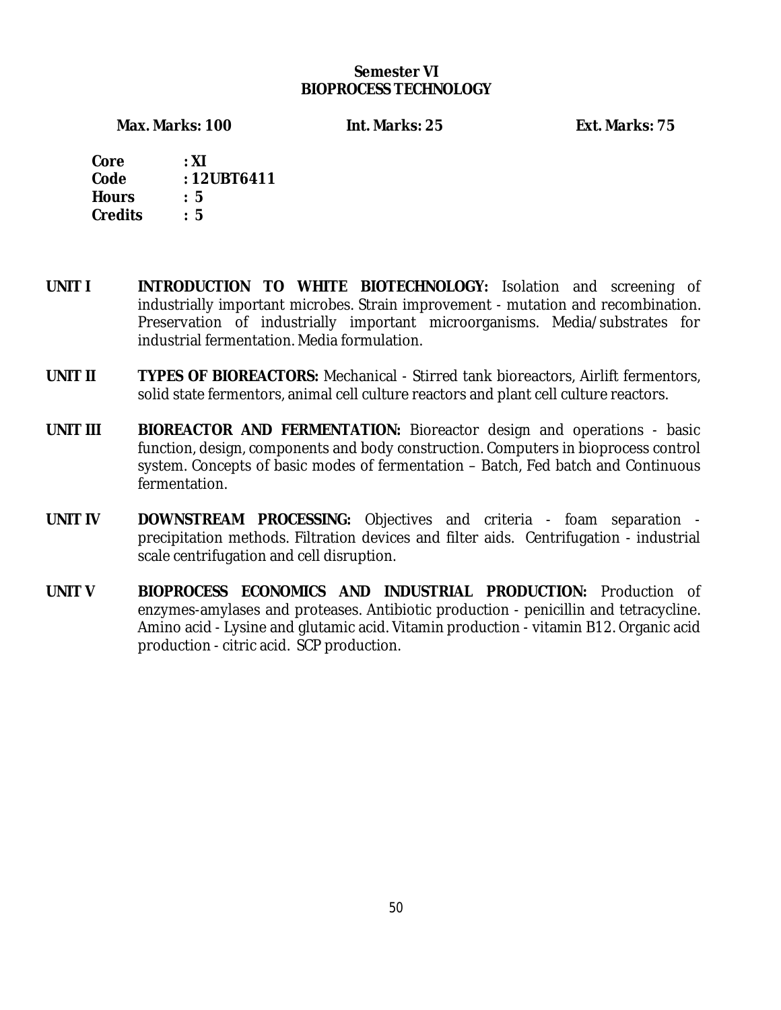# **Semester VI BIOPROCESS TECHNOLOGY**

**Max. Marks: 100 Int. Marks: 25 Ext. Marks: 75** 

**Core : XI Code : 12UBT6411 Hours : 5 Credits : 5** 

- **UNIT I INTRODUCTION TO WHITE BIOTECHNOLOGY:** Isolation and screening of industrially important microbes. Strain improvement - mutation and recombination. Preservation of industrially important microorganisms. Media/substrates for industrial fermentation. Media formulation.
- **UNIT II TYPES OF BIOREACTORS:** Mechanical Stirred tank bioreactors, Airlift fermentors, solid state fermentors, animal cell culture reactors and plant cell culture reactors.
- **UNIT III BIOREACTOR AND FERMENTATION:** Bioreactor design and operations basic function, design, components and body construction. Computers in bioprocess control system. Concepts of basic modes of fermentation – Batch, Fed batch and Continuous fermentation.
- **UNIT IV DOWNSTREAM PROCESSING:** Objectives and criteria foam separation precipitation methods. Filtration devices and filter aids. Centrifugation - industrial scale centrifugation and cell disruption.
- **UNIT V BIOPROCESS ECONOMICS AND INDUSTRIAL PRODUCTION:** Production of enzymes-amylases and proteases. Antibiotic production - penicillin and tetracycline. Amino acid - Lysine and glutamic acid. Vitamin production - vitamin B12. Organic acid production - citric acid. SCP production.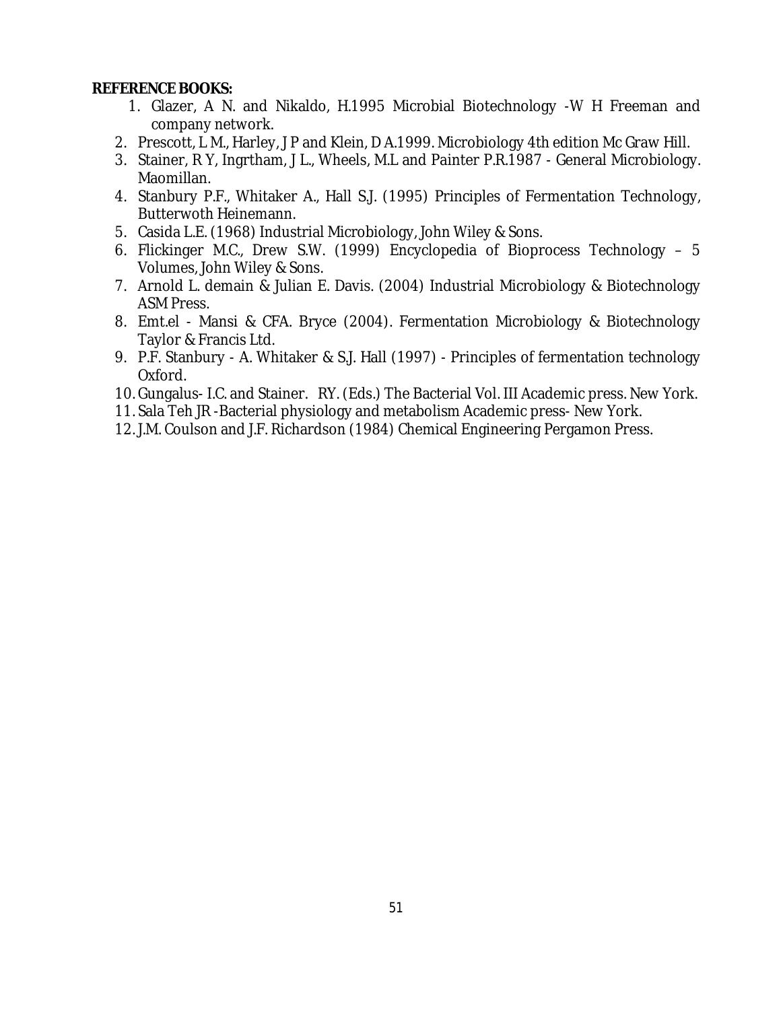#### **REFERENCE BOOKS:**

- 1. Glazer, A N. and Nikaldo, H.1995 Microbial Biotechnology -W H Freeman and company network.
- 2. Prescott, L M., Harley, J P and Klein, D A.1999. Microbiology 4th edition Mc Graw Hill.
- 3. Stainer, R Y, Ingrtham, J L., Wheels, M.L and Painter P.R.1987 General Microbiology. Maomillan.
- 4. Stanbury P.F., Whitaker A., Hall S.J. (1995) Principles of Fermentation Technology, Butterwoth Heinemann.
- 5. Casida L.E. (1968) Industrial Microbiology, John Wiley & Sons.
- 6. Flickinger M.C., Drew S.W. (1999) Encyclopedia of Bioprocess Technology 5 Volumes, John Wiley & Sons.
- 7. Arnold L. demain & Julian E. Davis. (2004) Industrial Microbiology & Biotechnology ASM Press.
- 8. Emt.el Mansi & CFA. Bryce (2004). Fermentation Microbiology & Biotechnology Taylor & Francis Ltd.
- 9. P.F. Stanbury A. Whitaker & S.J. Hall (1997) Principles of fermentation technology Oxford.
- 10. Gungalus- I.C. and Stainer. RY. (Eds.) The Bacterial Vol. III Academic press. New York.
- 11.Sala Teh JR -Bacterial physiology and metabolism Academic press- New York.
- 12. J.M. Coulson and J.F. Richardson (1984) Chemical Engineering Pergamon Press.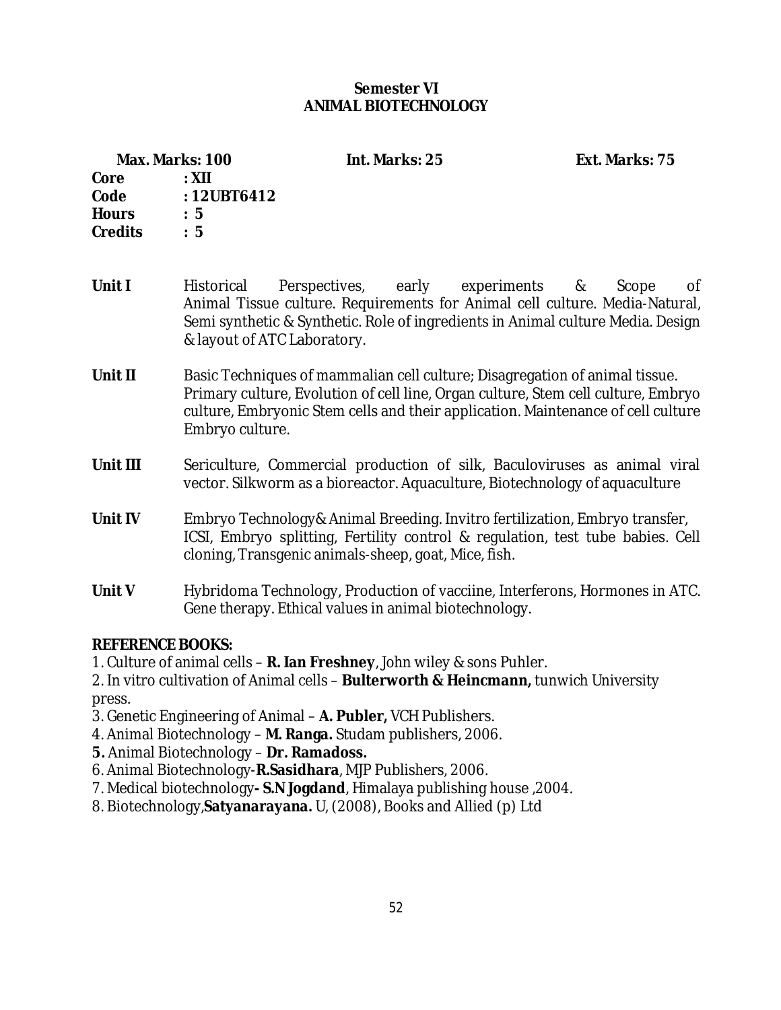# **Semester VI ANIMAL BIOTECHNOLOGY**

**Core : XII Code : 12UBT6412 Hours : 5 Credits : 5**  Unit **I I Historical** Perspectives, early experiments & Scope of Animal Tissue culture. Requirements for Animal cell culture. Media-Natural, Semi synthetic & Synthetic. Role of ingredients in Animal culture Media. Design & layout of ATC Laboratory. **Unit II** Basic Techniques of mammalian cell culture; Disagregation of animal tissue. Primary culture, Evolution of cell line, Organ culture, Stem cell culture, Embryo culture, Embryonic Stem cells and their application. Maintenance of cell culture Embryo culture. **Unit III** Sericulture, Commercial production of silk, Baculoviruses as animal viral vector. Silkworm as a bioreactor. Aquaculture, Biotechnology of aquaculture **Unit IV** Embryo Technology& Animal Breeding. Invitro fertilization, Embryo transfer, ICSI, Embryo splitting, Fertility control & regulation, test tube babies. Cell cloning, Transgenic animals-sheep, goat, Mice, fish. Unit **V** Hybridoma Technology, Production of vacciine, Interferons, Hormones in ATC. Gene therapy. Ethical values in animal biotechnology.

**REFERENCE BOOKS:** 

1. Culture of animal cells – **R. Ian Freshney**, John wiley & sons Puhler.

2. In vitro cultivation of Animal cells – **Bulterworth & Heincmann,** tunwich University press.

3. Genetic Engineering of Animal – **A. Publer,** VCH Publishers.

4. Animal Biotechnology – **M. Ranga.** Studam publishers, 2006.

**5.** Animal Biotechnology – **Dr. Ramadoss.** 

6. Animal Biotechnology-**R.Sasidhara**, MJP Publishers, 2006.

7. Medical biotechnology**- S.N Jogdand**, Himalaya publishing house ,2004.

8. Biotechnology,**Satyanarayana.** U, (2008), Books and Allied (p) Ltd

**Max. Marks: 100 Int. Marks: 25 Ext. Marks: 75**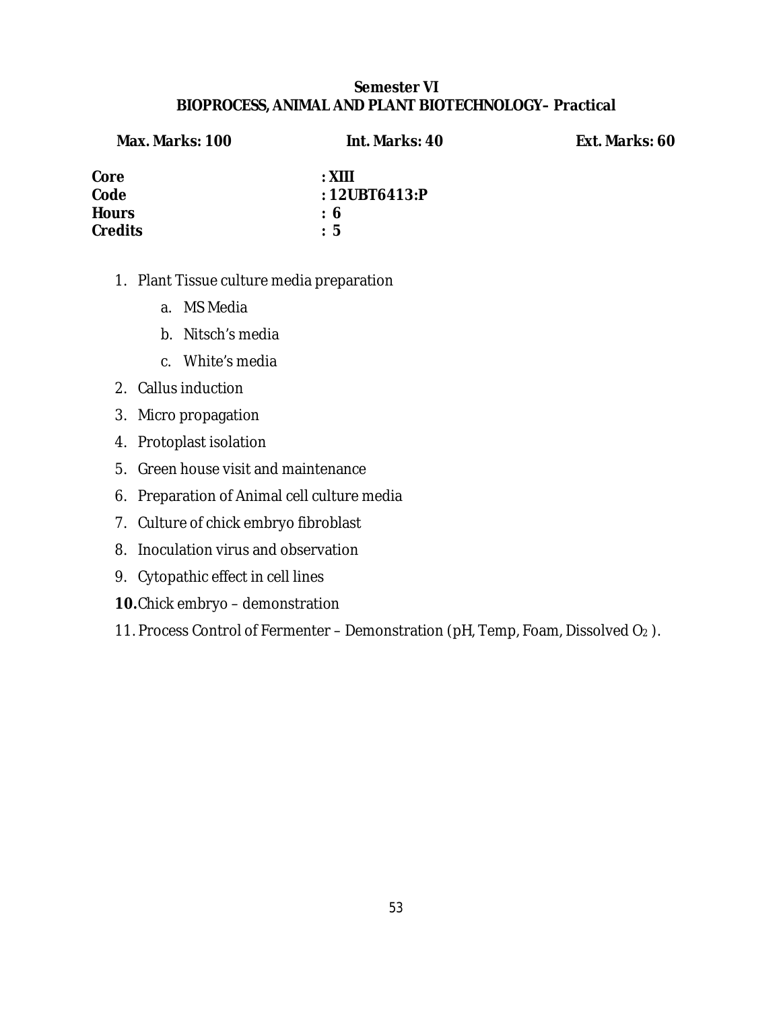# **Semester VI BIOPROCESS, ANIMAL AND PLANT BIOTECHNOLOGY– Practical**

**Max. Marks: 100 Int. Marks: 40 Ext. Marks: 60** 

| Core           | $\pm$ XIII      |
|----------------|-----------------|
| Code           | : $12UBT6413:P$ |
| <b>Hours</b>   | : 6             |
| <b>Credits</b> | : 5             |

# 1. Plant Tissue culture media preparation

- a. MS Media
- b. Nitsch's media
- c. White's media
- 2. Callus induction
- 3. Micro propagation
- 4. Protoplast isolation
- 5. Green house visit and maintenance
- 6. Preparation of Animal cell culture media
- 7. Culture of chick embryo fibroblast
- 8. Inoculation virus and observation
- 9. Cytopathic effect in cell lines
- **10.**Chick embryo demonstration

11. Process Control of Fermenter – Demonstration (pH, Temp, Foam, Dissolved  $O_2$ ).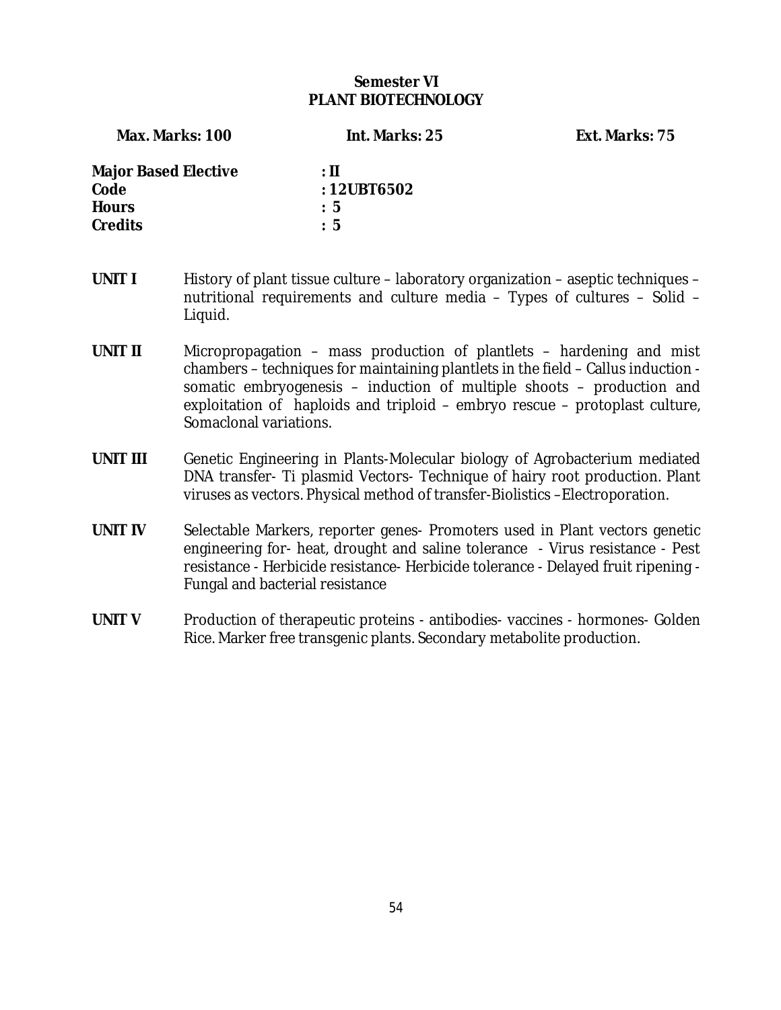# **Semester VI PLANT BIOTECHNOLOGY**

**Max. Marks: 100 Int. Marks: 25 Ext. Marks: 75** 

| <b>Major Based Elective</b> | $\cdot$ H      |
|-----------------------------|----------------|
| Code                        | : $12UBT6502$  |
| <b>Hours</b>                | : 5            |
| <b>Credits</b>              | $\therefore$ 5 |

- UNIT I History of plant tissue culture laboratory organization aseptic techniques nutritional requirements and culture media – Types of cultures – Solid – Liquid.
- UNIT II Micropropagation mass production of plantlets hardening and mist chambers – techniques for maintaining plantlets in the field – Callus induction somatic embryogenesis – induction of multiple shoots – production and exploitation of haploids and triploid – embryo rescue – protoplast culture, Somaclonal variations.
- **UNIT III** Genetic Engineering in Plants-Molecular biology of Agrobacterium mediated DNA transfer- Ti plasmid Vectors- Technique of hairy root production. Plant viruses as vectors. Physical method of transfer-Biolistics –Electroporation.
- UNIT IV Selectable Markers, reporter genes- Promoters used in Plant vectors genetic engineering for- heat, drought and saline tolerance - Virus resistance - Pest resistance - Herbicide resistance- Herbicide tolerance - Delayed fruit ripening - Fungal and bacterial resistance
- UNIT V Production of therapeutic proteins antibodies- vaccines hormones- Golden Rice. Marker free transgenic plants. Secondary metabolite production.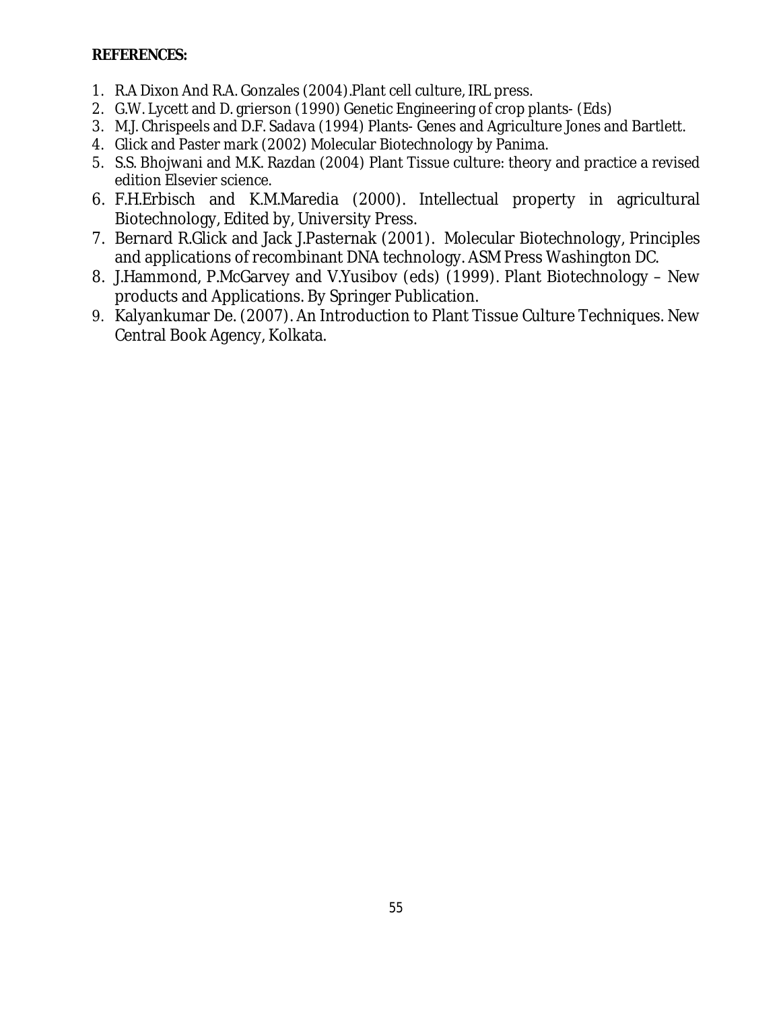**REFERENCES:** 

- 1. R.A Dixon And R.A. Gonzales (2004).Plant cell culture, IRL press.
- 2. G.W. Lycett and D. grierson (1990) Genetic Engineering of crop plants- (Eds)
- 3. M.J. Chrispeels and D.F. Sadava (1994) Plants- Genes and Agriculture Jones and Bartlett.
- 4. Glick and Paster mark (2002) Molecular Biotechnology by Panima.
- 5. S.S. Bhojwani and M.K. Razdan (2004) Plant Tissue culture: theory and practice a revised edition Elsevier science.
- 6. F.H.Erbisch and K.M.Maredia (2000). Intellectual property in agricultural Biotechnology, Edited by, University Press.
- 7. Bernard R.Glick and Jack J.Pasternak (2001). Molecular Biotechnology, Principles and applications of recombinant DNA technology. ASM Press Washington DC.
- 8. J.Hammond, P.McGarvey and V.Yusibov (eds) (1999). Plant Biotechnology New products and Applications. By Springer Publication.
- 9. Kalyankumar De. (2007). An Introduction to Plant Tissue Culture Techniques. New Central Book Agency, Kolkata.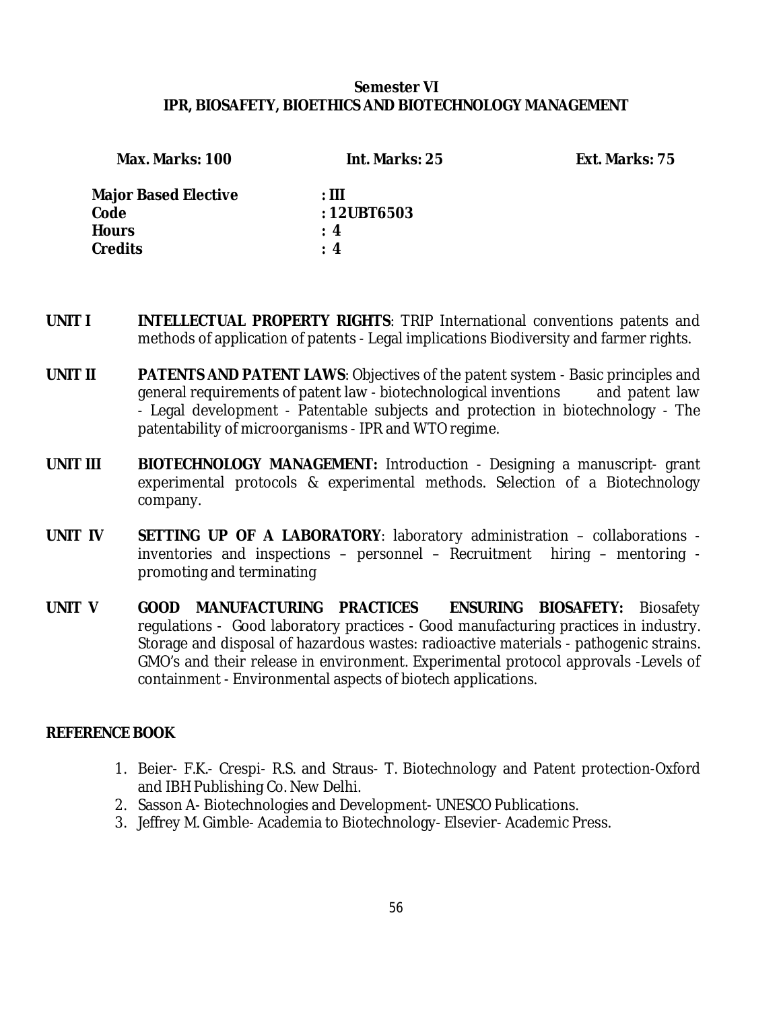# **Semester VI IPR, BIOSAFETY, BIOETHICS AND BIOTECHNOLOGY MANAGEMENT**

| <b>Max. Marks: 100</b>      | Int. Marks: 25 | Ext. Marks: 75 |
|-----------------------------|----------------|----------------|
| <b>Major Based Elective</b> | : III          |                |
| Code                        | : $12UBT6503$  |                |
| Hours                       | $\therefore$ 4 |                |
| Credits                     | : 4            |                |
|                             |                |                |

- **UNIT I INTELLECTUAL PROPERTY RIGHTS**: TRIP International conventions patents and methods of application of patents - Legal implications Biodiversity and farmer rights.
- **UNIT II PATENTS AND PATENT LAWS**: Objectives of the patent system Basic principles and general requirements of patent law - biotechnological inventions and patent law - Legal development - Patentable subjects and protection in biotechnology - The patentability of microorganisms - IPR and WTO regime.
- **UNIT III BIOTECHNOLOGY MANAGEMENT:** Introduction Designing a manuscript- grant experimental protocols & experimental methods. Selection of a Biotechnology company.
- **UNIT IV SETTING UP OF A LABORATORY**: laboratory administration collaborations inventories and inspections – personnel – Recruitment hiring – mentoring promoting and terminating
- **UNIT V GOOD MANUFACTURING PRACTICES ENSURING BIOSAFETY:** Biosafety regulations - Good laboratory practices - Good manufacturing practices in industry. Storage and disposal of hazardous wastes: radioactive materials - pathogenic strains. GMO's and their release in environment. Experimental protocol approvals -Levels of containment - Environmental aspects of biotech applications.

# **REFERENCE BOOK**

- 1. Beier- F.K.- Crespi- R.S. and Straus- T. Biotechnology and Patent protection-Oxford and IBH Publishing Co. New Delhi.
- 2. Sasson A- Biotechnologies and Development- UNESCO Publications.
- 3. Jeffrey M. Gimble- Academia to Biotechnology- Elsevier- Academic Press.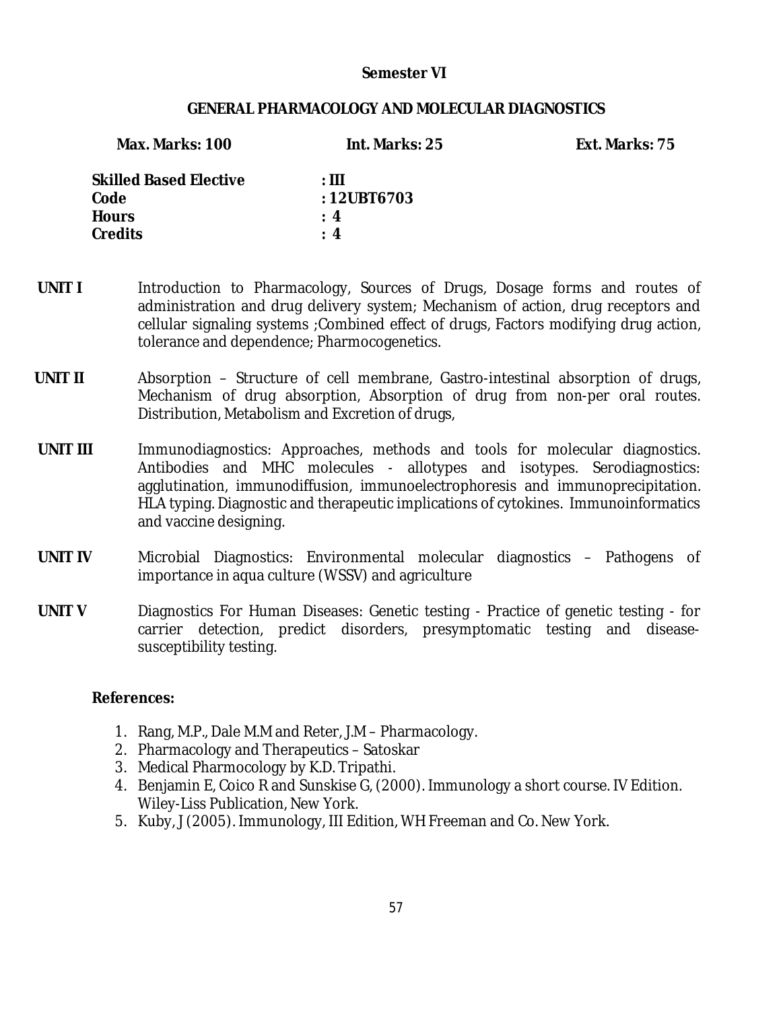# **Semester VI**

### **GENERAL PHARMACOLOGY AND MOLECULAR DIAGNOSTICS**

| <b>Max. Marks: 100</b>        | Int. Marks: 25 | Ext. Marks: 75 |
|-------------------------------|----------------|----------------|
| <b>Skilled Based Elective</b> | : III          |                |
| Code                          | : $12UBT6703$  |                |
| Hours                         | $\therefore$ 4 |                |
| Credits                       | $\therefore$ 4 |                |
|                               |                |                |

- **UNIT I** Introduction to Pharmacology, Sources of Drugs, Dosage forms and routes of administration and drug delivery system; Mechanism of action, drug receptors and cellular signaling systems ;Combined effect of drugs, Factors modifying drug action, tolerance and dependence; Pharmocogenetics.
- **UNIT II** Absorption Structure of cell membrane, Gastro-intestinal absorption of drugs, Mechanism of drug absorption, Absorption of drug from non-per oral routes. Distribution, Metabolism and Excretion of drugs,
- UNIT III **Immunodiagnostics:** Approaches, methods and tools for molecular diagnostics. Antibodies and MHC molecules - allotypes and isotypes. Serodiagnostics: agglutination, immunodiffusion, immunoelectrophoresis and immunoprecipitation. HLA typing. Diagnostic and therapeutic implications of cytokines. Immunoinformatics and vaccine designing.
- **UNIT IV** Microbial Diagnostics: Environmental molecular diagnostics Pathogens of importance in aqua culture (WSSV) and agriculture
- **UNIT V** Diagnostics For Human Diseases: Genetic testing Practice of genetic testing for carrier detection, predict disorders, presymptomatic testing and diseasesusceptibility testing.

# **References:**

- 1. Rang, M.P., Dale M.M and Reter, J.M Pharmacology.
- 2. Pharmacology and Therapeutics Satoskar
- 3. Medical Pharmocology by K.D. Tripathi.
- 4. Benjamin E, Coico R and Sunskise G, (2000). Immunology a short course. IV Edition. Wiley-Liss Publication, New York.
- 5. Kuby, J (2005). Immunology, III Edition, WH Freeman and Co. New York.